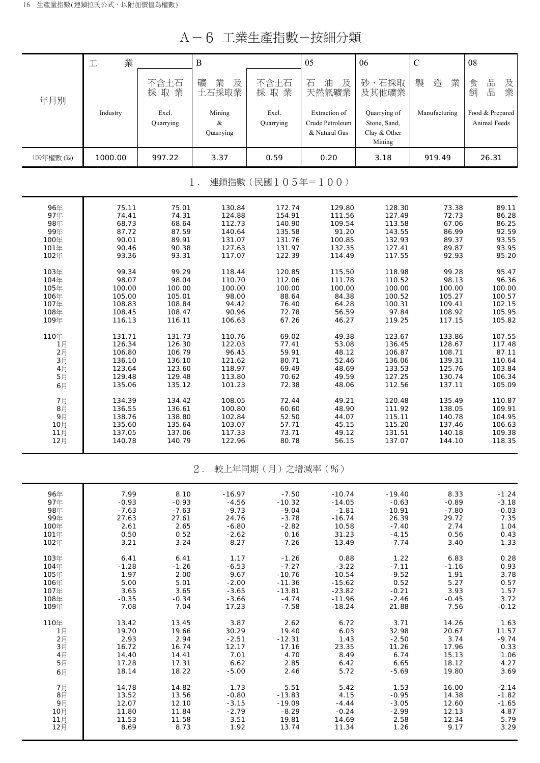A-6 工業生產指數-按細分類

| U<br>v<br>工示工生1日致<br>1乆ह山刀 犬只 |                    |                    |                             |                      |                                                   |                                                        |                    |                                 |  |  |
|-------------------------------|--------------------|--------------------|-----------------------------|----------------------|---------------------------------------------------|--------------------------------------------------------|--------------------|---------------------------------|--|--|
|                               | 業<br>工             |                    | $\, {\bf B}$                |                      | 05                                                | 06                                                     | $\mathcal{C}$      | 08                              |  |  |
| 年月別                           |                    | 不含土石<br>採取業        | 業<br>及<br>礦<br>土石採取業        | 不含土石<br>採取業          | 油<br>石<br>及<br>天然氣礦業                              | 砂、石採取<br>及其他礦業                                         | 製<br>造<br>業        | 品<br>及業<br>食<br>品<br>飼          |  |  |
|                               | Industry           | Excl.<br>Quarrying | Mining<br>$\&$<br>Quarrying | Excl.<br>Quarrying   | Extraction of<br>Crude Petroleum<br>& Natural Gas | Quarrying of<br>Stone, Sand,<br>Clay & Other<br>Mining | Manufacturing      | Food & Prepared<br>Animal Feeds |  |  |
| 109年權數 (‰)                    | 1000.00            | 997.22             | 3.37                        | 0.59                 | 0.20                                              | 3.18                                                   | 919.49             | 26.31                           |  |  |
| 連鎖指數(民國105年=100)<br>$1$ .     |                    |                    |                             |                      |                                                   |                                                        |                    |                                 |  |  |
| 96年<br>97年                    | 75.11<br>74.41     | 75.01<br>74.31     | 130.84<br>124.88            | 172.74<br>154.91     | 129.80<br>111.56                                  | 128.30<br>127.49                                       | 73.38<br>72.73     | 89.11<br>86.28                  |  |  |
| 98年<br>99年                    | 68.73<br>87.72     | 68.64<br>87.59     | 112.73                      | 140.90<br>135.58     | 109.54<br>91.20                                   | 113.58<br>143.55                                       | 67.06<br>86.99     | 86.25<br>92.59                  |  |  |
| 100年                          | 90.01              | 89.91              | 140.64<br>131.07            | 131.76               | 100.85                                            | 132.93                                                 | 89.37              | 93.55                           |  |  |
| 101年<br>102年                  | 90.46<br>93.36     | 90.38<br>93.31     | 127.63<br>117.07            | 131.97<br>122.39     | 132.35<br>114.49                                  | 127.41<br>117.55                                       | 89.87<br>92.93     | 93.95<br>95.20                  |  |  |
| 103年                          | 99.34              | 99.29              | 118.44                      | 120.85               | 115.50                                            | 118.98                                                 | 99.28              | 95.47                           |  |  |
| 104年<br>105年                  | 98.07<br>100.00    | 98.04<br>100.00    | 110.70<br>100.00            | 112.06<br>100.00     | 111.78<br>100.00                                  | 110.52<br>100.00                                       | 98.13<br>100.00    | 96.36<br>100.00                 |  |  |
| 106年                          | 105.00             | 105.01             | 98.00                       | 88.64                | 84.38                                             | 100.52                                                 | 105.27             | 100.57                          |  |  |
| 107年<br>108年                  | 108.83<br>108.45   | 108.84<br>108.47   | 94.42<br>90.96              | 76.40<br>72.78       | 64.28<br>56.59                                    | 100.31<br>97.84                                        | 109.41<br>108.92   | 102.15<br>105.95                |  |  |
| 109年                          | 116.13             | 116.11             | 106.63                      | 67.26                | 46.27                                             | 119.25                                                 | 117.15             | 105.82                          |  |  |
| 110年<br>1月                    | 131.71<br>126.34   | 131.73<br>126.30   | 110.76<br>122.03            | 69.02<br>77.41       | 49.38<br>53.08                                    | 123.67<br>136.45                                       | 133.86<br>128.67   | 107.55<br>117.48                |  |  |
| 2月                            | 106.80             | 106.79             | 96.45                       | 59.91                | 48.12                                             | 106.87                                                 | 108.71             | 87.11                           |  |  |
| 3月<br>4月                      | 136.10<br>123.64   | 136.10<br>123.60   | 121.62<br>118.97            | 80.71<br>69.49       | 52.46<br>48.69                                    | 136.06<br>133.53                                       | 139.31<br>125.76   | 110.64<br>103.84                |  |  |
| 5月                            | 129.48             | 129.48             | 113.80                      | 70.62                | 49.59                                             | 127.25                                                 | 130.74             | 106.34                          |  |  |
| 6月                            | 135.06             | 135.12             | 101.23                      | 72.38                | 48.06                                             | 112.56                                                 | 137.11             | 105.09                          |  |  |
| 7月<br>8月                      | 134.39<br>136.55   | 134.42<br>136.61   | 108.05<br>100.80            | 72.44<br>60.60       | 49.21<br>48.90                                    | 120.48<br>111.92                                       | 135.49<br>138.05   | 110.87<br>109.91                |  |  |
| 9月<br>10月                     | 138.76<br>135.60   | 138.80<br>135.64   | 102.84<br>103.07            | 52.50<br>57.71       | 44.07<br>45.15                                    | 115.11<br>115.20                                       | 140.78<br>137.46   | 104.95<br>106.63                |  |  |
| 11月                           | 137.05             | 137.06             | 117.33                      | 73.71                | 49.12                                             | 131.51                                                 | 140.18             | 109.38                          |  |  |
| 12月                           | 140.78             | 140.79             | 122.96                      | 80.78                | 56.15                                             | 137.07                                                 | 144.10             | 118.35                          |  |  |
|                               |                    |                    | $2$ .                       | 較上年同期(月)之增減率(%)      |                                                   |                                                        |                    |                                 |  |  |
| 96年                           | 7.99               | 8.10               | $-16.97$                    | $-7.50$              | $-10.74$                                          | $-19.40$                                               | 8.33               | $-1.24$                         |  |  |
| 97年<br>98年                    | $-0.93$<br>$-7.63$ | $-0.93$<br>$-7.63$ | $-4.56$<br>$-9.73$          | $-10.32$<br>$-9.04$  | $-14.05$<br>$-1.81$                               | $-0.63$<br>$-10.91$                                    | $-0.89$<br>$-7.80$ | $-3.18$<br>$-0.03$              |  |  |
| 99年                           | 27.63              | 27.61              | 24.76                       | $-3.78$              | $-16.74$                                          | 26.39                                                  | 29.72              | 7.35                            |  |  |
| 100年<br>101年                  | 2.61<br>0.50       | 2.65<br>0.52       | $-6.80$<br>$-2.62$          | $-2.82$<br>0.16      | 10.58<br>31.23                                    | $-7.40$<br>$-4.15$                                     | 2.74<br>0.56       | 1.04<br>0.43                    |  |  |
| 102年                          | 3.21               | 3.24               | $-8.27$                     | $-7.26$              | $-13.49$                                          | $-7.74$                                                | 3.40               | 1.33                            |  |  |
| 103年<br>104年                  | 6.41<br>$-1.28$    | 6.41<br>$-1.26$    | 1.17<br>$-6.53$             | $-1.26$<br>$-7.27$   | 0.88<br>$-3.22$                                   | 1.22<br>$-7.11$                                        | 6.83<br>$-1.16$    | 0.28<br>0.93                    |  |  |
| 105年                          | 1.97               | 2.00               | $-9.67$                     | $-10.76$             | $-10.54$                                          | $-9.52$                                                | 1.91               | 3.78                            |  |  |
| 106年<br>107年                  | 5.00<br>3.65       | 5.01<br>3.65       | $-2.00$<br>$-3.65$          | $-11.36$<br>$-13.81$ | $-15.62$<br>$-23.82$                              | 0.52<br>$-0.21$                                        | 5.27<br>3.93       | 0.57<br>1.57                    |  |  |
| 108年<br>109年                  | $-0.35$<br>7.08    | $-0.34$<br>7.04    | $-3.66$<br>17.23            | $-4.74$<br>$-7.58$   | $-11.96$<br>$-18.24$                              | $-2.46$<br>21.88                                       | $-0.45$<br>7.56    | 3.72<br>$-0.12$                 |  |  |
| 110年                          | 13.42              | 13.45              | 3.87                        | 2.62                 | 6.72                                              | 3.71                                                   | 14.26              | 1.63                            |  |  |
| 1月                            | 19.70              | 19.66              | 30.29                       | 19.40                | 6.03                                              | 32.98                                                  | 20.67              | 11.57                           |  |  |
| 2月<br>3月                      | 2.93<br>16.72      | 2.94<br>16.74      | $-2.51$<br>12.17            | $-12.31$<br>17.16    | 1.43<br>23.35                                     | $-2.50$<br>11.26                                       | 3.74<br>17.96      | $-9.74$<br>0.33                 |  |  |
| 4月                            | 14.40              | 14.41              | 7.01                        | 4.70                 | 8.49                                              | 6.74                                                   | 15.13              | 1.06                            |  |  |

 5月 17.28 17.31 6.62 2.85 6.42 6.65 18.12 4.27 6月 | 18.14 18.22 -5.00 2.46 5.72 -5.69 19.80 3.69 7月 | 14.78 14.82 1.73 5.51 5.42 1.53 16.00 -2.14 8月 | 13.52 13.56 -0.80 -13.83 -1.15 -0.95 14.38 -1.82 9月 | 12.07 12.10 -3.15 -19.09 -4.44 -3.05 12.60 -1.65 10月 11.80 11.84 -2.79 -8.29 -0.24 -2.99 12.13 4.87 11月 11.53 11.58 3.51 19.81 14.69 2.58 12.34 5.79 12月 8.69 8.73 1.92 13.74 11.34 1.26 9.17 3.29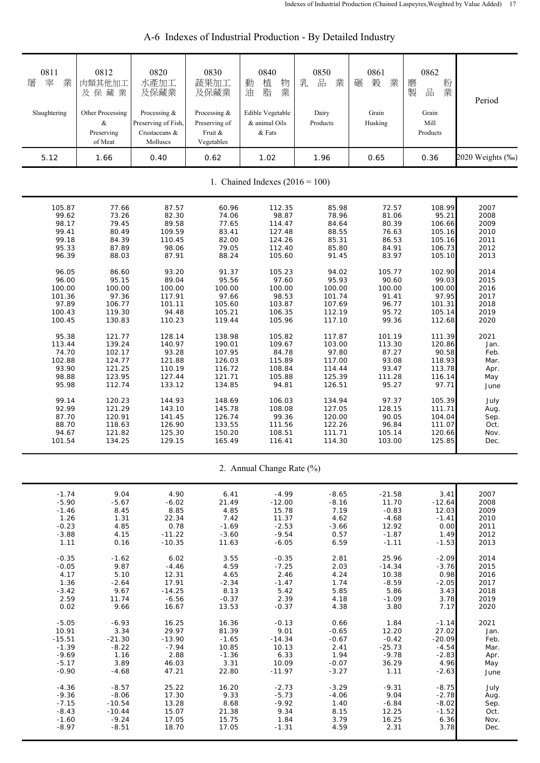| 0811<br>業<br>屠<br>宰<br>Slaughtering<br>5.12 | 0812<br>肉類其他加工<br>及保藏業<br>Other Processing<br>&<br>Preserving<br>of Meat<br>1.66 | 0820<br>水產加工<br>及保藏業<br>Processing &<br>Preserving of Fish,<br>Crustaceans &<br>Molluscs<br>0.40 | 0830<br>蔬果加工<br>及保藏業<br>Processing &<br>Preserving of<br>Fruit &<br>Vegetables<br>0.62 | 0840<br>物<br>植<br>動<br>業<br>脂<br>油<br>Edible Vegetable<br>& animal Oils<br>& Fats<br>1.02 | 0850<br>品<br>乳<br>業<br>Dairy<br>Products<br>1.96 | 0861<br>榖<br>業<br>碾<br>Grain<br>Husking<br>0.65 | 0862<br>粉<br>磨<br>品<br>製<br>業<br>Grain<br>Mill<br>Products<br>0.36 | Period<br>2020 Weights (‰) |
|---------------------------------------------|----------------------------------------------------------------------------------|--------------------------------------------------------------------------------------------------|----------------------------------------------------------------------------------------|-------------------------------------------------------------------------------------------|--------------------------------------------------|-------------------------------------------------|--------------------------------------------------------------------|----------------------------|
|                                             |                                                                                  |                                                                                                  |                                                                                        | 1. Chained Indexes $(2016 = 100)$                                                         |                                                  |                                                 |                                                                    |                            |
| 105.87                                      | 77.66                                                                            | 87.57                                                                                            | 60.96                                                                                  | 112.35                                                                                    | 85.98                                            | 72.57                                           | 108.99                                                             | 2007                       |
| 99.62                                       | 73.26                                                                            | 82.30                                                                                            | 74.06                                                                                  | 98.87                                                                                     | 78.96                                            | 81.06                                           | 95.21                                                              | 2008                       |
| 98.17                                       | 79.45                                                                            | 89.58                                                                                            | 77.65                                                                                  | 114.47                                                                                    | 84.64                                            | 80.39                                           | 106.66                                                             | 2009                       |
| 99.41                                       | 80.49                                                                            | 109.59                                                                                           | 83.41                                                                                  | 127.48                                                                                    | 88.55                                            | 76.63                                           | 105.16                                                             | 2010                       |
| 99.18                                       | 84.39                                                                            | 110.45                                                                                           | 82.00                                                                                  | 124.26                                                                                    | 85.31                                            | 86.53                                           | 105.16                                                             | 2011                       |
| 95.33                                       | 87.89                                                                            | 98.06                                                                                            | 79.05                                                                                  | 112.40                                                                                    | 85.80                                            | 84.91                                           | 106.73                                                             | 2012                       |
| 96.39                                       | 88.03                                                                            | 87.91                                                                                            | 88.24                                                                                  | 105.60                                                                                    | 91.45                                            | 83.97                                           | 105.10                                                             | 2013                       |
| 96.05                                       | 86.60                                                                            | 93.20                                                                                            | 91.37                                                                                  | 105.23                                                                                    | 94.02                                            | 105.77                                          | 102.90                                                             | 2014                       |
| 96.00                                       | 95.15                                                                            | 89.04                                                                                            | 95.56                                                                                  | 97.60                                                                                     | 95.93                                            | 90.60                                           | 99.03                                                              | 2015                       |
| 100.00                                      | 100.00                                                                           | 100.00                                                                                           | 100.00                                                                                 | 100.00                                                                                    | 100.00                                           | 100.00                                          | 100.00                                                             | 2016                       |
| 101.36                                      | 97.36                                                                            | 117.91                                                                                           | 97.66                                                                                  | 98.53                                                                                     | 101.74                                           | 91.41                                           | 97.95                                                              | 2017                       |
| 97.89                                       | 106.77                                                                           | 101.11                                                                                           | 105.60                                                                                 | 103.87                                                                                    | 107.69                                           | 96.77                                           | 101.31                                                             | 2018                       |
| 100.43                                      | 119.30                                                                           | 94.48                                                                                            | 105.21                                                                                 | 106.35                                                                                    | 112.19                                           | 95.72                                           | 105.14                                                             | 2019                       |
| 100.45                                      | 130.83                                                                           | 110.23                                                                                           | 119.44                                                                                 | 105.96                                                                                    | 117.10                                           | 99.36                                           | 112.68                                                             | 2020                       |
| 95.38                                       | 121.77                                                                           | 128.14                                                                                           | 138.98                                                                                 | 105.82                                                                                    | 117.87                                           | 101.19                                          | 111.39                                                             | 2021                       |
| 113.44                                      | 139.24                                                                           | 140.97                                                                                           | 190.01                                                                                 | 109.67                                                                                    | 103.00                                           | 113.30                                          | 120.86                                                             | Jan.                       |
| 74.70                                       | 102.17                                                                           | 93.28                                                                                            | 107.95                                                                                 | 84.78                                                                                     | 97.80                                            | 87.27                                           | 90.58                                                              | Feb.                       |
| 102.88                                      | 124.77                                                                           | 121.88                                                                                           | 126.03                                                                                 | 115.89                                                                                    | 117.00                                           | 93.08                                           | 118.93                                                             | Mar.                       |
| 93.90                                       | 121.25                                                                           | 110.19                                                                                           | 116.72                                                                                 | 108.84                                                                                    | 114.44                                           | 93.47                                           | 113.78                                                             | Apr.                       |
| 98.88                                       | 123.95                                                                           | 127.44                                                                                           | 121.71                                                                                 | 105.88                                                                                    | 125.39                                           | 111.28                                          | 116.14                                                             | May                        |
| 95.98                                       | 112.74                                                                           | 133.12                                                                                           | 134.85                                                                                 | 94.81                                                                                     | 126.51                                           | 95.27                                           | 97.71                                                              | June                       |
| 99.14                                       | 120.23                                                                           | 144.93                                                                                           | 148.69                                                                                 | 106.03                                                                                    | 134.94                                           | 97.37                                           | 105.39                                                             | July                       |
| 92.99                                       | 121.29                                                                           | 143.10                                                                                           | 145.78                                                                                 | 108.08                                                                                    | 127.05                                           | 128.15                                          | 111.71                                                             | Aug.                       |
| 87.70                                       | 120.91                                                                           | 141.45                                                                                           | 126.74                                                                                 | 99.36                                                                                     | 120.00                                           | 90.05                                           | 104.04                                                             | Sep.                       |
| 88.70                                       | 118.63                                                                           | 126.90                                                                                           | 133.55                                                                                 | 111.56                                                                                    | 122.26                                           | 96.84                                           | 111.07                                                             | Oct.                       |
| 94.67                                       | 121.82                                                                           | 125.30                                                                                           | 150.20                                                                                 | 108.51                                                                                    | 111.71                                           | 105.14                                          | 120.66                                                             | Nov.                       |
| 101.54                                      | 134.25                                                                           | 129.15                                                                                           | 165.49                                                                                 | 116.41                                                                                    | 114.30                                           | 103.00                                          | 125.85                                                             | Dec.                       |
|                                             |                                                                                  |                                                                                                  |                                                                                        | 2. Annual Change Rate (%)                                                                 |                                                  |                                                 |                                                                    |                            |
| $-1.74$                                     | 9.04                                                                             | 4.90                                                                                             | 6.41                                                                                   | $-4.99$                                                                                   | $-8.65$                                          | $-21.58$                                        | 3.41                                                               | 2007                       |
| $-5.90$                                     | $-5.67$                                                                          | $-6.02$                                                                                          | 21.49                                                                                  | $-12.00$                                                                                  | $-8.16$                                          | 11.70                                           | $-12.64$                                                           | 2008                       |
| $-1.46$                                     | 8.45                                                                             | 8.85                                                                                             | 4.85                                                                                   | 15.78                                                                                     | 7.19                                             | $-0.83$                                         | 12.03                                                              | 2009                       |
| 1.26                                        | 1.31                                                                             | 22.34                                                                                            | 7.42                                                                                   | 11.37                                                                                     | 4.62                                             | $-4.68$                                         | $-1.41$                                                            | 2010                       |
| $-0.23$                                     | 4.85                                                                             | 0.78                                                                                             | $-1.69$                                                                                | $-2.53$                                                                                   | $-3.66$                                          | 12.92                                           | 0.00                                                               | 2011                       |
| $-3.88$                                     | 4.15                                                                             | $-11.22$                                                                                         | $-3.60$                                                                                | $-9.54$                                                                                   | 0.57                                             | $-1.87$                                         | 1.49                                                               | 2012                       |
| 1.11                                        | 0.16                                                                             | $-10.35$                                                                                         | 11.63                                                                                  | $-6.05$                                                                                   | 6.59                                             | $-1.11$                                         | $-1.53$                                                            | 2013                       |
| $-0.35$                                     | $-1.62$                                                                          | 6.02                                                                                             | 3.55                                                                                   | $-0.35$                                                                                   | 2.81                                             | 25.96                                           | $-2.09$                                                            | 2014                       |
| $-0.05$                                     | 9.87                                                                             | $-4.46$                                                                                          | 4.59                                                                                   | $-7.25$                                                                                   | 2.03                                             | $-14.34$                                        | $-3.76$                                                            | 2015                       |
| 4.17                                        | 5.10                                                                             | 12.31                                                                                            | 4.65                                                                                   | 2.46                                                                                      | 4.24                                             | 10.38                                           | 0.98                                                               | 2016                       |
| 1.36                                        | $-2.64$                                                                          | 17.91                                                                                            | $-2.34$                                                                                | $-1.47$                                                                                   | 1.74                                             | $-8.59$                                         | $-2.05$                                                            | 2017                       |
| $-3.42$                                     | 9.67                                                                             | $-14.25$                                                                                         | 8.13                                                                                   | 5.42                                                                                      | 5.85                                             | 5.86                                            | 3.43                                                               | 2018                       |
| 2.59                                        | 11.74                                                                            | $-6.56$                                                                                          | $-0.37$                                                                                | 2.39                                                                                      | 4.18                                             | $-1.09$                                         | 3.78                                                               | 2019                       |
| 0.02                                        | 9.66                                                                             | 16.67                                                                                            | 13.53                                                                                  | $-0.37$                                                                                   | 4.38                                             | 3.80                                            | 7.17                                                               | 2020                       |
| $-5.05$                                     | $-6.93$                                                                          | 16.25                                                                                            | 16.36                                                                                  | $-0.13$                                                                                   | 0.66                                             | 1.84                                            | $-1.14$                                                            | 2021                       |
| 10.91                                       | 3.34                                                                             | 29.97                                                                                            | 81.39                                                                                  | 9.01                                                                                      | $-0.65$                                          | 12.20                                           | 27.02                                                              | Jan.                       |
| $-15.51$                                    | $-21.30$                                                                         | $-13.90$                                                                                         | $-1.65$                                                                                | $-14.34$                                                                                  | $-0.67$                                          | $-0.42$                                         | $-20.09$                                                           | Feb.                       |
| $-1.39$                                     | $-8.22$                                                                          | $-7.94$                                                                                          | 10.85                                                                                  | 10.13                                                                                     | 2.41                                             | $-25.73$                                        | $-4.54$                                                            | Mar.                       |
| $-9.69$                                     | 1.16                                                                             | 2.88                                                                                             | $-1.36$                                                                                | 6.33                                                                                      | 1.94                                             | $-9.78$                                         | $-2.83$                                                            | Apr.                       |
| $-5.17$                                     | 3.89                                                                             | 46.03                                                                                            | 3.31                                                                                   | 10.09                                                                                     | $-0.07$                                          | 36.29                                           | 4.96                                                               | May                        |
| $-0.90$                                     | $-4.68$                                                                          | 47.21                                                                                            | 22.80                                                                                  | $-11.97$                                                                                  | $-3.27$                                          | 1.11                                            | $-2.63$                                                            | June                       |
| $-4.36$                                     | $-8.57$                                                                          | 25.22                                                                                            | 16.20                                                                                  | $-2.73$                                                                                   | $-3.29$                                          | $-9.31$                                         | $-8.75$                                                            | July                       |
| $-9.36$                                     | $-8.06$                                                                          | 17.30                                                                                            | 9.33                                                                                   | $-5.73$                                                                                   | $-4.06$                                          | 9.04                                            | $-2.78$                                                            | Aug.                       |
| $-7.15$                                     | $-10.54$                                                                         | 13.28                                                                                            | 8.68                                                                                   | $-9.92$                                                                                   | 1.40                                             | $-6.84$                                         | $-8.02$                                                            | Sep.                       |
| $-8.43$                                     | $-10.44$                                                                         | 15.07                                                                                            | 21.38                                                                                  | 9.34                                                                                      | 8.15                                             | 12.25                                           | $-1.52$                                                            | Oct.                       |
| $-1.60$                                     | $-9.24$                                                                          | 17.05                                                                                            | 15.75                                                                                  | 1.84                                                                                      | 3.79                                             | 16.25                                           | 6.36                                                               | Nov.                       |
| $-8.97$                                     | $-8.51$                                                                          | 18.70                                                                                            | 17.05                                                                                  | $-1.31$                                                                                   | 4.59                                             | 2.31                                            | 3.78                                                               | Dec.                       |

# A-6 Indexes of Industrial Production - By Detailed Industry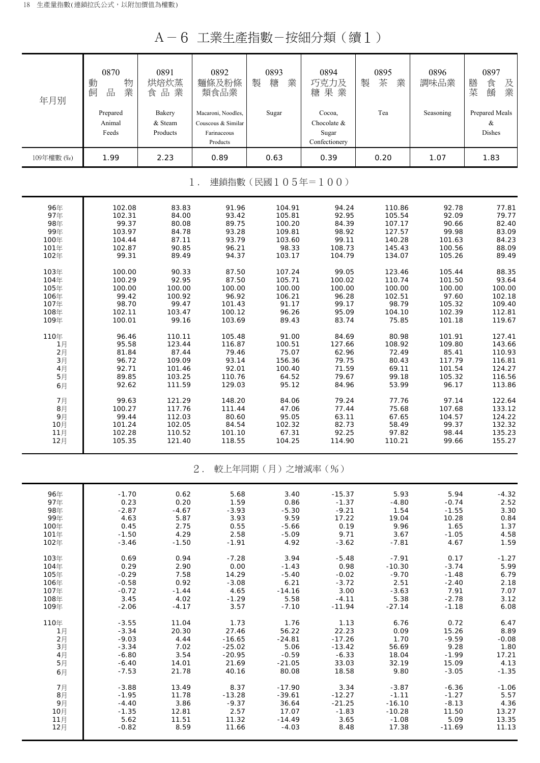A-6 工業生產指數-按細分類(續1)

| 年月別                       | 0870<br>動<br>物<br>業<br>品<br>飼 | 0891<br>烘焙炊蒸<br>食品業           | 0892<br>麵條及粉條<br>類食品業                                               | 0893<br>製<br>糖<br>業 | 0894<br>巧克力及<br>糖果業                             | 0895<br>製<br>茶<br>業 | 0896<br>調味品業 | 0897<br>膳<br>食<br>及業<br>菜<br>餚 |  |  |
|---------------------------|-------------------------------|-------------------------------|---------------------------------------------------------------------|---------------------|-------------------------------------------------|---------------------|--------------|--------------------------------|--|--|
|                           | Prepared<br>Animal<br>Feeds   | Bakery<br>& Steam<br>Products | Macaroni, Noodles,<br>Couscous & Similar<br>Farinaceous<br>Products | Sugar               | Cocoa,<br>Chocolate &<br>Sugar<br>Confectionery | Tea                 | Seasoning    | Prepared Meals<br>&<br>Dishes  |  |  |
| 109年權數 (‰)                | 1.99                          | 2.23                          | 0.89                                                                | 0.63                | 0.39                                            | 0.20                | 1.07         | 1.83                           |  |  |
| 連鎖指數(民國105年=100)<br>$1$ . |                               |                               |                                                                     |                     |                                                 |                     |              |                                |  |  |
| 96年                       | 102.08                        | 83.83                         | 91.96                                                               | 104.91              | 94.24                                           | 110.86              | 92.78        | 77.81                          |  |  |
| 97年                       | 102.31                        | 84.00                         | 93.42                                                               | 105.81              | 92.95                                           | 105.54              | 92.09        | 79.77                          |  |  |
| 98年                       | 99.37                         | 80.08                         | 89.75                                                               | 100.20              | 84.39                                           | 107.17              | 90.66        | 82.40                          |  |  |
| 99年                       | 103.97                        | 84.78                         | 93.28                                                               | 109.81              | 98.92                                           | 127.57              | 99.98        | 83.09                          |  |  |
| 100年                      | 104.44                        | 87.11                         | 93.79                                                               | 103.60              | 99.11                                           | 140.28              | 101.63       | 84.23                          |  |  |
| 101年                      | 102.87                        | 90.85                         | 96.21                                                               | 98.33               | 108.73                                          | 145.43              | 100.56       | 88.09                          |  |  |
| 102年                      | 99.31                         | 89.49                         | 94.37                                                               | 103.17              | 104.79                                          | 134.07              | 105.26       | 89.49                          |  |  |
| 103年                      | 100.00                        | 90.33                         | 87.50                                                               | 107.24              | 99.05                                           | 123.46              | 105.44       | 88.35                          |  |  |
| 104年                      | 100.29                        | 92.95                         | 87.50                                                               | 105.71              | 100.02                                          | 110.74              | 101.50       | 93.64                          |  |  |
| 105年                      | 100.00                        | 100.00                        | 100.00                                                              | 100.00              | 100.00                                          | 100.00              | 100.00       | 100.00                         |  |  |
| 106年                      | 99.42                         | 100.92                        | 96.92                                                               | 106.21              | 96.28                                           | 102.51              | 97.60        | 102.18                         |  |  |
| 107年                      | 98.70                         | 99.47                         | 101.43                                                              | 91.17               | 99.17                                           | 98.79               | 105.32       | 109.40                         |  |  |
| 108年                      | 102.11                        | 103.47                        | 100.12                                                              | 96.26               | 95.09                                           | 104.10              | 102.39       | 112.81                         |  |  |
| 109年                      | 100.01                        | 99.16                         | 103.69                                                              | 89.43               | 83.74                                           | 75.85               | 101.18       | 119.67                         |  |  |
| 110年                      | 96.46                         | 110.11                        | 105.48                                                              | 91.00               | 84.69                                           | 80.98               | 101.91       | 127.41                         |  |  |
| 1月                        | 95.58                         | 123.44                        | 116.87                                                              | 100.51              | 127.66                                          | 108.92              | 109.80       | 143.66                         |  |  |
| 2月                        | 81.84                         | 87.44                         | 79.46                                                               | 75.07               | 62.96                                           | 72.49               | 85.41        | 110.93                         |  |  |
| $3\n  11$                 | 96.72                         | 109.09                        | 93.14                                                               | 156.36              | 79.75                                           | 80.43               | 117.79       | 116.81                         |  |  |
| 4月                        | 92.71                         | 101.46                        | 92.01                                                               | 100.40              | 71.59                                           | 69.11               | 101.54       | 124.27                         |  |  |
| 5月                        | 89.85                         | 103.25                        | 110.76                                                              | 64.52               | 79.67                                           | 99.18               | 105.32       | 116.56                         |  |  |
| 6月                        | 92.62                         | 111.59                        | 129.03                                                              | 95.12               | 84.96                                           | 53.99               | 96.17        | 113.86                         |  |  |
| 7月                        | 99.63                         | 121.29                        | 148.20                                                              | 84.06               | 79.24                                           | 77.76               | 97.14        | 122.64                         |  |  |
| 8月                        | 100.27                        | 117.76                        | 111.44                                                              | 47.06               | 77.44                                           | 75.68               | 107.68       | 133.12                         |  |  |
| 9月                        | 99.44                         | 112.03                        | 80.60                                                               | 95.05               | 63.11                                           | 67.65               | 104.57       | 124.22                         |  |  |
| 10月                       | 101.24                        | 102.05                        | 84.54                                                               | 102.32              | 82.73                                           | 58.49               | 99.37        | 132.32                         |  |  |
| 11月                       | 102.28                        | 110.52                        | 101.10                                                              | 67.31               | 92.25                                           | 97.82               | 98.44        | 135.23                         |  |  |
| 12月                       | 105.35                        | 121.40                        | 118.55                                                              | 104.25              | 114.90                                          | 110.21              | 99.66        | 155.27                         |  |  |
|                           |                               |                               | $2$ .                                                               | 較上年同期(月)之增減率(%)     |                                                 |                     |              |                                |  |  |
| 96年                       | $-1.70$                       | 0.62                          | 5.68                                                                | 3.40                | $-15.37$                                        | 5.93                | 5.94         | $-4.32$                        |  |  |
| 97年                       | 0.23                          | 0.20                          | 1.59                                                                | 0.86                | $-1.37$                                         | $-4.80$             | $-0.74$      | 2.52                           |  |  |
| 98年                       | $-2.87$                       | $-4.67$                       | $-3.93$                                                             | $-5.30$             | $-9.21$                                         | 1.54                | $-1.55$      | 3.30                           |  |  |
| 99年                       | 4.63                          | 5.87                          | 3.93                                                                | 9.59                | 17.22                                           | 19.04               | 10.28        | 0.84                           |  |  |
| 100年                      | 0.45                          | 2.75                          | 0.55                                                                | $-5.66$             | 0.19                                            | 9.96                | 1.65         | 1.37                           |  |  |
| 101年                      | $-1.50$                       | 4.29                          | 2.58                                                                | $-5.09$             | 9.71                                            | 3.67                | $-1.05$      | 4.58                           |  |  |
| 102年                      | $-3.46$                       | $-1.50$                       | $-1.91$                                                             | 4.92                | $-3.62$                                         | $-7.81$             | 4.67         | 1.59                           |  |  |
| 103年                      | 0.69                          | 0.94                          | $-7.28$                                                             | 3.94                | $-5.48$                                         | $-7.91$             | 0.17         | $-1.27$                        |  |  |
| 104年                      | 0.29                          | 2.90                          | 0.00                                                                | $-1.43$             | 0.98                                            | $-10.30$            | $-3.74$      | 5.99                           |  |  |
| 105年                      | $-0.29$                       | 7.58                          | 14.29                                                               | $-5.40$             | $-0.02$                                         | $-9.70$             | $-1.48$      | 6.79                           |  |  |
| 106年                      | $-0.58$                       | 0.92                          | $-3.08$                                                             | 6.21                | $-3.72$                                         | 2.51                | $-2.40$      | 2.18                           |  |  |
| 107年                      | $-0.72$                       | $-1.44$                       | 4.65                                                                | $-14.16$            | 3.00                                            | $-3.63$             | 7.91         | 7.07                           |  |  |
| 108年                      | 3.45                          | 4.02                          | $-1.29$                                                             | 5.58                | $-4.11$                                         | 5.38                | $-2.78$      | 3.12                           |  |  |
| 109年                      | $-2.06$                       | $-4.17$                       | 3.57                                                                | $-7.10$             | $-11.94$                                        | $-27.14$            | $-1.18$      | 6.08                           |  |  |
| 110年                      | $-3.55$                       | 11.04                         | 1.73                                                                | 1.76                | 1.13                                            | 6.76                | 0.72         | 6.47                           |  |  |
| 1月                        | $-3.34$                       | 20.30                         | 27.46                                                               | 56.22               | 22.23                                           | 0.09                | 15.26        | 8.89                           |  |  |
| 2月                        | $-9.03$                       | 4.44                          | $-16.65$                                                            | $-24.81$            | $-17.26$                                        | 1.70                | $-9.59$      | $-0.08$                        |  |  |
| 3月                        | $-3.34$                       | 7.02                          | $-25.02$                                                            | 5.06                | $-13.42$                                        | 56.69               | 9.28         | 1.80                           |  |  |
| 4月                        | $-6.80$                       | 3.54                          | $-20.95$                                                            | $-0.59$             | $-6.33$                                         | 18.04               | $-1.99$      | 17.21                          |  |  |
| 5月                        | $-6.40$                       | 14.01                         | 21.69                                                               | $-21.05$            | 33.03                                           | 32.19               | 15.09        | 4.13                           |  |  |
| 6月                        | $-7.53$                       | 21.78                         | 40.16                                                               | 80.08               | 18.58                                           | 9.80                | $-3.05$      | $-1.35$                        |  |  |
| 7月                        | $-3.88$                       | 13.49                         | 8.37                                                                | $-17.90$            | 3.34                                            | $-3.87$             | $-6.36$      | $-1.06$                        |  |  |
| 8月                        | $-1.95$                       | 11.78                         | $-13.28$                                                            | $-39.61$            | $-12.27$                                        | $-1.11$             | $-1.27$      | 5.57                           |  |  |
| 9月                        | $-4.40$                       | 3.86                          | $-9.37$                                                             | 36.64               | $-21.25$                                        | $-16.10$            | $-8.13$      | 4.36                           |  |  |
| 10月                       | $-1.35$                       | 12.81                         | 2.57                                                                | 17.07               | $-1.83$                                         | $-10.28$            | 11.50        | 13.27                          |  |  |
| 11月                       | 5.62                          | 11.51                         | 11.32                                                               | $-14.49$            | 3.65                                            | $-1.08$             | 5.09         | 13.35                          |  |  |
| 12月                       | $-0.82$                       | 8.59                          | 11.66                                                               | $-4.03$             | 8.48                                            | 17.38               | $-11.69$     | 11.13                          |  |  |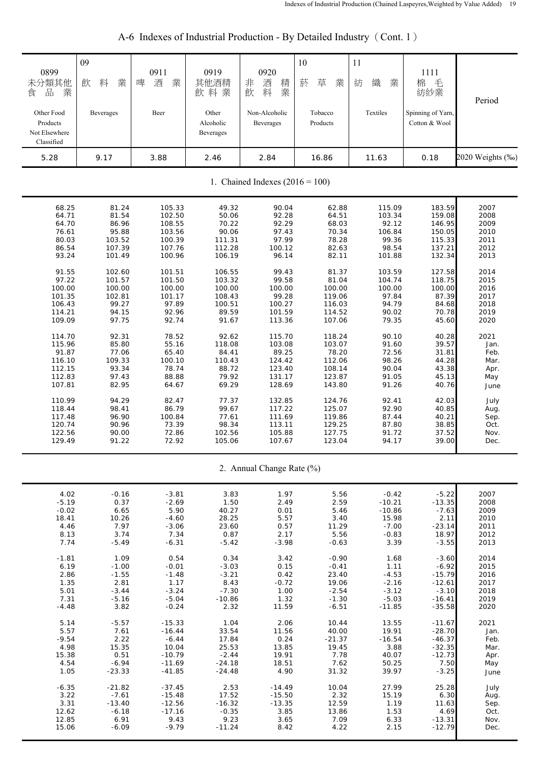| 0899<br>未分類其他<br>品<br>業<br>食<br>Other Food<br>Products<br>Not Elsewhere<br>Classified | 09<br>料<br>業<br>飲<br>Beverages | 0911<br>業<br>啤<br>酒<br>Beer | 0919<br>其他酒精<br>飲料業<br>Other<br>Alcoholic<br>Beverages | 0920<br>非<br>酒<br>精<br>業<br>料<br>飲<br>Non-Alcoholic<br>Beverages | 10<br>菸<br>草<br>業<br>Tobacco<br>Products | 11<br>織<br>紡<br>業<br>Textiles | 1111<br>棉<br>毛<br>紡紗業<br>Spinning of Yarn,<br>Cotton & Wool | Period           |  |
|---------------------------------------------------------------------------------------|--------------------------------|-----------------------------|--------------------------------------------------------|------------------------------------------------------------------|------------------------------------------|-------------------------------|-------------------------------------------------------------|------------------|--|
| 5.28                                                                                  | 9.17                           | 3.88                        | 2.46                                                   | 2.84                                                             | 16.86                                    | 11.63                         | 0.18                                                        | 2020 Weights (%) |  |
| 1. Chained Indexes $(2016 = 100)$                                                     |                                |                             |                                                        |                                                                  |                                          |                               |                                                             |                  |  |
| 68.25                                                                                 | 81.24                          | 105.33                      | 49.32                                                  | 90.04                                                            | 62.88                                    | 115.09                        | 183.59                                                      | 2007             |  |
| 64.71                                                                                 | 81.54                          | 102.50                      | 50.06                                                  | 92.28                                                            | 64.51                                    | 103.34                        | 159.08                                                      | 2008             |  |
| 64.70                                                                                 | 86.96                          | 108.55                      | 70.22                                                  | 92.29                                                            | 68.03                                    | 92.12                         | 146.95                                                      | 2009             |  |
| 76.61                                                                                 | 95.88                          | 103.56                      | 90.06                                                  | 97.43                                                            | 70.34                                    | 106.84                        | 150.05                                                      | 2010             |  |
| 80.03                                                                                 | 103.52                         | 100.39                      | 111.31                                                 | 97.99                                                            | 78.28                                    | 99.36                         | 115.33                                                      | 2011             |  |
| 86.54                                                                                 | 107.39                         | 107.76                      | 112.28                                                 | 100.12                                                           | 82.63                                    | 98.54                         | 137.21                                                      | 2012             |  |
| 93.24                                                                                 | 101.49                         | 100.96                      | 106.19                                                 | 96.14                                                            | 82.11                                    | 101.88                        | 132.34                                                      | 2013             |  |
| 91.55                                                                                 | 102.60                         | 101.51                      | 106.55                                                 | 99.43                                                            | 81.37                                    | 103.59                        | 127.58                                                      | 2014             |  |
| 97.22                                                                                 | 101.57                         | 101.50                      | 103.32                                                 | 99.58                                                            | 81.04                                    | 104.74                        | 118.75                                                      | 2015             |  |
| 100.00                                                                                | 100.00                         | 100.00                      | 100.00                                                 | 100.00                                                           | 100.00                                   | 100.00                        | 100.00                                                      | 2016             |  |
| 101.35                                                                                | 102.81                         | 101.17                      | 108.43                                                 | 99.28                                                            | 119.06                                   | 97.84                         | 87.39                                                       | 2017             |  |
| 106.43                                                                                | 99.27                          | 97.89                       | 100.51                                                 | 100.27                                                           | 116.03                                   | 94.79                         | 84.68                                                       | 2018             |  |
| 114.21                                                                                | 94.15                          | 92.96                       | 89.59                                                  | 101.59                                                           | 114.52                                   | 90.02                         | 70.78                                                       | 2019             |  |
| 109.09                                                                                | 97.75                          | 92.74                       | 91.67                                                  | 113.36                                                           | 107.06                                   | 79.35                         | 45.60                                                       | 2020             |  |
| 114.70                                                                                | 92.31                          | 78.52                       | 92.62                                                  | 115.70                                                           | 118.24                                   | 90.10                         | 40.28                                                       | 2021             |  |
| 115.96                                                                                | 85.80                          | 55.16                       | 118.08                                                 | 103.08                                                           | 103.07                                   | 91.60                         | 39.57                                                       | Jan.             |  |
| 91.87                                                                                 | 77.06                          | 65.40                       | 84.41                                                  | 89.25                                                            | 78.20                                    | 72.56                         | 31.81                                                       | Feb.             |  |
| 116.10                                                                                | 109.33                         | 100.10                      | 110.43                                                 | 124.42                                                           | 112.06                                   | 98.26                         | 44.28                                                       | Mar.             |  |
| 112.15                                                                                | 93.34                          | 78.74                       | 88.72                                                  | 123.40                                                           | 108.14                                   | 90.04                         | 43.38                                                       | Apr.             |  |
| 112.83                                                                                | 97.43                          | 88.88                       | 79.92                                                  | 131.17                                                           | 123.87                                   | 91.05                         | 45.13                                                       | May              |  |
| 107.81                                                                                | 82.95                          | 64.67                       | 69.29                                                  | 128.69                                                           | 143.80                                   | 91.26                         | 40.76                                                       | June             |  |
| 110.99                                                                                | 94.29                          | 82.47                       | 77.37                                                  | 132.85                                                           | 124.76                                   | 92.41                         | 42.03                                                       | July             |  |
| 118.44                                                                                | 98.41                          | 86.79                       | 99.67                                                  | 117.22                                                           | 125.07                                   | 92.90                         | 40.85                                                       | Aug.             |  |
| 117.48                                                                                | 96.90                          | 100.84                      | 77.61                                                  | 111.69                                                           | 119.86                                   | 87.44                         | 40.21                                                       | Sep.             |  |
| 120.74                                                                                | 90.96                          | 73.39                       | 98.34                                                  | 113.11                                                           | 129.25                                   | 87.80                         | 38.85                                                       | Oct.             |  |
| 122.56                                                                                | 90.00                          | 72.86                       | 102.56                                                 | 105.88                                                           | 127.75                                   | 91.72                         | 37.52                                                       | Nov.             |  |
| 129.49                                                                                | 91.22                          | 72.92                       | 105.06                                                 | 107.67                                                           | 123.04                                   | 94.17                         | 39.00                                                       | Dec.             |  |
|                                                                                       |                                |                             |                                                        | 2. Annual Change Rate (%)                                        |                                          |                               |                                                             |                  |  |
| 4.02                                                                                  | $-0.16$                        | $-3.81$                     | 3.83                                                   | 1.97                                                             | 5.56                                     | $-0.42$                       | $-5.22$                                                     | 2007             |  |
| $-5.19$                                                                               | 0.37                           | $-2.69$                     | 1.50                                                   | 2.49                                                             | 2.59                                     | $-10.21$                      | $-13.35$                                                    | 2008             |  |
| $-0.02$                                                                               | 6.65                           | 5.90                        | 40.27                                                  | 0.01                                                             | 5.46                                     | $-10.86$                      | $-7.63$                                                     | 2009             |  |
| 18.41                                                                                 | 10.26                          | $-4.60$                     | 28.25                                                  | 5.57                                                             | 3.40                                     | 15.98                         | 2.11                                                        | 2010             |  |
| 4.46                                                                                  | 7.97                           | $-3.06$                     | 23.60                                                  | 0.57                                                             | 11.29                                    | $-7.00$                       | $-23.14$                                                    | 2011             |  |
| 8.13                                                                                  | 3.74                           | 7.34                        | 0.87                                                   | 2.17                                                             | 5.56                                     | $-0.83$                       | 18.97                                                       | 2012             |  |
| 7.74                                                                                  | $-5.49$                        | $-6.31$                     | $-5.42$                                                | $-3.98$                                                          | $-0.63$                                  | 3.39                          | $-3.55$                                                     | 2013             |  |
| $-1.81$                                                                               | 1.09                           | 0.54                        | 0.34                                                   | 3.42                                                             | $-0.90$                                  | 1.68                          | $-3.60$                                                     | 2014             |  |
| 6.19                                                                                  | $-1.00$                        | $-0.01$                     | $-3.03$                                                | 0.15                                                             | $-0.41$                                  | 1.11                          | $-6.92$                                                     | 2015             |  |
| 2.86                                                                                  | $-1.55$                        | $-1.48$                     | $-3.21$                                                | 0.42                                                             | 23.40                                    | $-4.53$                       | $-15.79$                                                    | 2016             |  |
| 1.35                                                                                  | 2.81                           | 1.17                        | 8.43                                                   | $-0.72$                                                          | 19.06                                    | $-2.16$                       | $-12.61$                                                    | 2017             |  |
| 5.01                                                                                  | $-3.44$                        | $-3.24$                     | $-7.30$                                                | 1.00                                                             | $-2.54$                                  | $-3.12$                       | $-3.10$                                                     | 2018             |  |
| 7.31                                                                                  | $-5.16$                        | $-5.04$                     | $-10.86$                                               | 1.32                                                             | $-1.30$                                  | $-5.03$                       | $-16.41$                                                    | 2019             |  |
| $-4.48$                                                                               | 3.82                           | $-0.24$                     | 2.32                                                   | 11.59                                                            | $-6.51$                                  | $-11.85$                      | $-35.58$                                                    | 2020             |  |
| 5.14                                                                                  | $-5.57$                        | $-15.33$                    | 1.04                                                   | 2.06                                                             | 10.44                                    | 13.55                         | $-11.67$                                                    | 2021             |  |
| 5.57                                                                                  | 7.61                           | $-16.44$                    | 33.54                                                  | 11.56                                                            | 40.00                                    | 19.91                         | $-28.70$                                                    | Jan.             |  |
| $-9.54$                                                                               | 2.22                           | $-6.44$                     | 17.84                                                  | 0.24                                                             | $-21.37$                                 | $-16.54$                      | $-46.37$                                                    | Feb.             |  |
| 4.98                                                                                  | 15.35                          | 10.04                       | 25.53                                                  | 13.85                                                            | 19.45                                    | 3.88                          | $-32.35$                                                    | Mar.             |  |
| 15.38                                                                                 | 0.51                           | $-10.79$                    | $-2.44$                                                | 19.91                                                            | 7.78                                     | 40.07                         | $-12.73$                                                    | Apr.             |  |
| 4.54                                                                                  | $-6.94$                        | $-11.69$                    | $-24.18$                                               | 18.51                                                            | 7.62                                     | 50.25                         | 7.50                                                        | May              |  |
| 1.05                                                                                  | $-23.33$                       | $-41.85$                    | $-24.48$                                               | 4.90                                                             | 31.32                                    | 39.97                         | $-3.25$                                                     | June             |  |
| $-6.35$                                                                               | $-21.82$                       | $-37.45$                    | 2.53                                                   | $-14.49$                                                         | 10.04                                    | 27.99                         | 25.28                                                       | July             |  |
| 3.22                                                                                  | $-7.61$                        | $-15.48$                    | 17.52                                                  | $-15.50$                                                         | 2.32                                     | 15.19                         | 6.30                                                        | Aug.             |  |
| 3.31                                                                                  | $-13.40$                       | $-12.56$                    | $-16.32$                                               | $-13.35$                                                         | 12.59                                    | 1.19                          | 11.63                                                       | Sep.             |  |
| 12.62                                                                                 | $-6.18$                        | $-17.16$                    | $-0.35$                                                | 3.85                                                             | 13.86                                    | 1.53                          | 4.69                                                        | Oct.             |  |
| 12.85                                                                                 | 6.91                           | 9.43                        | 9.23                                                   | 3.65                                                             | 7.09                                     | 6.33                          | $-13.31$                                                    | Nov.             |  |
| 15.06                                                                                 | $-6.09$                        | $-9.79$                     | $-11.24$                                               | 8.42                                                             | 4.22                                     | 2.15                          | $-12.79$                                                    | Dec.             |  |

# A-6 Indexes of Industrial Production - By Detailed Industry (Cont. 1)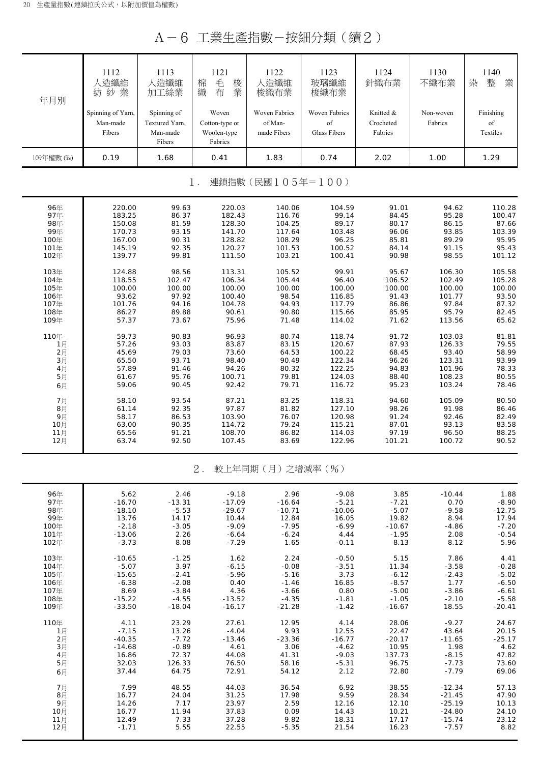A-6 工業生產指數-按細分類(續2)

| 年月別        | 1112<br>(造纖維<br>業<br>紡紗                 | 1113<br>人造纖維<br>加工絲業                                | 1121<br>毛<br>梭<br>棉<br>業<br>織<br>布                | 1122<br>造纖維<br>梭織布業                            | 1123<br>玻璃纖維<br>梭織布業                | 1124<br>針織布業                      | 1130<br>不織布業         | 1140<br>整<br>業<br>染         |
|------------|-----------------------------------------|-----------------------------------------------------|---------------------------------------------------|------------------------------------------------|-------------------------------------|-----------------------------------|----------------------|-----------------------------|
|            | Spinning of Yarn,<br>Man-made<br>Fibers | Spinning of<br>Textured Yarn.<br>Man-made<br>Fibers | Woven<br>Cotton-type or<br>Woolen-type<br>Fabrics | <b>Woven Fabrics</b><br>of Man-<br>made Fibers | Woven Fabrics<br>of<br>Glass Fibers | Knitted &<br>Crocheted<br>Fabrics | Non-woven<br>Fabrics | Finishing<br>of<br>Textiles |
| 109年權數 (‰) | 0.19                                    | 1.68                                                | 0.41                                              | 1.83                                           | 0.74                                | 2.02                              | 1.00                 | 1.29                        |

1. 連鎖指數(民國105年=100)

| 96年      | 220.00 | 99.63  | 220.03 | 140.06 | 104.59 | 91.01  | 94.62  | 110.28 |
|----------|--------|--------|--------|--------|--------|--------|--------|--------|
| 97年      | 183.25 | 86.37  | 182.43 | 116.76 | 99.14  | 84.45  | 95.28  | 100.47 |
| 98年      | 150.08 | 81.59  | 128.30 | 104.25 | 89.17  | 80.17  | 86.15  | 87.66  |
| 99年      | 170.73 | 93.15  | 141.70 | 117.64 | 103.48 | 96.06  | 93.85  | 103.39 |
| 100年     | 167.00 | 90.31  | 128.82 | 108.29 | 96.25  | 85.81  | 89.29  | 95.95  |
| 101年     | 145.19 | 92.35  | 120.27 | 101.53 | 100.52 | 84.14  | 91.15  | 95.43  |
| 102年     | 139.77 | 99.81  | 111.50 | 103.21 | 100.41 | 90.98  | 98.55  | 101.12 |
| 103年     | 124.88 | 98.56  | 113.31 | 105.52 | 99.91  | 95.67  | 106.30 | 105.58 |
| 104年     | 118.55 | 102.47 | 106.34 | 105.44 | 96.40  | 106.52 | 102.49 | 105.28 |
| 105年     | 100.00 | 100.00 | 100.00 | 100.00 | 100.00 | 100.00 | 100.00 | 100.00 |
| 106年     | 93.62  | 97.92  | 100.40 | 98.54  | 116.85 | 91.43  | 101.77 | 93.50  |
| 107年     | 101.76 | 94.16  | 104.78 | 94.93  | 117.79 | 86.86  | 97.84  | 87.32  |
| 108年     | 86.27  | 89.88  | 90.61  | 90.80  | 115.66 | 85.95  | 95.79  | 82.45  |
| 109年     | 57.37  | 73.67  | 75.96  | 71.48  | 114.02 | 71.62  | 113.56 | 65.62  |
| 110年     | 59.73  | 90.83  | 96.93  | 80.74  | 118.74 | 91.72  | 103.03 | 81.81  |
| 1月       | 57.26  | 93.03  | 83.87  | 83.15  | 120.67 | 87.93  | 126.33 | 79.55  |
| 2月<br>3月 | 45.69  | 79.03  | 73.60  | 64.53  | 100.22 | 68.45  | 93.40  | 58.99  |
|          | 65.50  | 93.71  | 98.40  | 90.49  | 122.34 | 96.26  | 123.31 | 93.99  |
| $4月$     | 57.89  | 91.46  | 94.26  | 80.32  | 122.25 | 94.83  | 101.96 | 78.33  |
| 5月       | 61.67  | 95.76  | 100.71 | 79.81  | 124.03 | 88.40  | 108.23 | 80.55  |
| 6月       | 59.06  | 90.45  | 92.42  | 79.71  | 116.72 | 95.23  | 103.24 | 78.46  |
| 7月       | 58.10  | 93.54  | 87.21  | 83.25  | 118.31 | 94.60  | 105.09 | 80.50  |
| 8月       | 61.14  | 92.35  | 97.87  | 81.82  | 127.10 | 98.26  | 91.98  | 86.46  |
| 9月       | 58.17  | 86.53  | 103.90 | 76.07  | 120.98 | 91.24  | 92.46  | 82.49  |
| 10月      | 63.00  | 90.35  | 114.72 | 79.24  | 115.21 | 87.01  | 93.13  | 83.58  |
| 11月      | 65.56  | 91.21  | 108.70 | 86.82  | 114.03 | 97.19  | 96.50  | 88.25  |
| 12月      | 63.74  | 92.50  | 107.45 | 83.69  | 122.96 | 101.21 | 100.72 | 90.52  |
|          |        |        |        |        |        |        |        |        |

### 2. 較上年同期(月)之增減率(%)

| 96年   | 5.62     | 2.46     |          |          |          |          |          |          |
|-------|----------|----------|----------|----------|----------|----------|----------|----------|
|       |          |          | $-9.18$  | 2.96     | $-9.08$  | 3.85     | $-10.44$ | 1.88     |
| 97年   | $-16.70$ | $-13.31$ | $-17.09$ | $-16.64$ | $-5.21$  | $-7.21$  | 0.70     | $-8.90$  |
| 98年   | $-18.10$ | $-5.53$  | $-29.67$ | $-10.71$ | $-10.06$ | $-5.07$  | $-9.58$  | $-12.75$ |
| 99年   | 13.76    | 14.17    | 10.44    | 12.84    | 16.05    | 19.82    | 8.94     | 17.94    |
| 100年  | $-2.18$  | $-3.05$  | $-9.09$  | $-7.95$  | $-6.99$  | $-10.67$ | $-4.86$  | $-7.20$  |
| 101年  | $-13.06$ | 2.26     | $-6.64$  | $-6.24$  | 4.44     | $-1.95$  | 2.08     | $-0.54$  |
| 102年  | $-3.73$  | 8.08     | $-7.29$  | 1.65     | $-0.11$  | 8.13     | 8.12     | 5.96     |
| 103年  | $-10.65$ | $-1.25$  | 1.62     | 2.24     | $-0.50$  | 5.15     | 7.86     | 4.41     |
| 104年  | $-5.07$  | 3.97     | $-6.15$  | $-0.08$  | $-3.51$  | 11.34    | $-3.58$  | $-0.28$  |
| 105年  | $-15.65$ | $-2.41$  | $-5.96$  | $-5.16$  | 3.73     | $-6.12$  | $-2.43$  | $-5.02$  |
| 106年  | $-6.38$  | $-2.08$  | 0.40     | $-1.46$  | 16.85    | $-8.57$  | 1.77     | $-6.50$  |
| 107年  | 8.69     | $-3.84$  | 4.36     | $-3.66$  | 0.80     | $-5.00$  | $-3.86$  | $-6.61$  |
| 108年  | $-15.22$ | $-4.55$  | $-13.52$ | $-4.35$  | $-1.81$  | $-1.05$  | $-2.10$  | $-5.58$  |
| 109年  | $-33.50$ | $-18.04$ | $-16.17$ | $-21.28$ | $-1.42$  | $-16.67$ | 18.55    | $-20.41$ |
| 110年  | 4.11     | 23.29    | 27.61    | 12.95    | 4.14     | 28.06    | $-9.27$  | 24.67    |
| 1月    | $-7.15$  | 13.26    | $-4.04$  | 9.93     | 12.55    | 22.47    | 43.64    | 20.15    |
| 2月    | $-40.35$ | $-7.72$  | $-13.46$ | $-23.36$ | $-16.77$ | $-20.17$ | $-11.65$ | $-25.17$ |
| $3$ 月 | $-14.68$ | $-0.89$  | 4.61     | 3.06     | $-4.62$  | 10.95    | 1.98     | 4.62     |
| 4月    | 16.86    | 72.37    | 44.08    | 41.31    | $-9.03$  | 137.73   | $-8.15$  | 47.82    |
| 5月    | 32.03    | 126.33   | 76.50    | 58.16    | $-5.31$  | 96.75    | $-7.73$  | 73.60    |
| 6月    | 37.44    | 64.75    | 72.91    | 54.12    | 2.12     | 72.80    | $-7.79$  | 69.06    |
| 7月    | 7.99     | 48.55    | 44.03    | 36.54    | 6.92     | 38.55    | $-12.34$ | 57.13    |
| $8$ 月 | 16.77    | 24.04    | 31.25    | 17.98    | 9.59     | 28.34    | $-21.45$ | 47.90    |
| 9月    | 14.26    | 7.17     | 23.97    | 2.59     | 12.16    | 12.10    | $-25.19$ | 10.13    |
| 10月   | 16.77    | 11.94    | 37.83    | 0.09     | 14.43    | 10.21    | $-24.80$ | 24.10    |
| 11月   | 12.49    | 7.33     | 37.28    | 9.82     | 18.31    | 17.17    | $-15.74$ | 23.12    |
| 12月   | $-1.71$  | 5.55     | 22.55    | $-5.35$  | 21.54    | 16.23    | $-7.57$  | 8.82     |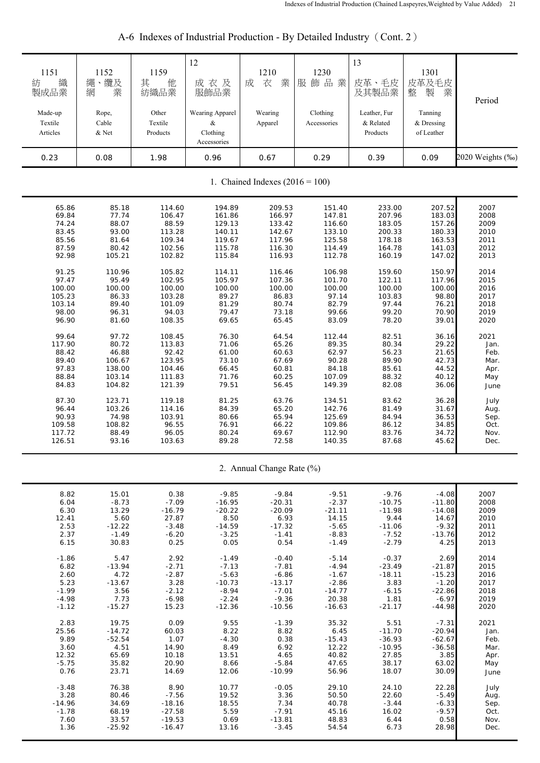| 1151<br>織<br>紡<br>製成品業            | 1152<br>繩、纜及<br>業<br>網    | 1159<br>其<br>他<br>紡織品業       | 12<br>成衣及<br>服飾品業                               | 1210<br>業<br>成<br>衣       | 1230<br>服飾品業            | 13<br>皮革、毛皮<br>及其製品業                  | 1301<br>皮革及毛皮<br>業<br>整<br>製        | Period           |  |  |
|-----------------------------------|---------------------------|------------------------------|-------------------------------------------------|---------------------------|-------------------------|---------------------------------------|-------------------------------------|------------------|--|--|
| Made-up<br>Textile<br>Articles    | Rope,<br>Cable<br>$&$ Net | Other<br>Textile<br>Products | Wearing Apparel<br>&<br>Clothing<br>Accessories | Wearing<br>Apparel        | Clothing<br>Accessories | Leather, Fur<br>& Related<br>Products | Tanning<br>& Dressing<br>of Leather |                  |  |  |
| 0.23                              | 0.08                      | 1.98                         | 0.96                                            | 0.67                      | 0.29                    | 0.39                                  | 0.09                                | 2020 Weights (‰) |  |  |
| 1. Chained Indexes $(2016 = 100)$ |                           |                              |                                                 |                           |                         |                                       |                                     |                  |  |  |
| 65.86                             | 85.18                     | 114.60                       | 194.89                                          | 209.53                    | 151.40                  | 233.00                                | 207.52                              | 2007             |  |  |
| 69.84                             | 77.74                     | 106.47                       | 161.86                                          | 166.97                    | 147.81                  | 207.96                                | 183.03                              | 2008             |  |  |
| 74.24                             | 88.07                     | 88.59                        | 129.13                                          | 133.42                    | 116.60                  | 183.05                                | 157.26                              | 2009             |  |  |
| 83.45                             | 93.00                     | 113.28                       | 140.11                                          | 142.67                    | 133.10                  | 200.33                                | 180.33                              | 2010             |  |  |
| 85.56                             | 81.64                     | 109.34                       | 119.67                                          | 117.96                    | 125.58                  | 178.18                                | 163.53                              | 2011             |  |  |
| 87.59                             | 80.42                     | 102.56                       | 115.78                                          | 116.30                    | 114.49                  | 164.78                                | 141.03                              | 2012             |  |  |
| 92.98                             | 105.21                    | 102.82                       | 115.84                                          | 116.93                    | 112.78                  | 160.19                                | 147.02                              | 2013             |  |  |
| 91.25                             | 110.96                    | 105.82                       | 114.11                                          | 116.46                    | 106.98                  | 159.60                                | 150.97                              | 2014             |  |  |
| 97.47                             | 95.49                     | 102.95                       | 105.97                                          | 107.36                    | 101.70                  | 122.11                                | 117.96                              | 2015             |  |  |
| 100.00                            | 100.00                    | 100.00                       | 100.00                                          | 100.00                    | 100.00                  | 100.00                                | 100.00                              | 2016             |  |  |
| 105.23                            | 86.33                     | 103.28                       | 89.27                                           | 86.83                     | 97.14                   | 103.83                                | 98.80                               | 2017             |  |  |
| 103.14                            | 89.40                     | 101.09                       | 81.29                                           | 80.74                     | 82.79                   | 97.44                                 | 76.21                               | 2018             |  |  |
| 98.00                             | 96.31                     | 94.03                        | 79.47                                           | 73.18                     | 99.66                   | 99.20                                 | 70.90                               | 2019             |  |  |
| 96.90                             | 81.60                     | 108.35                       | 69.65                                           | 65.45                     | 83.09                   | 78.20                                 | 39.01                               | 2020             |  |  |
| 99.64                             | 97.72                     | 108.45                       | 76.30                                           | 64.54                     | 112.44                  | 82.51                                 | 36.16                               | 2021             |  |  |
| 117.90                            | 80.72                     | 113.83                       | 71.06                                           | 65.26                     | 89.35                   | 80.34                                 | 29.22                               | Jan.             |  |  |
| 88.42                             | 46.88                     | 92.42                        | 61.00                                           | 60.63                     | 62.97                   | 56.23                                 | 21.65                               | Feb.             |  |  |
| 89.40                             | 106.67                    | 123.95                       | 73.10                                           | 67.69                     | 90.28                   | 89.90                                 | 42.73                               | Mar.             |  |  |
| 97.83                             | 138.00                    | 104.46                       | 66.45                                           | 60.81                     | 84.18                   | 85.61                                 | 44.52                               | Apr.             |  |  |
| 88.84                             | 103.14                    | 111.83                       | 71.76                                           | 60.25                     | 107.09                  | 88.32                                 | 40.12                               | May              |  |  |
| 84.83                             | 104.82                    | 121.39                       | 79.51                                           | 56.45                     | 149.39                  | 82.08                                 | 36.06                               | June             |  |  |
| 87.30                             | 123.71                    | 119.18                       | 81.25                                           | 63.76                     | 134.51                  | 83.62                                 | 36.28                               | July             |  |  |
| 96.44                             | 103.26                    | 114.16                       | 84.39                                           | 65.20                     | 142.76                  | 81.49                                 | 31.67                               | Aug.             |  |  |
| 90.93                             | 74.98                     | 103.91                       | 80.66                                           | 65.94                     | 125.69                  | 84.94                                 | 36.53                               | Sep.             |  |  |
| 109.58                            | 108.82                    | 96.55                        | 76.91                                           | 66.22                     | 109.86                  | 86.12                                 | 34.85                               | Oct.             |  |  |
| 117.72                            | 88.49                     | 96.05                        | 80.24                                           | 69.67                     | 112.90                  | 83.76                                 | 34.72                               | Nov.             |  |  |
| 126.51                            | 93.16                     | 103.63                       | 89.28                                           | 72.58                     | 140.35                  | 87.68                                 | 45.62                               | Dec.             |  |  |
|                                   |                           |                              |                                                 | 2. Annual Change Rate (%) |                         |                                       |                                     |                  |  |  |
| 8.82                              | 15.01                     | 0.38                         | $-9.85$                                         | $-9.84$                   | $-9.51$                 | $-9.76$                               | $-4.08$                             | 2007             |  |  |
| 6.04                              | $-8.73$                   | $-7.09$                      | $-16.95$                                        | $-20.31$                  | $-2.37$                 | $-10.75$                              | $-11.80$                            | 2008             |  |  |
| 6.30                              | 13.29                     | $-16.79$                     | $-20.22$                                        | $-20.09$                  | $-21.11$                | $-11.98$                              | $-14.08$                            | 2009             |  |  |
| 12.41                             | 5.60                      | 27.87                        | 8.50                                            | 6.93                      | 14.15                   | 9.44                                  | 14.67                               | 2010             |  |  |
| 2.53                              | $-12.22$                  | $-3.48$                      | $-14.59$                                        | $-17.32$                  | $-5.65$                 | $-11.06$                              | $-9.32$                             | 2011             |  |  |
| 2.37                              | $-1.49$                   | $-6.20$                      | $-3.25$                                         | $-1.41$                   | $-8.83$                 | $-7.52$                               | $-13.76$                            | 2012             |  |  |
| 6.15                              | 30.83                     | 0.25                         | 0.05                                            | 0.54                      | $-1.49$                 | $-2.79$                               | 4.25                                | 2013             |  |  |
| $-1.86$                           | 5.47                      | 2.92                         | $-1.49$                                         | $-0.40$                   | $-5.14$                 | $-0.37$                               | 2.69                                | 2014             |  |  |
| 6.82                              | $-13.94$                  | $-2.71$                      | $-7.13$                                         | $-7.81$                   | $-4.94$                 | $-23.49$                              | $-21.87$                            | 2015             |  |  |
| 2.60                              | 4.72                      | $-2.87$                      | $-5.63$                                         | $-6.86$                   | $-1.67$                 | $-18.11$                              | $-15.23$                            | 2016             |  |  |
| 5.23                              | $-13.67$                  | 3.28                         | $-10.73$                                        | $-13.17$                  | $-2.86$                 | 3.83                                  | $-1.20$                             | 2017             |  |  |
| $-1.99$                           | 3.56                      | $-2.12$                      | $-8.94$                                         | $-7.01$                   | $-14.77$                | $-6.15$                               | $-22.86$                            | 2018             |  |  |
| $-4.98$                           | 7.73                      | $-6.98$                      | $-2.24$                                         | $-9.36$                   | 20.38                   | 1.81                                  | $-6.97$                             | 2019             |  |  |
| $-1.12$                           | $-15.27$                  | 15.23                        | $-12.36$                                        | $-10.56$                  | $-16.63$                | $-21.17$                              | $-44.98$                            | 2020             |  |  |
| 2.83                              | 19.75                     | 0.09                         | 9.55                                            | $-1.39$                   | 35.32                   | 5.51                                  | $-7.31$                             | 2021             |  |  |
| 25.56                             | $-14.72$                  | 60.03                        | 8.22                                            | 8.82                      | 6.45                    | $-11.70$                              | $-20.94$                            | Jan.             |  |  |
| 9.89                              | $-52.54$                  | 1.07                         | $-4.30$                                         | 0.38                      | $-15.43$                | $-36.93$                              | $-62.67$                            | Feb.             |  |  |
| 3.60                              | 4.51                      | 14.90                        | 8.49                                            | 6.92                      | 12.22                   | $-10.95$                              | $-36.58$                            | Mar.             |  |  |
| 12.32                             | 65.69                     | 10.18                        | 13.51                                           | 4.65                      | 40.82                   | 27.85                                 | 3.85                                | Apr.             |  |  |
| $-5.75$                           | 35.82                     | 20.90                        | 8.66                                            | $-5.84$                   | 47.65                   | 38.17                                 | 63.02                               | May              |  |  |
| 0.76                              | 23.71                     | 14.69                        | 12.06                                           | $-10.99$                  | 56.96                   | 18.07                                 | 30.09                               | June             |  |  |
| $-3.48$                           | 76.38                     | 8.90                         | 10.77                                           | $-0.05$                   | 29.10                   | 24.10                                 | 22.28                               | July             |  |  |
| 3.28                              | 80.46                     | $-7.56$                      | 19.52                                           | 3.36                      | 50.50                   | 22.60                                 | $-5.49$                             | Aug.             |  |  |
| $-14.96$                          | 34.69                     | $-18.16$                     | 18.55                                           | 7.34                      | 40.78                   | $-3.44$                               | $-6.33$                             | Sep.             |  |  |
| $-1.78$                           | 68.19                     | $-27.58$                     | 5.59                                            | $-7.91$                   | 45.16                   | 16.02                                 | $-9.57$                             | Oct.             |  |  |
| 7.60                              | 33.57                     | $-19.53$                     | 0.69                                            | $-13.81$                  | 48.83                   | 6.44                                  | 0.58                                | Nov.             |  |  |
| 1.36                              | $-25.92$                  | $-16.47$                     | 13.16                                           | $-3.45$                   | 54.54                   | 6.73                                  | 28.98                               | Dec.             |  |  |

# A-6 Indexes of Industrial Production - By Detailed Industry (Cont. 2)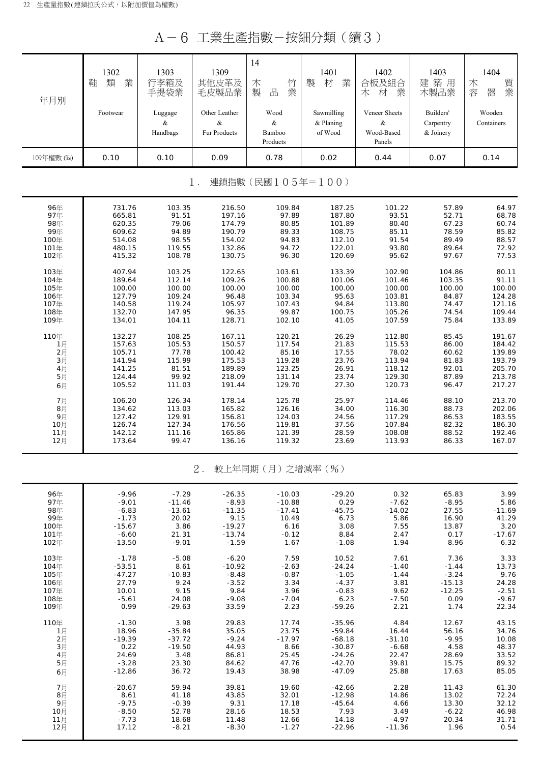A-6 工業生產指數-按細分類(續3)

| 年月別        | 1302<br>業<br>類<br>鞋 | 1303<br>行李箱及<br>手提袋業 | 1309<br>其他皮革及<br>毛皮製品業 | 14<br>竹<br>木<br>業<br>製<br>品 | 1401<br>業<br>材<br>製 | 1402<br>合板及組合<br>業<br>材<br>木 | 1403<br>築<br>建<br>用<br>木製品業 | 1404<br>質業<br>木<br>容<br>器 |
|------------|---------------------|----------------------|------------------------|-----------------------------|---------------------|------------------------------|-----------------------------|---------------------------|
|            | Footwear            | Luggage              | Other Leather          | Wood                        | Sawmilling          | Veneer Sheets                | Builders'                   | Wooden                    |
|            |                     | &                    | &                      | &                           | $&$ Planing         | &                            | Carpentry                   | Containers                |
|            |                     | Handbags             | Fur Products           | Bamboo                      | of Wood             | Wood-Based                   | & Joinery                   |                           |
|            |                     |                      |                        | Products                    |                     | Panels                       |                             |                           |
| 109年權數 (‰) | 0.10                | 0.10                 | 0.09                   | 0.78                        | 0.02                | 0.44                         | 0.07                        | 0.14                      |

1. 連鎖指數(民國105年=100)

| 96年            | 731.76 | 103.35 | 216.50 | 109.84 | 187.25 | 101.22 | 57.89  | 64.97  |
|----------------|--------|--------|--------|--------|--------|--------|--------|--------|
| 97年            | 665.81 | 91.51  | 197.16 | 97.89  | 187.80 | 93.51  | 52.71  | 68.78  |
| 98年            | 620.35 | 79.06  | 174.79 | 80.85  | 101.89 | 80.40  | 67.23  | 60.74  |
| 99年            | 609.62 | 94.89  | 190.79 | 89.33  | 108.75 | 85.11  | 78.59  | 85.82  |
| 100年           | 514.08 | 98.55  | 154.02 | 94.83  | 112.10 | 91.54  | 89.49  | 88.57  |
| 101年           | 480.15 | 119.55 | 132.86 | 94.72  | 122.01 | 93.80  | 89.64  | 72.92  |
| 102年           | 415.32 | 108.78 | 130.75 | 96.30  | 120.69 | 95.62  | 97.67  | 77.53  |
| 103年           | 407.94 | 103.25 | 122.65 | 103.61 | 133.39 | 102.90 | 104.86 | 80.11  |
| 104年           | 189.64 | 112.14 | 109.26 | 100.88 | 101.06 | 101.46 | 103.35 | 91.11  |
| 105年           | 100.00 | 100.00 | 100.00 | 100.00 | 100.00 | 100.00 | 100.00 | 100.00 |
| 106年           | 127.79 | 109.24 | 96.48  | 103.34 | 95.63  | 103.81 | 84.87  | 124.28 |
| 107年           | 140.58 | 119.24 | 105.97 | 107.43 | 94.84  | 113.80 | 74.47  | 121.16 |
| 108年           | 132.70 | 147.95 | 96.35  | 99.87  | 100.75 | 105.26 | 74.54  | 109.44 |
| 109年           | 134.01 | 104.11 | 128.71 | 102.10 | 41.05  | 107.59 | 75.84  | 133.89 |
| 110年           | 132.27 | 108.25 | 167.11 | 120.21 | 26.29  | 112.80 | 85.45  | 191.67 |
| 1月             | 157.63 | 105.53 | 150.57 | 117.54 | 21.83  | 115.53 | 86.00  | 184.42 |
| $2$ 月          | 105.71 | 77.78  | 100.42 | 85.16  | 17.55  | 78.02  | 60.62  | 139.89 |
| 3 <sub>月</sub> | 141.94 | 115.99 | 175.53 | 119.28 | 23.76  | 113.94 | 81.83  | 193.79 |
| 4月             | 141.25 | 81.51  | 189.89 | 123.25 | 26.91  | 118.12 | 92.01  | 205.70 |
| 5月             | 124.44 | 99.92  | 218.09 | 131.14 | 23.74  | 129.30 | 87.89  | 213.78 |
| 6月             | 105.52 | 111.03 | 191.44 | 129.70 | 27.30  | 120.73 | 96.47  | 217.27 |
| 7月             | 106.20 | 126.34 | 178.14 | 125.78 | 25.97  | 114.46 | 88.10  | 213.70 |
| 8月             | 134.62 | 113.03 | 165.82 | 126.16 | 34.00  | 116.30 | 88.73  | 202.06 |
| 9月             | 127.42 | 129.91 | 156.81 | 124.03 | 24.56  | 117.29 | 86.53  | 183.55 |
| 10月            | 126.74 | 127.34 | 176.56 | 119.81 | 37.56  | 107.84 | 82.32  | 186.30 |
| 11月            | 142.12 | 111.16 | 165.86 | 121.39 | 28.59  | 108.08 | 88.52  | 192.46 |
| 12月            | 173.64 | 99.47  | 136.16 | 119.32 | 23.69  | 113.93 | 86.33  | 167.07 |

### 2. 較上年同期(月)之增減率(%)

| 96年  | $-9.96$  | $-7.29$  | $-26.35$ | $-10.03$ | $-29.20$ | 0.32     | 65.83    | 3.99     |
|------|----------|----------|----------|----------|----------|----------|----------|----------|
| 97年  |          |          |          | $-10.88$ | 0.29     |          | $-8.95$  | 5.86     |
|      | $-9.01$  | $-11.46$ | $-8.93$  |          |          | $-7.62$  |          |          |
| 98年  | $-6.83$  | $-13.61$ | $-11.35$ | $-17.41$ | $-45.75$ | $-14.02$ | 27.55    | $-11.69$ |
| 99年  | $-1.73$  | 20.02    | 9.15     | 10.49    | 6.73     | 5.86     | 16.90    | 41.29    |
| 100年 | $-15.67$ | 3.86     | $-19.27$ | 6.16     | 3.08     | 7.55     | 13.87    | 3.20     |
| 101年 | $-6.60$  | 21.31    | $-13.74$ | $-0.12$  | 8.84     | 2.47     | 0.17     | $-17.67$ |
| 102年 | $-13.50$ | $-9.01$  | $-1.59$  | 1.67     | $-1.08$  | 1.94     | 8.96     | 6.32     |
| 103年 | $-1.78$  | $-5.08$  | $-6.20$  | 7.59     | 10.52    | 7.61     | 7.36     | 3.33     |
| 104年 | $-53.51$ | 8.61     | $-10.92$ | $-2.63$  | $-24.24$ | $-1.40$  | $-1.44$  | 13.73    |
| 105年 | $-47.27$ | $-10.83$ | $-8.48$  | $-0.87$  | $-1.05$  | $-1.44$  | $-3.24$  | 9.76     |
| 106年 | 27.79    | 9.24     | $-3.52$  | 3.34     | $-4.37$  | 3.81     | $-15.13$ | 24.28    |
| 107年 | 10.01    | 9.15     | 9.84     | 3.96     | $-0.83$  | 9.62     | $-12.25$ | $-2.51$  |
| 108年 | $-5.61$  | 24.08    | $-9.08$  | $-7.04$  | 6.23     | $-7.50$  | 0.09     | $-9.67$  |
| 109年 | 0.99     | $-29.63$ | 33.59    | 2.23     | $-59.26$ | 2.21     | 1.74     | 22.34    |
| 110年 | $-1.30$  | 3.98     | 29.83    | 17.74    | $-35.96$ | 4.84     | 12.67    | 43.15    |
| 1月   | 18.96    | $-35.84$ | 35.05    | 23.75    | $-59.84$ | 16.44    | 56.16    | 34.76    |
| 2月   | $-19.39$ | $-37.72$ | $-9.24$  | $-17.97$ | $-68.18$ | $-31.10$ | $-9.95$  | 10.08    |
| 3月   | 0.22     | $-19.50$ | 44.93    | 8.66     | $-30.87$ | $-6.68$  | 4.58     | 48.37    |
| 4月   | 24.69    | 3.48     | 86.81    | 25.45    | $-24.26$ | 22.47    | 28.69    | 33.52    |
| 5月   | $-3.28$  | 23.30    | 84.62    | 47.76    | $-42.70$ | 39.81    | 15.75    | 89.32    |
| 6月   | $-12.86$ | 36.72    | 19.43    | 38.98    | $-47.09$ | 25.88    | 17.63    | 85.05    |
|      |          |          |          |          |          |          |          |          |
| 7月   | $-20.67$ | 59.94    | 39.81    | 19.60    | $-42.66$ | 2.28     | 11.43    | 61.30    |
| 8月   | 8.61     | 41.18    | 43.85    | 32.01    | $-12.98$ | 14.86    | 13.02    | 72.24    |
| 9月   | $-9.75$  | $-0.39$  | 9.31     | 17.18    | $-45.64$ | 4.66     | 13.30    | 32.12    |
| 10月  | $-8.50$  | 52.78    | 28.16    | 18.53    | 7.93     | 3.49     | $-6.22$  | 46.98    |
| 11月  | $-7.73$  | 18.68    | 11.48    | 12.66    | 14.18    | $-4.97$  | 20.34    | 31.71    |
| 12月  | 17.12    | $-8.21$  | $-8.30$  | $-1.27$  | $-22.96$ | $-11.36$ | 1.96     | 0.54     |
|      |          |          |          |          |          |          |          |          |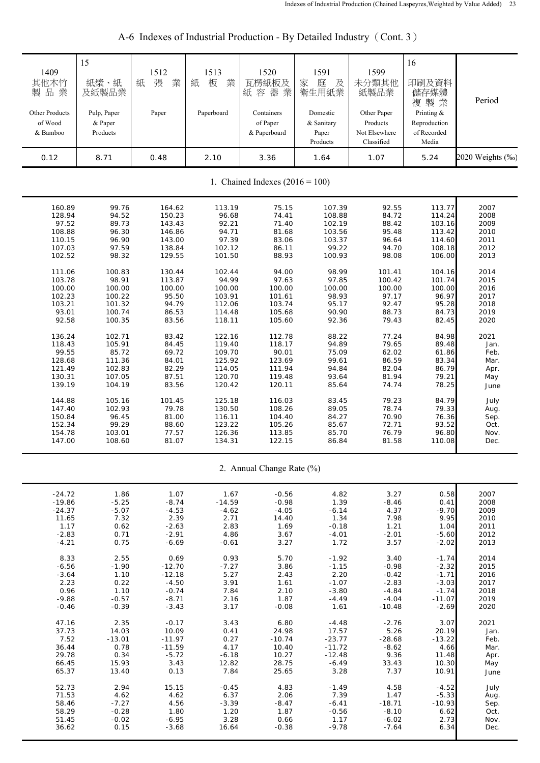| 1409<br>其他木竹<br>製品業<br>Other Products<br>of Wood<br>& Bamboo | 15<br>紙漿、紙<br>及紙製品業<br>Pulp, Paper<br>& Paper<br>Products | 1512<br>張<br>紙<br>業<br>Paper | 1513<br>紙<br>板<br>業<br>Paperboard | 1520<br>瓦楞紙板及<br>紙容器業<br>Containers<br>of Paper<br>& Paperboard | 1591<br>家<br>庭<br>及<br>衛生用紙業<br>Domestic<br>& Sanitary<br>Paper<br>Products | 1599<br>未分類其他<br>紙製品業<br>Other Paper<br>Products<br>Not Elsewhere<br>Classified | 16<br>印刷及資料<br>儲存媒體<br>複製業<br>Printing $\&$<br>Reproduction<br>of Recorded<br>Media | Period           |
|--------------------------------------------------------------|-----------------------------------------------------------|------------------------------|-----------------------------------|-----------------------------------------------------------------|-----------------------------------------------------------------------------|---------------------------------------------------------------------------------|-------------------------------------------------------------------------------------|------------------|
| 0.12                                                         | 8.71                                                      | 0.48                         | 2.10                              | 3.36                                                            | 1.64                                                                        | 1.07                                                                            | 5.24                                                                                | 2020 Weights (‰) |
|                                                              |                                                           |                              |                                   | 1. Chained Indexes $(2016 = 100)$                               |                                                                             |                                                                                 |                                                                                     |                  |
| 160.89                                                       | 99.76                                                     | 164.62                       | 113.19                            | 75.15                                                           | 107.39                                                                      | 92.55                                                                           | 113.77                                                                              | 2007             |
| 128.94                                                       | 94.52                                                     | 150.23                       | 96.68                             | 74.41                                                           | 108.88                                                                      | 84.72                                                                           | 114.24                                                                              | 2008             |
| 97.52                                                        | 89.73                                                     | 143.43                       | 92.21                             | 71.40                                                           | 102.19                                                                      | 88.42                                                                           | 103.16                                                                              | 2009             |
| 108.88                                                       | 96.30                                                     | 146.86                       | 94.71                             | 81.68                                                           | 103.56                                                                      | 95.48                                                                           | 113.42                                                                              | 2010             |
| 110.15                                                       | 96.90                                                     | 143.00                       | 97.39                             | 83.06                                                           | 103.37                                                                      | 96.64                                                                           | 114.60                                                                              | 2011             |
| 107.03                                                       | 97.59                                                     | 138.84                       | 102.12                            | 86.11                                                           | 99.22                                                                       | 94.70                                                                           | 108.18                                                                              | 2012             |
| 102.52                                                       | 98.32                                                     | 129.55                       | 101.50                            | 88.93                                                           | 100.93                                                                      | 98.08                                                                           | 106.00                                                                              | 2013             |
| 111.06                                                       | 100.83                                                    | 130.44                       | 102.44                            | 94.00                                                           | 98.99                                                                       | 101.41                                                                          | 104.16                                                                              | 2014             |
| 103.78                                                       | 98.91                                                     | 113.87                       | 94.99                             | 97.63                                                           | 97.85                                                                       | 100.42                                                                          | 101.74                                                                              | 2015             |
| 100.00                                                       | 100.00                                                    | 100.00                       | 100.00                            | 100.00                                                          | 100.00                                                                      | 100.00                                                                          | 100.00                                                                              | 2016             |
| 102.23                                                       | 100.22                                                    | 95.50                        | 103.91                            | 101.61                                                          | 98.93                                                                       | 97.17                                                                           | 96.97                                                                               | 2017             |
| 103.21                                                       | 101.32                                                    | 94.79                        | 112.06                            | 103.74                                                          | 95.17                                                                       | 92.47                                                                           | 95.28                                                                               | 2018             |
| 93.01                                                        | 100.74                                                    | 86.53                        | 114.48                            | 105.68                                                          | 90.90                                                                       | 88.73                                                                           | 84.73                                                                               | 2019             |
| 92.58                                                        | 100.35                                                    | 83.56                        | 118.11                            | 105.60                                                          | 92.36                                                                       | 79.43                                                                           | 82.45                                                                               | 2020             |
| 136.24                                                       | 102.71                                                    | 83.42                        | 122.16                            | 112.78                                                          | 88.22                                                                       | 77.24                                                                           | 84.98                                                                               | 2021             |
| 118.43                                                       | 105.91                                                    | 84.45                        | 119.40                            | 118.17                                                          | 94.89                                                                       | 79.65                                                                           | 89.48                                                                               | Jan.             |
| 99.55                                                        | 85.72                                                     | 69.72                        | 109.70                            | 90.01                                                           | 75.09                                                                       | 62.02                                                                           | 61.86                                                                               | Feb.             |
| 128.68                                                       | 111.36                                                    | 84.01                        | 125.92                            | 123.69                                                          | 99.61                                                                       | 86.59                                                                           | 83.34                                                                               | Mar.             |
| 121.49                                                       | 102.83                                                    | 82.29                        | 114.05                            | 111.94                                                          | 94.84                                                                       | 82.04                                                                           | 86.79                                                                               | Apr.             |
| 130.31                                                       | 107.05                                                    | 87.51                        | 120.70                            | 119.48                                                          | 93.64                                                                       | 81.94                                                                           | 79.21                                                                               | May              |
| 139.19                                                       | 104.19                                                    | 83.56                        | 120.42                            | 120.11                                                          | 85.64                                                                       | 74.74                                                                           | 78.25                                                                               | June             |
| 144.88                                                       | 105.16                                                    | 101.45                       | 125.18                            | 116.03                                                          | 83.45                                                                       | 79.23                                                                           | 84.79                                                                               | July             |
| 147.40                                                       | 102.93                                                    | 79.78                        | 130.50                            | 108.26                                                          | 89.05                                                                       | 78.74                                                                           | 79.33                                                                               | Aug.             |
| 150.84                                                       | 96.45                                                     | 81.00                        | 116.11                            | 104.40                                                          | 84.27                                                                       | 70.90                                                                           | 76.36                                                                               | Sep.             |
| 152.34                                                       | 99.29                                                     | 88.60                        | 123.22                            | 105.26                                                          | 85.67                                                                       | 72.71                                                                           | 93.52                                                                               | Oct.             |
| 154.78                                                       | 103.01                                                    | 77.57                        | 126.36                            | 113.85                                                          | 85.70                                                                       | 76.79                                                                           | 96.80                                                                               | Nov.             |
| 147.00                                                       | 108.60                                                    | 81.07                        | 134.31                            | 122.15                                                          | 86.84                                                                       | 81.58                                                                           | 110.08                                                                              | Dec.             |
|                                                              |                                                           |                              |                                   | 2. Annual Change Rate (%)                                       |                                                                             |                                                                                 |                                                                                     |                  |
| $-24.72$                                                     | 1.86                                                      | 1.07                         | 1.67                              | $-0.56$                                                         | 4.82                                                                        | 3.27                                                                            | 0.58                                                                                | 2007             |
| $-19.86$                                                     | $-5.25$                                                   | $-8.74$                      | $-14.59$                          | $-0.98$                                                         | 1.39                                                                        | $-8.46$                                                                         | 0.41                                                                                | 2008             |
| $-24.37$                                                     | $-5.07$                                                   | $-4.53$                      | $-4.62$                           | $-4.05$                                                         | $-6.14$                                                                     | 4.37                                                                            | $-9.70$                                                                             | 2009             |
| 11.65                                                        | 7.32                                                      | 2.39                         | 2.71                              | 14.40                                                           | 1.34                                                                        | 7.98                                                                            | 9.95                                                                                | 2010             |
| 1.17                                                         | 0.62                                                      | $-2.63$                      | 2.83                              | 1.69                                                            | $-0.18$                                                                     | 1.21                                                                            | 1.04                                                                                | 2011             |
| $-2.83$                                                      | 0.71                                                      | $-2.91$                      | 4.86                              | 3.67                                                            | $-4.01$                                                                     | $-2.01$                                                                         | $-5.60$                                                                             | 2012             |
| $-4.21$                                                      | 0.75                                                      | $-6.69$                      | $-0.61$                           | 3.27                                                            | 1.72                                                                        | 3.57                                                                            | $-2.02$                                                                             | 2013             |
| 8.33                                                         | 2.55                                                      | 0.69                         | 0.93                              | 5.70                                                            | $-1.92$                                                                     | 3.40                                                                            | $-1.74$                                                                             | 2014             |
| $-6.56$                                                      | $-1.90$                                                   | $-12.70$                     | $-7.27$                           | 3.86                                                            | $-1.15$                                                                     | $-0.98$                                                                         | $-2.32$                                                                             | 2015             |
| $-3.64$                                                      | 1.10                                                      | $-12.18$                     | 5.27                              | 2.43                                                            | 2.20                                                                        | $-0.42$                                                                         | $-1.71$                                                                             | 2016             |
| 2.23                                                         | 0.22                                                      | $-4.50$                      | 3.91                              | 1.61                                                            | $-1.07$                                                                     | $-2.83$                                                                         | $-3.03$                                                                             | 2017             |
| 0.96                                                         | 1.10                                                      | $-0.74$                      | 7.84                              | 2.10                                                            | $-3.80$                                                                     | $-4.84$                                                                         | $-1.74$                                                                             | 2018             |
| $-9.88$                                                      | $-0.57$                                                   | $-8.71$                      | 2.16                              | 1.87                                                            | $-4.49$                                                                     | $-4.04$                                                                         | $-11.07$                                                                            | 2019             |
| $-0.46$                                                      | $-0.39$                                                   | $-3.43$                      | 3.17                              | $-0.08$                                                         | 1.61                                                                        | $-10.48$                                                                        | $-2.69$                                                                             | 2020             |
| 47.16                                                        | 2.35                                                      | $-0.17$                      | 3.43                              | 6.80                                                            | $-4.48$                                                                     | $-2.76$                                                                         | 3.07                                                                                | 2021             |
| 37.73                                                        | 14.03                                                     | 10.09                        | 0.41                              | 24.98                                                           | 17.57                                                                       | 5.26                                                                            | 20.19                                                                               | Jan.             |
| 7.52                                                         | $-13.01$                                                  | $-11.97$                     | 0.27                              | $-10.74$                                                        | $-23.77$                                                                    | $-28.68$                                                                        | $-13.22$                                                                            | Feb.             |
| 36.44                                                        | 0.78                                                      | $-11.59$                     | 4.17                              | 10.40                                                           | $-11.72$                                                                    | $-8.62$                                                                         | 4.66                                                                                | Mar.             |
| 29.78                                                        | 0.34                                                      | $-5.72$                      | $-6.18$                           | 10.27                                                           | $-12.48$                                                                    | 9.36                                                                            | 11.48                                                                               | Apr.             |
| 66.45                                                        | 15.93                                                     | 3.43                         | 12.82                             | 28.75                                                           | $-6.49$                                                                     | 33.43                                                                           | 10.30                                                                               | May              |
| 65.37                                                        | 13.40                                                     | 0.13                         | 7.84                              | 25.65                                                           | 3.28                                                                        | 7.37                                                                            | 10.91                                                                               | June             |
| 52.73                                                        | 2.94                                                      | 15.15                        | $-0.45$                           | 4.83                                                            | $-1.49$                                                                     | 4.58                                                                            | $-4.52$                                                                             | July             |
| 71.53                                                        | 4.62                                                      | 4.62                         | 6.37                              | 2.06                                                            | 7.39                                                                        | 1.47                                                                            | $-5.33$                                                                             | Aug.             |
| 58.46                                                        | $-7.27$                                                   | 4.56                         | $-3.39$                           | $-8.47$                                                         | $-6.41$                                                                     | $-18.71$                                                                        | $-10.93$                                                                            | Sep.             |
| 58.29                                                        | $-0.28$                                                   | 1.80                         | 1.20                              | 1.87                                                            | $-0.56$                                                                     | $-8.10$                                                                         | 6.62                                                                                | Oct.             |
| 51.45                                                        | $-0.02$                                                   | $-6.95$                      | 3.28                              | 0.66                                                            | 1.17                                                                        | $-6.02$                                                                         | 2.73                                                                                | Nov.             |
| 36.62                                                        | 0.15                                                      | $-3.68$                      | 16.64                             | $-0.38$                                                         | $-9.78$                                                                     | $-7.64$                                                                         | 6.34                                                                                | Dec.             |

# A-6 Indexes of Industrial Production - By Detailed Industry (Cont. 3)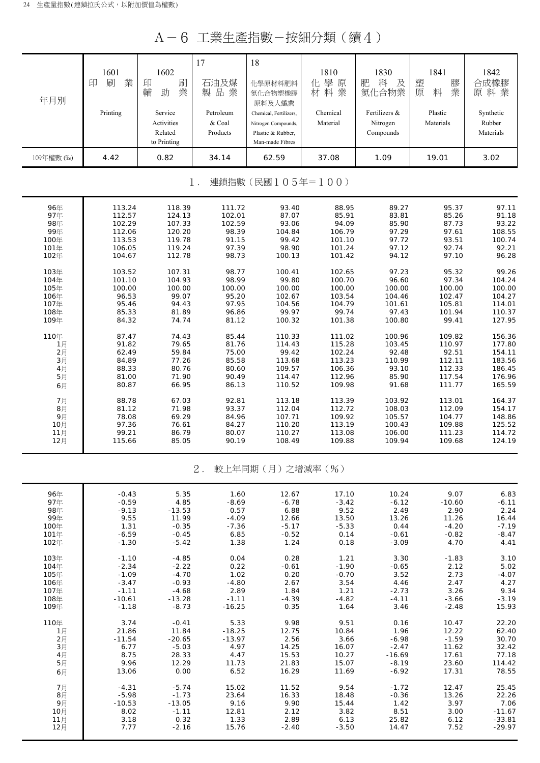A-6 工業生產指數-按細分類(續4)

| 年月別                       | 1601<br>業<br>刷<br>印        | 1602<br>印<br>刷<br>業<br>輔<br>助                   | 17<br>石油及煤<br>製品業               | 18<br>化學原材料肥料<br>氮化合物塑橡膠                                                                        | 1810<br>化學原<br>材料業       | 1830<br>肥<br>料<br>及<br>氮化合物業           | 1841<br>膠<br>塑<br>業<br>原<br>料 | 1842<br>合成橡膠<br>原料業              |  |  |
|---------------------------|----------------------------|-------------------------------------------------|---------------------------------|-------------------------------------------------------------------------------------------------|--------------------------|----------------------------------------|-------------------------------|----------------------------------|--|--|
|                           | Printing                   | Service<br>Activities<br>Related<br>to Printing | Petroleum<br>& Coal<br>Products | 原料及人纖業<br>Chemical, Fertilizers,<br>Nitrogen Compounds,<br>Plastic & Rubber,<br>Man-made Fibres | Chemical<br>Material     | Fertilizers &<br>Nitrogen<br>Compounds | Plastic<br>Materials          | Synthetic<br>Rubber<br>Materials |  |  |
| 109年權數 (%)                | 4.42                       | 0.82                                            | 34.14                           | 62.59                                                                                           | 37.08                    | 1.09                                   | 19.01                         | 3.02                             |  |  |
| 連鎖指數(民國105年=100)<br>$1$ . |                            |                                                 |                                 |                                                                                                 |                          |                                        |                               |                                  |  |  |
| 96年                       | 113.24                     | 118.39                                          | 111.72                          | 93.40                                                                                           | 88.95                    | 89.27                                  | 95.37                         | 97.11                            |  |  |
| 97年                       | 112.57                     | 124.13                                          | 102.01                          | 87.07                                                                                           | 85.91                    | 83.81                                  | 85.26                         | 91.18                            |  |  |
| 98年                       | 102.29                     | 107.33                                          | 102.59                          | 93.06                                                                                           | 94.09                    | 85.90                                  | 87.73                         | 93.22                            |  |  |
| 99年                       | 112.06                     | 120.20                                          | 98.39                           | 104.84                                                                                          | 106.79                   | 97.29                                  | 97.61                         | 108.55                           |  |  |
| 100年                      | 113.53                     | 119.78                                          | 91.15                           | 99.42                                                                                           | 101.10                   | 97.72                                  | 93.51                         | 100.74                           |  |  |
| 101年                      | 106.05                     | 119.24                                          | 97.39                           | 98.90                                                                                           | 101.24                   | 97.12                                  | 92.74                         | 92.21                            |  |  |
| 102年                      | 104.67                     | 112.78                                          | 98.73                           | 100.13                                                                                          | 101.42                   | 94.12                                  | 97.10                         | 96.28                            |  |  |
| 103年                      | 103.52                     | 107.31                                          | 98.77                           | 100.41                                                                                          | 102.65                   | 97.23                                  | 95.32                         | 99.26                            |  |  |
| 104年                      | 101.10                     | 104.93                                          | 98.99                           | 99.80                                                                                           | 100.70                   | 96.60                                  | 97.34                         | 104.24                           |  |  |
| 105年                      | 100.00                     | 100.00                                          | 100.00                          | 100.00                                                                                          | 100.00                   | 100.00                                 | 100.00                        | 100.00                           |  |  |
| 106年                      | 96.53                      | 99.07                                           | 95.20                           | 102.67                                                                                          | 103.54                   | 104.46                                 | 102.47                        | 104.27                           |  |  |
| 107年                      | 95.46                      | 94.43                                           | 97.95                           | 104.56                                                                                          | 104.79                   | 101.61                                 | 105.81                        | 114.01                           |  |  |
| 108年                      | 85.33                      | 81.89                                           | 96.86                           | 99.97                                                                                           | 99.74                    | 97.43                                  | 101.94                        | 110.37                           |  |  |
| 109年                      | 84.32                      | 74.74                                           | 81.12                           | 100.32                                                                                          | 101.38                   | 100.80                                 | 99.41                         | 127.95                           |  |  |
| 110年                      | 87.47                      | 74.43                                           | 85.44                           | 110.33                                                                                          | 111.02                   | 100.96                                 | 109.82                        | 156.36                           |  |  |
| 1月                        | 91.82                      | 79.65                                           | 81.76                           | 114.43                                                                                          | 115.28                   | 103.45                                 | 110.97                        | 177.80                           |  |  |
| 2月                        | 62.49                      | 59.84                                           | 75.00                           | 99.42                                                                                           | 102.24                   | 92.48                                  | 92.51                         | 154.11                           |  |  |
| 3月                        | 84.89                      | 77.26                                           | 85.58                           | 113.68                                                                                          | 113.23                   | 110.99                                 | 112.11                        | 183.56                           |  |  |
| 4月                        | 88.33                      | 80.76                                           | 80.60                           | 109.57                                                                                          | 106.36                   | 93.10                                  | 112.33                        | 186.45                           |  |  |
| 5月                        | 81.00                      | 71.90                                           | 90.49                           | 114.47                                                                                          | 112.96                   | 85.90                                  | 117.54                        | 176.96                           |  |  |
|                           | 80.87                      | 66.95                                           | 86.13                           | 110.52                                                                                          | 109.98                   | 91.68                                  | 111.77                        | 165.59                           |  |  |
| 6月<br>7月<br>8月            | 88.78<br>81.12             | 67.03<br>71.98                                  | 92.81<br>93.37                  | 113.18<br>112.04                                                                                | 113.39<br>112.72         | 103.92<br>108.03                       | 113.01<br>112.09              | 164.37<br>154.17                 |  |  |
| 9月                        | 78.08                      | 69.29                                           | 84.96                           | 107.71                                                                                          | 109.92                   | 105.57                                 | 104.77                        | 148.86                           |  |  |
| 10月                       | 97.36                      | 76.61                                           | 84.27                           | 110.20                                                                                          | 113.19                   | 100.43                                 | 109.88                        | 125.52                           |  |  |
| 11月                       | 99.21                      | 86.79                                           | 80.07                           | 110.27                                                                                          | 113.08                   | 106.00                                 | 111.23                        | 114.72                           |  |  |
| 12月                       | 115.66                     | 85.05                                           | 90.19                           | 108.49                                                                                          | 109.88                   | 109.94                                 | 109.68                        | 124.19                           |  |  |
|                           |                            |                                                 | $2$ .                           | 較上年同期(月)之增減率(%)                                                                                 |                          |                                        |                               |                                  |  |  |
| 96年                       | $-0.43$                    | 5.35                                            | 1.60                            | 12.67                                                                                           | 17.10                    | 10.24                                  | 9.07                          | 6.83                             |  |  |
| 97年<br>98年<br>99年         | $-0.59$<br>$-9.13$<br>9.55 | 4.85<br>$-13.53$<br>11.99                       | $-8.69$<br>0.57                 | $-6.78$<br>6.88                                                                                 | $-3.42$<br>9.52<br>13.50 | $-6.12$<br>2.49<br>13.26               | $-10.60$<br>2.90              | $-6.11$<br>2.24<br>16.44         |  |  |
| 100年<br>101年              | 1.31<br>$-6.59$            | $-0.35$<br>$-0.45$                              | $-4.09$<br>$-7.36$<br>6.85      | 12.66<br>$-5.17$<br>$-0.52$                                                                     | $-5.33$<br>0.14          | 0.44<br>$-0.61$                        | 11.26<br>$-4.20$<br>$-0.82$   | $-7.19$<br>$-8.47$               |  |  |
| 102年                      | $-1.30$                    | $-5.42$                                         | 1.38                            | 1.24                                                                                            | 0.18                     | $-3.09$                                | 4.70                          | 4.41                             |  |  |
| 103年                      | $-1.10$                    | $-4.85$                                         | 0.04                            | 0.28                                                                                            | 1.21                     | 3.30                                   | $-1.83$                       | 3.10                             |  |  |
| 104年                      | $-2.34$                    | $-2.22$                                         | 0.22                            | $-0.61$                                                                                         | $-1.90$                  | $-0.65$                                | 2.12                          | 5.02                             |  |  |
| 105年                      | $-1.09$                    | $-4.70$                                         | 1.02                            | 0.20                                                                                            | $-0.70$                  | 3.52                                   | 2.73                          | $-4.07$                          |  |  |
| 106年                      | $-3.47$                    | $-0.93$                                         | $-4.80$                         | 2.67                                                                                            | 3.54                     | 4.46                                   | 2.47                          | 4.27                             |  |  |
| 107年                      | $-1.11$                    | $-4.68$                                         | 2.89                            | 1.84                                                                                            | 1.21                     | $-2.73$                                | 3.26                          | 9.34                             |  |  |
| 108年                      | $-10.61$                   | $-13.28$                                        | $-1.11$                         | -4.39                                                                                           | $-4.82$                  | $-4.11$                                | $-3.66$                       | $-3.19$                          |  |  |
| 109年                      | $-1.18$                    | $-8.73$                                         | $-16.25$                        | 0.35                                                                                            | 1.64                     | 3.46                                   | $-2.48$                       | 15.93                            |  |  |
| 110年                      | 3.74                       | $-0.41$                                         | 5.33                            | 9.98                                                                                            | 9.51                     | 0.16                                   | 10.47                         | 22.20                            |  |  |
| 1月                        | 21.86                      | 11.84                                           | $-18.25$                        | 12.75                                                                                           | 10.84                    | 1.96                                   | 12.22                         | 62.40                            |  |  |
| 2月                        | $-11.54$                   | $-20.65$                                        | $-13.97$                        | 2.56                                                                                            | 3.66                     | $-6.98$                                | $-1.59$                       | 30.70                            |  |  |
| 3月                        | 6.77                       | $-5.03$                                         | 4.97                            | 14.25                                                                                           | 16.07                    | $-2.47$                                | 11.62                         | 32.42                            |  |  |
| 4月                        | 8.75                       | 28.33                                           | 4.47                            | 15.53                                                                                           | 10.27                    | $-16.69$                               | 17.61                         | 77.18                            |  |  |
| 5月                        | 9.96                       | 12.29                                           | 11.73                           | 21.83                                                                                           | 15.07                    | $-8.19$                                | 23.60                         | 114.42                           |  |  |
| 6月                        | 13.06                      | 0.00                                            | 6.52                            | 16.29                                                                                           | 11.69                    | $-6.92$                                | 17.31                         | 78.55                            |  |  |
| 7月                        | $-4.31$                    | $-5.74$                                         | 15.02                           | 11.52                                                                                           | 9.54                     | $-1.72$                                | 12.47                         | 25.45                            |  |  |
| 8月                        | $-5.98$                    | $-1.73$                                         | 23.64                           | 16.33                                                                                           | 18.48                    | $-0.36$                                | 13.26                         | 22.26                            |  |  |
| 9月                        | $-10.53$                   | $-13.05$                                        | 9.16                            | 9.90                                                                                            | 15.44                    | 1.42                                   | 3.97                          | 7.06                             |  |  |
| 10月                       | 8.02                       | $-1.11$                                         | 12.81                           | 2.12                                                                                            | 3.82                     | 8.51                                   | 3.00                          | $-11.67$                         |  |  |
| 11月                       | 3.18                       | 0.32                                            | 1.33                            | 2.89                                                                                            | 6.13                     | 25.82                                  | 6.12                          | $-33.81$                         |  |  |
| 12月                       | 7.77                       | $-2.16$                                         | 15.76                           | $-2.40$                                                                                         | $-3.50$                  | 14.47                                  | 7.52                          | $-29.97$                         |  |  |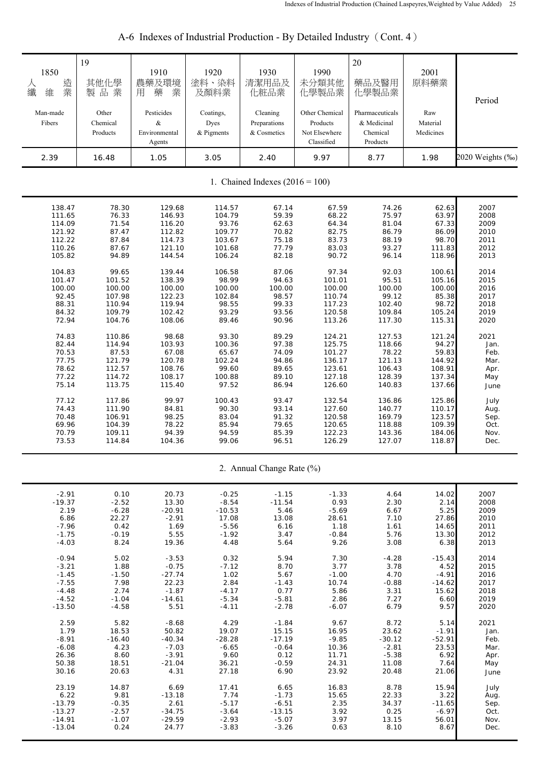| 1850<br>造業<br>人<br>纖<br>維<br>Man-made | 19<br>其他化學<br>製品業<br>Other | 1910<br>農藥及環境<br>藥<br>業<br>用<br>Pesticides | 1920<br>塗料、染料<br>及顏料業<br>Coatings, | 1930<br>清潔用品及<br>化粧品業<br>Cleaning | 1990<br>未分類其他<br>化學製品業<br>Other Chemical | 20<br>藥品及醫用<br>化學製品業<br>Pharmaceuticals | 2001<br>原料藥業<br>Raw   | Period           |
|---------------------------------------|----------------------------|--------------------------------------------|------------------------------------|-----------------------------------|------------------------------------------|-----------------------------------------|-----------------------|------------------|
| Fibers                                | Chemical<br>Products       | &<br>Environmental<br>Agents               | Dyes<br>& Pigments                 | Preparations<br>& Cosmetics       | Products<br>Not Elsewhere<br>Classified  | & Medicinal<br>Chemical<br>Products     | Material<br>Medicines |                  |
| 2.39                                  | 16.48                      | 1.05                                       | 3.05                               | 2.40                              | 9.97                                     | 8.77                                    | 1.98                  | 2020 Weights (%) |
|                                       |                            |                                            |                                    | 1. Chained Indexes $(2016 = 100)$ |                                          |                                         |                       |                  |
| 138.47                                | 78.30                      | 129.68                                     | 114.57                             | 67.14                             | 67.59                                    | 74.26                                   | 62.63                 | 2007             |
| 111.65                                | 76.33                      | 146.93                                     | 104.79                             | 59.39                             | 68.22                                    | 75.97                                   | 63.97                 | 2008             |
| 114.09                                | 71.54                      | 116.20                                     | 93.76                              | 62.63                             | 64.34                                    | 81.04                                   | 67.33                 | 2009             |
| 121.92                                | 87.47                      | 112.82                                     | 109.77                             | 70.82                             | 82.75                                    | 86.79                                   | 86.09                 | 2010             |
| 112.22                                | 87.84                      | 114.73                                     | 103.67                             | 75.18                             | 83.73                                    | 88.19                                   | 98.70                 | 2011             |
| 110.26                                | 87.67                      | 121.10                                     | 101.68                             | 77.79                             | 83.03                                    | 93.27                                   | 111.83                | 2012             |
| 105.82                                | 94.89                      | 144.54                                     | 106.24                             | 82.18                             | 90.72                                    | 96.14                                   | 118.96                | 2013             |
| 104.83                                | 99.65                      | 139.44                                     | 106.58                             | 87.06                             | 97.34                                    | 92.03                                   | 100.61                | 2014             |
| 101.47                                | 101.52                     | 138.39                                     | 98.99                              | 94.63                             | 101.01                                   | 95.51                                   | 105.16                | 2015             |
| 100.00                                | 100.00                     | 100.00                                     | 100.00                             | 100.00                            | 100.00                                   | 100.00                                  | 100.00                | 2016             |
| 92.45                                 | 107.98                     | 122.23                                     | 102.84                             | 98.57                             | 110.74                                   | 99.12                                   | 85.38                 | 2017             |
| 88.31                                 | 110.94                     | 119.94                                     | 98.55                              | 99.33                             | 117.23                                   | 102.40                                  | 98.72                 | 2018             |
| 84.32                                 | 109.79                     | 102.42                                     | 93.29                              | 93.56                             | 120.58                                   | 109.84                                  | 105.24                | 2019             |
| 72.94                                 | 104.76                     | 108.06                                     | 89.46                              | 90.96                             | 113.26                                   | 117.30                                  | 115.31                | 2020             |
| 74.83                                 | 110.86                     | 98.68                                      | 93.30                              | 89.29                             | 124.21                                   | 127.53                                  | 121.24                | 2021             |
| 82.44                                 | 114.94                     | 103.93                                     | 100.36                             | 97.38                             | 125.75                                   | 118.66                                  | 94.27                 | Jan.             |
| 70.53                                 | 87.53                      | 67.08                                      | 65.67                              | 74.09                             | 101.27                                   | 78.22                                   | 59.83                 | Feb.             |
| 77.75                                 | 121.79                     | 120.78                                     | 102.24                             | 94.86                             | 136.17                                   | 121.13                                  | 144.92                | Mar.             |
| 78.62                                 | 112.57                     | 108.76                                     | 99.60                              | 89.65                             | 123.61                                   | 106.43                                  | 108.91                | Apr.             |
| 77.22                                 | 114.72                     | 108.17                                     | 100.88                             | 89.10                             | 127.18                                   | 128.39                                  | 137.34                | May              |
| 75.14                                 | 113.75                     | 115.40                                     | 97.52                              | 86.94                             | 126.60                                   | 140.83                                  | 137.66                | June             |
| 77.12                                 | 117.86                     | 99.97                                      | 100.43                             | 93.47                             | 132.54                                   | 136.86                                  | 125.86                | July             |
| 74.43                                 | 111.90                     | 84.81                                      | 90.30                              | 93.14                             | 127.60                                   | 140.77                                  | 110.17                | Aug.             |
| 70.48                                 | 106.91                     | 98.25                                      | 83.04                              | 91.32                             | 120.58                                   | 169.79                                  | 123.57                | Sep.             |
| 69.96                                 | 104.39                     | 78.22                                      | 85.94                              | 79.65                             | 120.65                                   | 118.88                                  | 109.39                | Oct.             |
| 70.79                                 | 109.11                     | 94.39                                      | 94.59                              | 85.39                             | 122.23                                   | 143.36                                  | 184.06                | Nov.             |
| 73.53                                 | 114.84                     | 104.36                                     | 99.06                              | 96.51                             | 126.29                                   | 127.07                                  | 118.87                | Dec.             |
|                                       |                            |                                            |                                    | 2. Annual Change Rate (%)         |                                          |                                         |                       |                  |
| $-2.91$                               | 0.10                       | 20.73                                      | $-0.25$                            | $-1.15$                           | $-1.33$                                  | 4.64                                    | 14.02                 | 2007             |
| $-19.37$                              | $-2.52$                    | 13.30                                      | $-8.54$                            | $-11.54$                          | 0.93                                     | 2.30                                    | 2.14                  | 2008             |
| 2.19                                  | $-6.28$                    | $-20.91$                                   | $-10.53$                           | 5.46                              | $-5.69$                                  | 6.67                                    | 5.25                  | 2009             |
| 6.86                                  | 22.27                      | $-2.91$                                    | 17.08                              | 13.08                             | 28.61                                    | 7.10                                    | 27.86                 | 2010             |
| $-7.96$                               | 0.42                       | 1.69                                       | $-5.56$                            | 6.16                              | 1.18                                     | 1.61                                    | 14.65                 | 2011             |
| $-1.75$                               | $-0.19$                    | 5.55                                       | $-1.92$                            | 3.47                              | $-0.84$                                  | 5.76                                    | 13.30                 | 2012             |
| $-4.03$                               | 8.24                       | 19.36                                      | 4.48                               | 5.64                              | 9.26                                     | 3.08                                    | 6.38                  | 2013             |
| $-0.94$                               | 5.02                       | $-3.53$                                    | 0.32                               | 5.94                              | 7.30                                     | $-4.28$                                 | $-15.43$              | 2014             |
| $-3.21$                               | 1.88                       | $-0.75$                                    | $-7.12$                            | 8.70                              | 3.77                                     | 3.78                                    | 4.52                  | 2015             |
| $-1.45$                               | $-1.50$                    | $-27.74$                                   | 1.02                               | 5.67                              | $-1.00$                                  | 4.70                                    | $-4.91$               | 2016             |
| $-7.55$                               | 7.98                       | 22.23                                      | 2.84                               | $-1.43$                           | 10.74                                    | $-0.88$                                 | $-14.62$              | 2017             |
| $-4.48$                               | 2.74                       | $-1.87$                                    | $-4.17$                            | 0.77                              | 5.86                                     | 3.31                                    | 15.62                 | 2018             |
| $-4.52$                               | $-1.04$                    | $-14.61$                                   | $-5.34$                            | $-5.81$                           | 2.86                                     | 7.27                                    | 6.60                  | 2019             |
| $-13.50$                              | $-4.58$                    | 5.51                                       | $-4.11$                            | $-2.78$                           | $-6.07$                                  | 6.79                                    | 9.57                  | 2020             |
| 2.59                                  | 5.82                       | $-8.68$                                    | 4.29                               | $-1.84$                           | 9.67                                     | 8.72                                    | 5.14                  | 2021             |
| 1.79                                  | 18.53                      | 50.82                                      | 19.07                              | 15.15                             | 16.95                                    | 23.62                                   | $-1.91$               | Jan.             |
| $-8.91$                               | $-16.40$                   | $-40.34$                                   | $-28.28$                           | $-17.19$                          | $-9.85$                                  | $-30.12$                                | $-52.91$              | Feb.             |
| $-6.08$                               | 4.23                       | $-7.03$                                    | $-6.65$                            | $-0.64$                           | 10.36                                    | $-2.81$                                 | 23.53                 | Mar.             |
| 26.36                                 | 8.60                       | $-3.91$                                    | 9.60                               | 0.12                              | 11.71                                    | $-5.38$                                 | 6.92                  | Apr.             |
| 50.38                                 | 18.51                      | $-21.04$                                   | 36.21                              | $-0.59$                           | 24.31                                    | 11.08                                   | 7.64                  | May              |
| 30.16                                 | 20.63                      | 4.31                                       | 27.18                              | 6.90                              | 23.92                                    | 20.48                                   | 21.06                 | June             |
| 23.19                                 | 14.87                      | 6.69                                       | 17.41                              | 6.65                              | 16.83                                    | 8.78                                    | 15.94                 | July             |
| 6.22                                  | 9.81                       | $-13.18$                                   | 7.74                               | $-1.73$                           | 15.65                                    | 22.33                                   | 3.22                  | Aug.             |
| $-13.79$                              | $-0.35$                    | 2.61                                       | $-5.17$                            | $-6.51$                           | 2.35                                     | 34.37                                   | $-11.65$              | Sep.             |
| $-13.27$                              | $-2.57$                    | $-34.75$                                   | $-3.64$                            | $-13.15$                          | 3.92                                     | 0.25                                    | $-6.97$               | Oct.             |
| $-14.91$                              | $-1.07$                    | $-29.59$                                   | $-2.93$                            | $-5.07$                           | 3.97                                     | 13.15                                   | 56.01                 | Nov.             |
| $-13.04$                              | 0.24                       | 24.77                                      | $-3.83$                            | $-3.26$                           | 0.63                                     | 8.10                                    | 8.67                  | Dec.             |

# A-6 Indexes of Industrial Production - By Detailed Industry (Cont. 4)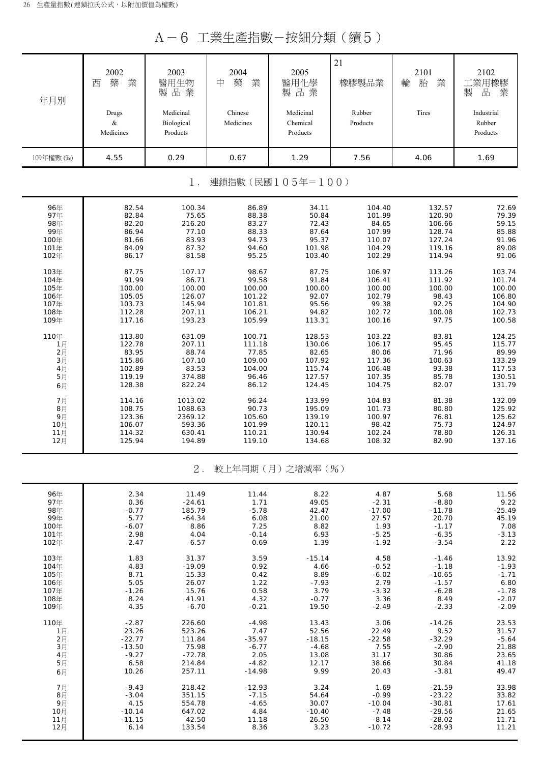A-6 工業生產指數-按細分類(續5)

| 年月別        | 2002<br>業<br>藥<br>西<br>Drugs<br>$\&$ | 2003<br>醫用生物<br>製品業<br>Medicinal<br>Biological | 2004<br>中<br>藥<br>業<br>Chinese<br>Medicines | 2005<br>醫用化學<br>製品業<br>Medicinal<br>Chemical | 21<br>橡膠製品業<br>Rubber<br>Products | 2101<br>業<br>輪<br>胎<br>Tires | 2102<br>工業用橡膠<br>品<br>業<br>製<br>Industrial<br>Rubber |
|------------|--------------------------------------|------------------------------------------------|---------------------------------------------|----------------------------------------------|-----------------------------------|------------------------------|------------------------------------------------------|
|            | Medicines                            | Products                                       |                                             | Products                                     |                                   |                              | Products                                             |
| 109年權數 (‰) | 4.55                                 | 0.29                                           | 0.67                                        | 1.29                                         | 7.56                              | 4.06                         | 1.69                                                 |
|            |                                      | $1$ .                                          |                                             | 連鎖指數(民國105年=100)                             |                                   |                              |                                                      |
| 96年        | 82.54                                | 100.34                                         | 86.89                                       | 34.11                                        | 104.40                            | 132.57                       | 72.69                                                |
| 97年        | 82.84                                | 75.65                                          | 88.38                                       | 50.84                                        | 101.99                            | 120.90                       | 79.39                                                |
| 98年        | 82.20                                | 216.20                                         | 83.27                                       | 72.43                                        | 84.65                             | 106.66                       | 59.15                                                |
| 99年        | 86.94                                | 77.10                                          | 88.33                                       | 87.64                                        | 107.99                            | 128.74                       | 85.88                                                |
| 100年       | 81.66                                | 83.93                                          | 94.73                                       | 95.37                                        | 110.07                            | 127.24                       | 91.96                                                |
| 101年       | 84.09                                | 87.32                                          | 94.60                                       | 101.98                                       | 104.29                            | 119.16                       | 89.08                                                |
| 102年       | 86.17                                | 81.58                                          | 95.25                                       | 103.40                                       | 102.29                            | 114.94                       | 91.06                                                |
| 103年       | 87.75                                | 107.17                                         | 98.67                                       | 87.75                                        | 106.97                            | 113.26                       | 103.74                                               |
| 104年       | 91.99                                | 86.71                                          | 99.58                                       | 91.84                                        | 106.41                            | 111.92                       | 101.74                                               |
| 105年       | 100.00                               | 100.00                                         | 100.00                                      | 100.00                                       | 100.00                            | 100.00                       | 100.00                                               |
| 106年       | 105.05                               | 126.07                                         | 101.22                                      | 92.07                                        | 102.79                            | 98.43                        | 106.80                                               |
| 107年       | 103.73                               | 145.94                                         | 101.81                                      | 95.56                                        | 99.38                             | 92.25                        | 104.90                                               |
| 108年       | 112.28                               | 207.11                                         | 106.21                                      | 94.82                                        | 102.72                            | 100.08                       | 102.73                                               |
| 109年       | 117.16                               | 193.23                                         | 105.99                                      | 113.31                                       | 100.16                            | 97.75                        | 100.58                                               |
| 110年       | 113.80                               | 631.09                                         | 100.71                                      | 128.53                                       | 103.22                            | 83.81                        | 124.25                                               |
| 1月         | 122.78                               | 207.11                                         | 111.18                                      | 130.06                                       | 106.17                            | 95.45                        | 115.77                                               |
| 2月         | 83.95                                | 88.74                                          | 77.85                                       | 82.65                                        | 80.06                             | 71.96                        | 89.99                                                |
| $3\n  1$   | 115.86                               | 107.10                                         | 109.00                                      | 107.92                                       | 117.36                            | 100.63                       | 133.29                                               |
| 4月         | 102.89                               | 83.53                                          | 104.00                                      | 115.74                                       | 106.48                            | 93.38                        | 117.53                                               |
| 5月         | 119.19                               | 374.88                                         | 96.46                                       | 127.57                                       | 107.35                            | 85.78                        | 130.51                                               |
| 6月         | 128.38                               | 822.24                                         | 86.12                                       | 124.45                                       | 104.75                            | 82.07                        | 131.79                                               |
| 7月         | 114.16                               | 1013.02                                        | 96.24                                       | 133.99                                       | 104.83                            | 81.38                        | 132.09                                               |
| 8月         | 108.75                               | 1088.63                                        | 90.73                                       | 195.09                                       | 101.73                            | 80.80                        | 125.92                                               |
| 9月         | 123.36                               | 2369.12                                        | 105.60                                      | 139.19                                       | 100.97                            | 76.81                        | 125.62                                               |
| 10月        | 106.07                               | 593.36                                         | 101.99                                      | 120.11                                       | 98.42                             | 75.73                        | 124.97                                               |
| 11月        | 114.32                               | 630.41                                         | 110.21                                      | 130.94                                       | 102.24                            | 78.80                        | 126.31                                               |
| 12月        | 125.94                               | 194.89                                         | 119.10                                      | 134.68                                       | 108.32                            | 82.90                        | 137.16                                               |
|            |                                      | $2$ .                                          |                                             | 較上年同期(月)之增減率(%)                              |                                   |                              |                                                      |
| 96年        | 2.34                                 | 11.49                                          | 11.44                                       | 8.22                                         | 4.87                              | 5.68                         | 11.56                                                |
| 97年        | 0.36                                 | $-24.61$                                       | 1.71                                        | 49.05                                        | $-2.31$                           | $-8.80$                      | 9.22                                                 |
| 98年        | $-0.77$                              | 185.79                                         | $-5.78$                                     | 42.47                                        | $-17.00$                          | $-11.78$                     | $-25.49$                                             |
| 99年        | 5.77                                 | $-64.34$                                       | 6.08                                        | 21.00                                        | 27.57                             | 20.70                        | 45.19                                                |
| 100年       | $-6.07$                              | 8.86                                           | 7.25                                        | 8.82                                         | 1.93                              | $-1.17$                      | 7.08                                                 |
| 101年       | 2.98                                 | 4.04                                           | $-0.14$                                     | 6.93                                         | $-5.25$                           | $-6.35$                      | $-3.13$                                              |
| 102年       | 2.47                                 | $-6.57$                                        | 0.69                                        | 1.39                                         | $-1.92$                           | $-3.54$                      | 2.22                                                 |
| 103年       | 1.83                                 | 31.37                                          | 3.59                                        | $-15.14$                                     | 4.58                              | $-1.46$                      | 13.92                                                |
| 104年       | 4.83                                 | $-19.09$                                       | 0.92                                        | 4.66                                         | $-0.52$                           | $-1.18$                      | $-1.93$                                              |
| 105年       | 8.71                                 | 15.33                                          | 0.42                                        | 8.89                                         | $-6.02$                           | $-10.65$                     | $-1.71$                                              |
| 106年       | 5.05                                 | 26.07                                          | 1.22                                        | $-7.93$                                      | 2.79                              | $-1.57$                      | 6.80                                                 |
| 107年       | $-1.26$                              | 15.76                                          | 0.58                                        | 3.79                                         | $-3.32$                           | $-6.28$                      | $-1.78$                                              |
| 108年       | 8.24                                 | 41.91                                          | 4.32                                        | $-0.77$                                      | 3.36                              | 8.49                         | $-2.07$                                              |
| 109年       | 4.35                                 | $-6.70$                                        | $-0.21$                                     | 19.50                                        | $-2.49$                           | $-2.33$                      | $-2.09$                                              |
| 110年       | $-2.87$                              | 226.60                                         | $-4.98$                                     | 13.43                                        | 3.06                              | $-14.26$                     | 23.53                                                |
| 1月         | 23.26                                | 523.26                                         | 7.47                                        | 52.56                                        | 22.49                             | 9.52                         | 31.57                                                |
| 2月         | $-22.77$                             | 111.84                                         | -35.97                                      | $-18.15$                                     | $-22.58$                          | $-32.29$                     | $-5.64$                                              |
| 3月         | $-13.50$                             | 75.98                                          | $-6.77$                                     | $-4.68$                                      | 7.55                              | $-2.90$                      | 21.88                                                |
| 4月         | $-9.27$                              | $-72.78$                                       | 2.05                                        | 13.08                                        | 31.17                             | 30.86                        | 23.65                                                |
| 5月         | 6.58                                 | 214.84                                         | $-4.82$                                     | 12.17                                        | 38.66                             | 30.84                        | 41.18                                                |
| 6月         | 10.26                                | 257.11                                         | $-14.98$                                    | 9.99                                         | 20.43                             | $-3.81$                      | 49.47                                                |
| 7月         | $-9.43$                              | 218.42                                         | $-12.93$                                    | 3.24                                         | 1.69                              | $-21.59$                     | 33.98                                                |
| 8月         | $-3.04$                              | 351.15                                         | $-7.15$                                     | 54.64                                        | $-0.99$                           | $-23.22$                     | 33.82                                                |
| 9月         | 4.15                                 | 554.78                                         | $-4.65$                                     | 30.07                                        | $-10.04$                          | $-30.81$                     | 17.61                                                |
| 10月        | $-10.14$                             | 647.02                                         | 4.84                                        | $-10.40$                                     | $-7.48$                           | $-29.56$                     | 21.65                                                |
| 11月        | $-11.15$                             | 42.50                                          | 11.18                                       | 26.50                                        | $-8.14$                           | $-28.02$                     | 11.71                                                |
| 12月        | 6.14                                 | 133.54                                         | 8.36                                        | 3.23                                         | $-10.72$                          | $-28.93$                     | 11.21                                                |
|            |                                      |                                                |                                             |                                              |                                   |                              |                                                      |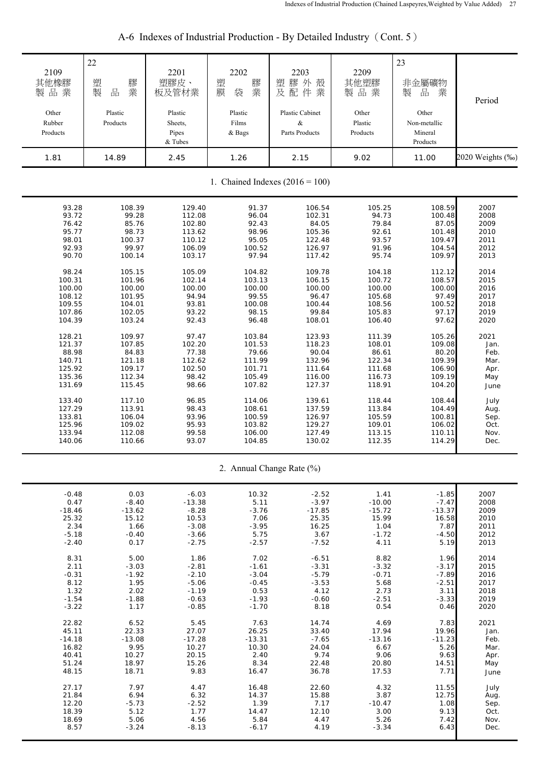| 2109<br>其他橡膠<br>製品業<br>Other<br>Rubber<br>Products                                                 | 22<br>膠<br>塑<br>業<br>製<br>品<br>Plastic<br>Products                                                     | 2201<br>塑膠皮、<br>板及管材業<br>Plastic<br>Sheets,<br>Pipes<br>& Tubes                                           | 2202<br>膠<br>塑<br>業<br>膜<br>袋<br>Plastic<br>Films<br>& Bags                                         | 2203<br>膠外殼<br>塑<br>及配件業<br>Plastic Cabinet<br>&<br>Parts Products                                       | 2209<br>其他塑膠<br>製品業<br>Other<br>Plastic<br>Products                                                  | 23<br>非金屬礦物<br>品<br>業<br>製<br>Other<br>Non-metallic<br>Mineral<br>Products                               | Period                                                                               |
|----------------------------------------------------------------------------------------------------|--------------------------------------------------------------------------------------------------------|-----------------------------------------------------------------------------------------------------------|-----------------------------------------------------------------------------------------------------|----------------------------------------------------------------------------------------------------------|------------------------------------------------------------------------------------------------------|----------------------------------------------------------------------------------------------------------|--------------------------------------------------------------------------------------|
| 1.81                                                                                               | 14.89                                                                                                  | 2.45                                                                                                      | 1.26                                                                                                | 2.15                                                                                                     | 9.02                                                                                                 | 11.00                                                                                                    | 2020 Weights (%)                                                                     |
|                                                                                                    |                                                                                                        |                                                                                                           |                                                                                                     | 1. Chained Indexes $(2016 = 100)$                                                                        |                                                                                                      |                                                                                                          |                                                                                      |
| 93.28<br>93.72<br>76.42<br>95.77<br>98.01<br>92.93<br>90.70<br>98.24<br>100.31<br>100.00<br>108.12 | 108.39<br>99.28<br>85.76<br>98.73<br>100.37<br>99.97<br>100.14<br>105.15<br>101.96<br>100.00<br>101.95 | 129.40<br>112.08<br>102.80<br>113.62<br>110.12<br>106.09<br>103.17<br>105.09<br>102.14<br>100.00<br>94.94 | 91.37<br>96.04<br>92.43<br>98.96<br>95.05<br>100.52<br>97.94<br>104.82<br>103.13<br>100.00<br>99.55 | 106.54<br>102.31<br>84.05<br>105.36<br>122.48<br>126.97<br>117.42<br>109.78<br>106.15<br>100.00<br>96.47 | 105.25<br>94.73<br>79.84<br>92.61<br>93.57<br>91.96<br>95.74<br>104.18<br>100.72<br>100.00<br>105.68 | 108.59<br>100.48<br>87.05<br>101.48<br>109.47<br>104.54<br>109.97<br>112.12<br>108.57<br>100.00<br>97.49 | 2007<br>2008<br>2009<br>2010<br>2011<br>2012<br>2013<br>2014<br>2015<br>2016<br>2017 |
| 109.55<br>107.86<br>104.39                                                                         | 104.01<br>102.05<br>103.24<br>109.97                                                                   | 93.81<br>93.22<br>92.43                                                                                   | 100.08<br>98.15<br>96.48                                                                            | 100.44<br>99.84<br>108.01<br>123.93                                                                      | 108.56<br>105.83<br>106.40                                                                           | 100.52<br>97.17<br>97.62                                                                                 | 2018<br>2019<br>2020<br>2021                                                         |
| 128.21<br>121.37<br>88.98<br>140.71<br>125.92<br>135.36<br>131.69                                  | 107.85<br>84.83<br>121.18<br>109.17<br>112.34<br>115.45                                                | 97.47<br>102.20<br>77.38<br>112.62<br>102.50<br>98.42<br>98.66                                            | 103.84<br>101.53<br>79.66<br>111.99<br>101.71<br>105.49<br>107.82                                   | 118.23<br>90.04<br>132.96<br>111.64<br>116.00<br>127.37                                                  | 111.39<br>108.01<br>86.61<br>122.34<br>111.68<br>116.73<br>118.91                                    | 105.26<br>109.08<br>80.20<br>109.39<br>106.90<br>109.19<br>104.20                                        | Jan.<br>Feb.<br>Mar.<br>Apr.<br>May<br>June                                          |
| 133.40<br>127.29<br>133.81<br>125.96<br>133.94<br>140.06                                           | 117.10<br>113.91<br>106.04<br>109.02<br>112.08<br>110.66                                               | 96.85<br>98.43<br>93.96<br>95.93<br>99.58<br>93.07                                                        | 114.06<br>108.61<br>100.59<br>103.82<br>106.00<br>104.85                                            | 139.61<br>137.59<br>126.97<br>129.27<br>127.49<br>130.02                                                 | 118.44<br>113.84<br>105.59<br>109.01<br>113.15<br>112.35                                             | 108.44<br>104.49<br>100.81<br>106.02<br>110.11<br>114.29                                                 | July<br>Aug.<br>Sep.<br>Oct.<br>Nov.<br>Dec.                                         |
|                                                                                                    |                                                                                                        |                                                                                                           |                                                                                                     | 2. Annual Change Rate (%)                                                                                |                                                                                                      |                                                                                                          |                                                                                      |
| $-0.48$<br>0.47<br>$-18.46$<br>25.32<br>2.34<br>$-5.18$<br>$-2.40$                                 | 0.03<br>$-8.40$<br>$-13.62$<br>15.12<br>1.66<br>$-0.40$<br>0.17                                        | $-6.03$<br>$-13.38$<br>$-8.28$<br>10.53<br>$-3.08$<br>$-3.66$<br>$-2.75$                                  | 10.32<br>5.11<br>$-3.76$<br>7.06<br>$-3.95$<br>5.75<br>$-2.57$                                      | $-2.52$<br>$-3.97$<br>$-17.85$<br>25.35<br>16.25<br>3.67<br>$-7.52$                                      | 1.41<br>$-10.00$<br>$-15.72$<br>15.99<br>1.04<br>$-1.72$<br>4.11                                     | $-1.85$<br>$-7.47$<br>$-13.37$<br>16.58<br>7.87<br>$-4.50$<br>5.19                                       | 2007<br>2008<br>2009<br>2010<br>2011<br>2012<br>2013                                 |
| 8.31<br>2.11<br>$-0.31$<br>8.12<br>1.32<br>$-1.54$<br>$-3.22$                                      | 5.00<br>$-3.03$<br>$-1.92$<br>1.95<br>2.02<br>$-1.88$<br>1.17                                          | 1.86<br>$-2.81$<br>$-2.10$<br>$-5.06$<br>$-1.19$<br>$-0.63$<br>$-0.85$                                    | 7.02<br>$-1.61$<br>$-3.04$<br>$-0.45$<br>0.53<br>$-1.93$<br>$-1.70$                                 | $-6.51$<br>$-3.31$<br>$-5.79$<br>$-3.53$<br>4.12<br>$-0.60$<br>8.18                                      | 8.82<br>$-3.32$<br>$-0.71$<br>5.68<br>2.73<br>$-2.51$<br>0.54                                        | 1.96<br>$-3.17$<br>$-7.89$<br>$-2.51$<br>3.11<br>$-3.33$<br>0.46                                         | 2014<br>2015<br>2016<br>2017<br>2018<br>2019<br>2020                                 |
| 22.82<br>45.11<br>$-14.18$<br>16.82<br>40.41<br>51.24<br>48.15                                     | 6.52<br>22.33<br>$-13.08$<br>9.95<br>10.27<br>18.97<br>18.71                                           | 5.45<br>27.07<br>$-17.28$<br>10.27<br>20.15<br>15.26<br>9.83                                              | 7.63<br>26.25<br>$-13.31$<br>10.30<br>2.40<br>8.34<br>16.47                                         | 14.74<br>33.40<br>$-7.65$<br>24.04<br>9.74<br>22.48<br>36.78                                             | 4.69<br>17.94<br>$-13.16$<br>6.67<br>9.06<br>20.80<br>17.53                                          | 7.83<br>19.96<br>$-11.23$<br>5.26<br>9.63<br>14.51<br>7.71                                               | 2021<br>Jan.<br>Feb.<br>Mar.<br>Apr.<br>May<br>June                                  |
| 27.17<br>21.84<br>12.20<br>18.39<br>18.69<br>8.57                                                  | 7.97<br>6.94<br>$-5.73$<br>5.12<br>5.06<br>$-3.24$                                                     | 4.47<br>6.32<br>$-2.52$<br>1.77<br>4.56<br>$-8.13$                                                        | 16.48<br>14.37<br>1.39<br>14.47<br>5.84<br>$-6.17$                                                  | 22.60<br>15.88<br>7.17<br>12.10<br>4.47<br>4.19                                                          | 4.32<br>3.87<br>$-10.47$<br>3.00<br>5.26<br>$-3.34$                                                  | 11.55<br>12.75<br>1.08<br>9.13<br>7.42<br>6.43                                                           | July<br>Aug.<br>Sep.<br>Oct.<br>Nov.<br>Dec.                                         |

A-6 Indexes of Industrial Production - By Detailed Industry (Cont. 5)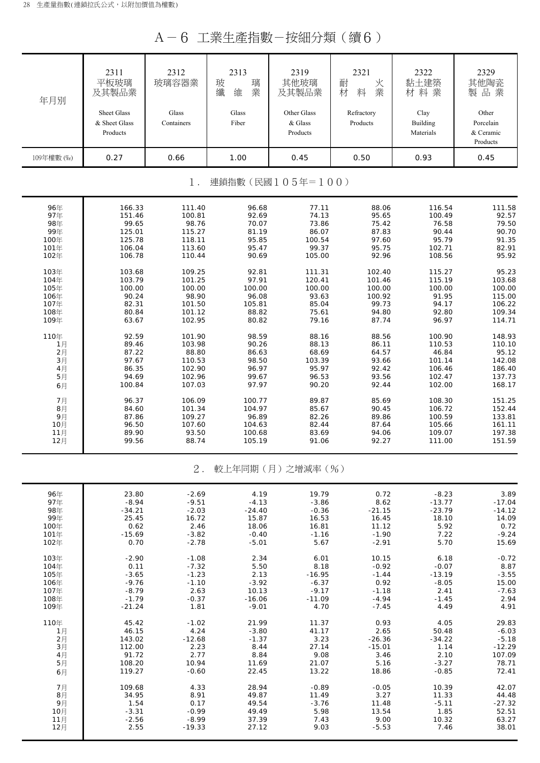A-6 工業生產指數-按細分類(續6)

| 2313<br>2321<br>2311<br>2312<br>2319<br>2322<br>耐<br>平板玻璃<br>玻璃容器業<br>玻<br>璃<br>其他玻璃<br>黏土建築<br>火<br>業<br>業<br>及其製品業<br>纖<br>及其製品業<br>材<br>維<br>料<br>材料業<br>年月別<br>Glass<br>Glass<br>Other Glass<br>Sheet Glass<br>Refractory<br>Clay<br>& Sheet Glass<br>Containers<br>Fiber<br>& Glass<br>Products<br>Building<br>Products<br>Materials<br>Products<br>0.27<br>109年權數 (‰)<br>0.66<br>1.00<br>0.45<br>0.50<br>0.93<br>連鎖指數(民國105年=100)<br>$1$ .<br>166.33<br>96年<br>111.40<br>96.68<br>77.11<br>88.06<br>116.54<br>97年<br>100.81<br>92.69<br>74.13<br>95.65<br>100.49<br>151.46<br>98年<br>99.65<br>98.76<br>70.07<br>73.86<br>75.42<br>76.58<br>99年<br>115.27<br>81.19<br>86.07<br>87.83<br>90.44<br>125.01<br>118.11<br>95.85<br>97.60<br>95.79<br>100年<br>125.78<br>100.54<br>113.60<br>95.47<br>99.37<br>95.75<br>102.71<br>101年<br>106.04<br>90.69<br>92.96<br>108.56<br>102年<br>106.78<br>110.44<br>105.00<br>103.68<br>109.25<br>92.81<br>111.31<br>102.40<br>103年<br>115.27<br>97.91<br>104年<br>103.79<br>101.25<br>120.41<br>101.46<br>115.19<br>100.00<br>100.00<br>100.00<br>100.00<br>100.00<br>100.00<br>105年<br>98.90<br>96.08<br>100.92<br>91.95<br>106年<br>90.24<br>93.63<br>99.73<br>107年<br>82.31<br>101.50<br>105.81<br>85.04<br>94.17<br>80.84<br>101.12<br>88.82<br>75.61<br>94.80<br>92.80<br>108年<br>63.67<br>102.95<br>80.82<br>79.16<br>87.74<br>96.97<br>109年<br>110年<br>92.59<br>101.90<br>98.59<br>88.16<br>88.56<br>100.90<br>90.26<br>1月<br>89.46<br>103.98<br>88.13<br>86.11<br>110.53<br>2月<br>88.80<br>64.57<br>46.84<br>87.22<br>86.63<br>68.69<br>$3\n  1$<br>97.67<br>110.53<br>98.50<br>93.66<br>101.14<br>103.39<br>4月<br>102.90<br>86.35<br>96.97<br>95.97<br>92.42<br>106.46<br>5月<br>94.69<br>102.96<br>99.67<br>96.53<br>93.56<br>102.47<br>100.84<br>107.03<br>97.97<br>90.20<br>92.44<br>102.00<br>6月<br>7月<br>96.37<br>106.09<br>89.87<br>85.69<br>108.30<br>100.77<br>8月<br>84.60<br>101.34<br>104.97<br>85.67<br>90.45<br>106.72<br>9月<br>87.86<br>109.27<br>96.89<br>82.26<br>89.86<br>100.59<br>10月<br>96.50<br>107.60<br>105.66<br>104.63<br>82.44<br>87.64<br>11月<br>93.50<br>89.90<br>100.68<br>83.69<br>94.06<br>109.07<br>12月<br>99.56<br>88.74<br>105.19<br>91.06<br>92.27<br>111.00<br>$2$ .<br>較上年同期(月)之增減率(%)<br>96年<br>23.80<br>19.79<br>$-8.23$<br>$-2.69$<br>4.19<br>0.72<br>97年<br>$-8.94$<br>$-9.51$<br>$-4.13$<br>$-3.86$<br>8.62<br>$-13.77$<br>98年<br>$-0.36$<br>$-23.79$<br>$-34.21$<br>$-2.03$<br>$-24.40$<br>$-21.15$<br>99年<br>16.72<br>15.87<br>16.53<br>16.45<br>18.10<br>25.45<br>100年<br>0.62<br>2.46<br>16.81<br>11.12<br>5.92<br>18.06<br>101年<br>$-15.69$<br>$-3.82$<br>$-0.40$<br>$-1.16$<br>$-1.90$<br>7.22<br>5.70<br>0.70<br>$-2.78$<br>$-5.01$<br>5.67<br>$-2.91$<br>102年<br>103年<br>$-1.08$<br>2.34<br>6.01<br>10.15<br>$-2.90$<br>6.18<br>104年<br>0.11<br>$-7.32$<br>5.50<br>8.18<br>$-0.92$<br>$-0.07$ | 2329<br>其他陶瓷<br>製品業<br>Other<br>Porcelain<br>& Ceramic<br>Products<br>0.45<br>111.58<br>92.57 |
|---------------------------------------------------------------------------------------------------------------------------------------------------------------------------------------------------------------------------------------------------------------------------------------------------------------------------------------------------------------------------------------------------------------------------------------------------------------------------------------------------------------------------------------------------------------------------------------------------------------------------------------------------------------------------------------------------------------------------------------------------------------------------------------------------------------------------------------------------------------------------------------------------------------------------------------------------------------------------------------------------------------------------------------------------------------------------------------------------------------------------------------------------------------------------------------------------------------------------------------------------------------------------------------------------------------------------------------------------------------------------------------------------------------------------------------------------------------------------------------------------------------------------------------------------------------------------------------------------------------------------------------------------------------------------------------------------------------------------------------------------------------------------------------------------------------------------------------------------------------------------------------------------------------------------------------------------------------------------------------------------------------------------------------------------------------------------------------------------------------------------------------------------------------------------------------------------------------------------------------------------------------------------------------------------------------------------------------------------------------------------------------------------------------------------------------------------------------------------------------------------------------------------------------------------------------------------------------------------------------------------------------------------------------------------------------------------------------------------------------------------------------------------------------------------------------------------------------------------------------------------------------------|-----------------------------------------------------------------------------------------------|
|                                                                                                                                                                                                                                                                                                                                                                                                                                                                                                                                                                                                                                                                                                                                                                                                                                                                                                                                                                                                                                                                                                                                                                                                                                                                                                                                                                                                                                                                                                                                                                                                                                                                                                                                                                                                                                                                                                                                                                                                                                                                                                                                                                                                                                                                                                                                                                                                                                                                                                                                                                                                                                                                                                                                                                                                                                                                                             |                                                                                               |
|                                                                                                                                                                                                                                                                                                                                                                                                                                                                                                                                                                                                                                                                                                                                                                                                                                                                                                                                                                                                                                                                                                                                                                                                                                                                                                                                                                                                                                                                                                                                                                                                                                                                                                                                                                                                                                                                                                                                                                                                                                                                                                                                                                                                                                                                                                                                                                                                                                                                                                                                                                                                                                                                                                                                                                                                                                                                                             |                                                                                               |
|                                                                                                                                                                                                                                                                                                                                                                                                                                                                                                                                                                                                                                                                                                                                                                                                                                                                                                                                                                                                                                                                                                                                                                                                                                                                                                                                                                                                                                                                                                                                                                                                                                                                                                                                                                                                                                                                                                                                                                                                                                                                                                                                                                                                                                                                                                                                                                                                                                                                                                                                                                                                                                                                                                                                                                                                                                                                                             |                                                                                               |
|                                                                                                                                                                                                                                                                                                                                                                                                                                                                                                                                                                                                                                                                                                                                                                                                                                                                                                                                                                                                                                                                                                                                                                                                                                                                                                                                                                                                                                                                                                                                                                                                                                                                                                                                                                                                                                                                                                                                                                                                                                                                                                                                                                                                                                                                                                                                                                                                                                                                                                                                                                                                                                                                                                                                                                                                                                                                                             |                                                                                               |
|                                                                                                                                                                                                                                                                                                                                                                                                                                                                                                                                                                                                                                                                                                                                                                                                                                                                                                                                                                                                                                                                                                                                                                                                                                                                                                                                                                                                                                                                                                                                                                                                                                                                                                                                                                                                                                                                                                                                                                                                                                                                                                                                                                                                                                                                                                                                                                                                                                                                                                                                                                                                                                                                                                                                                                                                                                                                                             | 79.50                                                                                         |
|                                                                                                                                                                                                                                                                                                                                                                                                                                                                                                                                                                                                                                                                                                                                                                                                                                                                                                                                                                                                                                                                                                                                                                                                                                                                                                                                                                                                                                                                                                                                                                                                                                                                                                                                                                                                                                                                                                                                                                                                                                                                                                                                                                                                                                                                                                                                                                                                                                                                                                                                                                                                                                                                                                                                                                                                                                                                                             | 90.70<br>91.35                                                                                |
|                                                                                                                                                                                                                                                                                                                                                                                                                                                                                                                                                                                                                                                                                                                                                                                                                                                                                                                                                                                                                                                                                                                                                                                                                                                                                                                                                                                                                                                                                                                                                                                                                                                                                                                                                                                                                                                                                                                                                                                                                                                                                                                                                                                                                                                                                                                                                                                                                                                                                                                                                                                                                                                                                                                                                                                                                                                                                             | 82.91<br>95.92                                                                                |
|                                                                                                                                                                                                                                                                                                                                                                                                                                                                                                                                                                                                                                                                                                                                                                                                                                                                                                                                                                                                                                                                                                                                                                                                                                                                                                                                                                                                                                                                                                                                                                                                                                                                                                                                                                                                                                                                                                                                                                                                                                                                                                                                                                                                                                                                                                                                                                                                                                                                                                                                                                                                                                                                                                                                                                                                                                                                                             | 95.23<br>103.68                                                                               |
|                                                                                                                                                                                                                                                                                                                                                                                                                                                                                                                                                                                                                                                                                                                                                                                                                                                                                                                                                                                                                                                                                                                                                                                                                                                                                                                                                                                                                                                                                                                                                                                                                                                                                                                                                                                                                                                                                                                                                                                                                                                                                                                                                                                                                                                                                                                                                                                                                                                                                                                                                                                                                                                                                                                                                                                                                                                                                             | 100.00<br>115.00                                                                              |
|                                                                                                                                                                                                                                                                                                                                                                                                                                                                                                                                                                                                                                                                                                                                                                                                                                                                                                                                                                                                                                                                                                                                                                                                                                                                                                                                                                                                                                                                                                                                                                                                                                                                                                                                                                                                                                                                                                                                                                                                                                                                                                                                                                                                                                                                                                                                                                                                                                                                                                                                                                                                                                                                                                                                                                                                                                                                                             | 106.22<br>109.34<br>114.71                                                                    |
|                                                                                                                                                                                                                                                                                                                                                                                                                                                                                                                                                                                                                                                                                                                                                                                                                                                                                                                                                                                                                                                                                                                                                                                                                                                                                                                                                                                                                                                                                                                                                                                                                                                                                                                                                                                                                                                                                                                                                                                                                                                                                                                                                                                                                                                                                                                                                                                                                                                                                                                                                                                                                                                                                                                                                                                                                                                                                             | 148.93                                                                                        |
|                                                                                                                                                                                                                                                                                                                                                                                                                                                                                                                                                                                                                                                                                                                                                                                                                                                                                                                                                                                                                                                                                                                                                                                                                                                                                                                                                                                                                                                                                                                                                                                                                                                                                                                                                                                                                                                                                                                                                                                                                                                                                                                                                                                                                                                                                                                                                                                                                                                                                                                                                                                                                                                                                                                                                                                                                                                                                             | 110.10<br>95.12<br>142.08                                                                     |
|                                                                                                                                                                                                                                                                                                                                                                                                                                                                                                                                                                                                                                                                                                                                                                                                                                                                                                                                                                                                                                                                                                                                                                                                                                                                                                                                                                                                                                                                                                                                                                                                                                                                                                                                                                                                                                                                                                                                                                                                                                                                                                                                                                                                                                                                                                                                                                                                                                                                                                                                                                                                                                                                                                                                                                                                                                                                                             | 186.40<br>137.73                                                                              |
|                                                                                                                                                                                                                                                                                                                                                                                                                                                                                                                                                                                                                                                                                                                                                                                                                                                                                                                                                                                                                                                                                                                                                                                                                                                                                                                                                                                                                                                                                                                                                                                                                                                                                                                                                                                                                                                                                                                                                                                                                                                                                                                                                                                                                                                                                                                                                                                                                                                                                                                                                                                                                                                                                                                                                                                                                                                                                             | 168.17                                                                                        |
|                                                                                                                                                                                                                                                                                                                                                                                                                                                                                                                                                                                                                                                                                                                                                                                                                                                                                                                                                                                                                                                                                                                                                                                                                                                                                                                                                                                                                                                                                                                                                                                                                                                                                                                                                                                                                                                                                                                                                                                                                                                                                                                                                                                                                                                                                                                                                                                                                                                                                                                                                                                                                                                                                                                                                                                                                                                                                             | 151.25<br>152.44<br>133.81                                                                    |
|                                                                                                                                                                                                                                                                                                                                                                                                                                                                                                                                                                                                                                                                                                                                                                                                                                                                                                                                                                                                                                                                                                                                                                                                                                                                                                                                                                                                                                                                                                                                                                                                                                                                                                                                                                                                                                                                                                                                                                                                                                                                                                                                                                                                                                                                                                                                                                                                                                                                                                                                                                                                                                                                                                                                                                                                                                                                                             | 161.11<br>197.38                                                                              |
|                                                                                                                                                                                                                                                                                                                                                                                                                                                                                                                                                                                                                                                                                                                                                                                                                                                                                                                                                                                                                                                                                                                                                                                                                                                                                                                                                                                                                                                                                                                                                                                                                                                                                                                                                                                                                                                                                                                                                                                                                                                                                                                                                                                                                                                                                                                                                                                                                                                                                                                                                                                                                                                                                                                                                                                                                                                                                             | 151.59                                                                                        |
|                                                                                                                                                                                                                                                                                                                                                                                                                                                                                                                                                                                                                                                                                                                                                                                                                                                                                                                                                                                                                                                                                                                                                                                                                                                                                                                                                                                                                                                                                                                                                                                                                                                                                                                                                                                                                                                                                                                                                                                                                                                                                                                                                                                                                                                                                                                                                                                                                                                                                                                                                                                                                                                                                                                                                                                                                                                                                             |                                                                                               |
|                                                                                                                                                                                                                                                                                                                                                                                                                                                                                                                                                                                                                                                                                                                                                                                                                                                                                                                                                                                                                                                                                                                                                                                                                                                                                                                                                                                                                                                                                                                                                                                                                                                                                                                                                                                                                                                                                                                                                                                                                                                                                                                                                                                                                                                                                                                                                                                                                                                                                                                                                                                                                                                                                                                                                                                                                                                                                             | 3.89<br>$-17.04$                                                                              |
|                                                                                                                                                                                                                                                                                                                                                                                                                                                                                                                                                                                                                                                                                                                                                                                                                                                                                                                                                                                                                                                                                                                                                                                                                                                                                                                                                                                                                                                                                                                                                                                                                                                                                                                                                                                                                                                                                                                                                                                                                                                                                                                                                                                                                                                                                                                                                                                                                                                                                                                                                                                                                                                                                                                                                                                                                                                                                             | $-14.12$<br>14.09                                                                             |
|                                                                                                                                                                                                                                                                                                                                                                                                                                                                                                                                                                                                                                                                                                                                                                                                                                                                                                                                                                                                                                                                                                                                                                                                                                                                                                                                                                                                                                                                                                                                                                                                                                                                                                                                                                                                                                                                                                                                                                                                                                                                                                                                                                                                                                                                                                                                                                                                                                                                                                                                                                                                                                                                                                                                                                                                                                                                                             | 0.72<br>$-9.24$                                                                               |
|                                                                                                                                                                                                                                                                                                                                                                                                                                                                                                                                                                                                                                                                                                                                                                                                                                                                                                                                                                                                                                                                                                                                                                                                                                                                                                                                                                                                                                                                                                                                                                                                                                                                                                                                                                                                                                                                                                                                                                                                                                                                                                                                                                                                                                                                                                                                                                                                                                                                                                                                                                                                                                                                                                                                                                                                                                                                                             | 15.69<br>$-0.72$                                                                              |
| 105年<br>$-3.65$<br>$-1.23$<br>2.13<br>$-16.95$<br>$-1.44$<br>$-13.19$                                                                                                                                                                                                                                                                                                                                                                                                                                                                                                                                                                                                                                                                                                                                                                                                                                                                                                                                                                                                                                                                                                                                                                                                                                                                                                                                                                                                                                                                                                                                                                                                                                                                                                                                                                                                                                                                                                                                                                                                                                                                                                                                                                                                                                                                                                                                                                                                                                                                                                                                                                                                                                                                                                                                                                                                                       | 8.87<br>$-3.55$                                                                               |
| 106年<br>$-9.76$<br>$-1.10$<br>$-3.92$<br>$-6.37$<br>0.92<br>$-8.05$<br>107年<br>$-8.79$<br>10.13<br>$-9.17$<br>2.41<br>2.63<br>$-1.18$                                                                                                                                                                                                                                                                                                                                                                                                                                                                                                                                                                                                                                                                                                                                                                                                                                                                                                                                                                                                                                                                                                                                                                                                                                                                                                                                                                                                                                                                                                                                                                                                                                                                                                                                                                                                                                                                                                                                                                                                                                                                                                                                                                                                                                                                                                                                                                                                                                                                                                                                                                                                                                                                                                                                                       | 15.00<br>$-7.63$                                                                              |
| 108年<br>$-1.79$<br>$-16.06$<br>$-11.09$<br>$-4.94$<br>$-1.45$<br>$-0.37$<br>109年<br>$-21.24$<br>1.81<br>$-9.01$<br>4.70<br>$-7.45$<br>4.49                                                                                                                                                                                                                                                                                                                                                                                                                                                                                                                                                                                                                                                                                                                                                                                                                                                                                                                                                                                                                                                                                                                                                                                                                                                                                                                                                                                                                                                                                                                                                                                                                                                                                                                                                                                                                                                                                                                                                                                                                                                                                                                                                                                                                                                                                                                                                                                                                                                                                                                                                                                                                                                                                                                                                  | 2.94<br>4.91                                                                                  |
| 110年<br>45.42<br>$-1.02$<br>21.99<br>11.37<br>0.93<br>4.05<br>1月<br>46.15<br>4.24<br>$-3.80$<br>41.17<br>2.65<br>50.48                                                                                                                                                                                                                                                                                                                                                                                                                                                                                                                                                                                                                                                                                                                                                                                                                                                                                                                                                                                                                                                                                                                                                                                                                                                                                                                                                                                                                                                                                                                                                                                                                                                                                                                                                                                                                                                                                                                                                                                                                                                                                                                                                                                                                                                                                                                                                                                                                                                                                                                                                                                                                                                                                                                                                                      | 29.83<br>$-6.03$                                                                              |
| 2月<br>3.23<br>143.02<br>$-12.68$<br>$-1.37$<br>$-26.36$<br>$-34.22$<br>3月<br>8.44<br>27.14<br>$-15.01$<br>112.00<br>2.23<br>1.14                                                                                                                                                                                                                                                                                                                                                                                                                                                                                                                                                                                                                                                                                                                                                                                                                                                                                                                                                                                                                                                                                                                                                                                                                                                                                                                                                                                                                                                                                                                                                                                                                                                                                                                                                                                                                                                                                                                                                                                                                                                                                                                                                                                                                                                                                                                                                                                                                                                                                                                                                                                                                                                                                                                                                            | $-5.18$<br>$-12.29$                                                                           |
| 91.72<br>2.77<br>9.08<br>4月<br>8.84<br>3.46<br>2.10<br>10.94<br>21.07<br>$-3.27$<br>5月<br>108.20<br>11.69<br>5.16<br>119.27<br>$-0.60$<br>22.45<br>13.22<br>$-0.85$<br>18.86                                                                                                                                                                                                                                                                                                                                                                                                                                                                                                                                                                                                                                                                                                                                                                                                                                                                                                                                                                                                                                                                                                                                                                                                                                                                                                                                                                                                                                                                                                                                                                                                                                                                                                                                                                                                                                                                                                                                                                                                                                                                                                                                                                                                                                                                                                                                                                                                                                                                                                                                                                                                                                                                                                                | 107.09                                                                                        |
| 6月<br>7月<br>28.94<br>$-0.89$<br>$-0.05$<br>10.39<br>109.68<br>4.33                                                                                                                                                                                                                                                                                                                                                                                                                                                                                                                                                                                                                                                                                                                                                                                                                                                                                                                                                                                                                                                                                                                                                                                                                                                                                                                                                                                                                                                                                                                                                                                                                                                                                                                                                                                                                                                                                                                                                                                                                                                                                                                                                                                                                                                                                                                                                                                                                                                                                                                                                                                                                                                                                                                                                                                                                          | 78.71                                                                                         |
| 8月<br>34.95<br>8.91<br>49.87<br>11.49<br>3.27<br>11.33<br>9月<br>1.54<br>49.54<br>$-3.76$<br>$-5.11$<br>0.17<br>11.48                                                                                                                                                                                                                                                                                                                                                                                                                                                                                                                                                                                                                                                                                                                                                                                                                                                                                                                                                                                                                                                                                                                                                                                                                                                                                                                                                                                                                                                                                                                                                                                                                                                                                                                                                                                                                                                                                                                                                                                                                                                                                                                                                                                                                                                                                                                                                                                                                                                                                                                                                                                                                                                                                                                                                                        | 72.41<br>42.07                                                                                |
| 10月<br>$-3.31$<br>$-0.99$<br>49.49<br>5.98<br>13.54<br>1.85<br>11月<br>$-2.56$<br>$-8.99$<br>37.39<br>7.43<br>9.00<br>10.32<br>2.55<br>$-19.33$<br>9.03<br>7.46<br>12月<br>27.12<br>$-5.53$                                                                                                                                                                                                                                                                                                                                                                                                                                                                                                                                                                                                                                                                                                                                                                                                                                                                                                                                                                                                                                                                                                                                                                                                                                                                                                                                                                                                                                                                                                                                                                                                                                                                                                                                                                                                                                                                                                                                                                                                                                                                                                                                                                                                                                                                                                                                                                                                                                                                                                                                                                                                                                                                                                   | 44.48<br>$-27.32$<br>52.51                                                                    |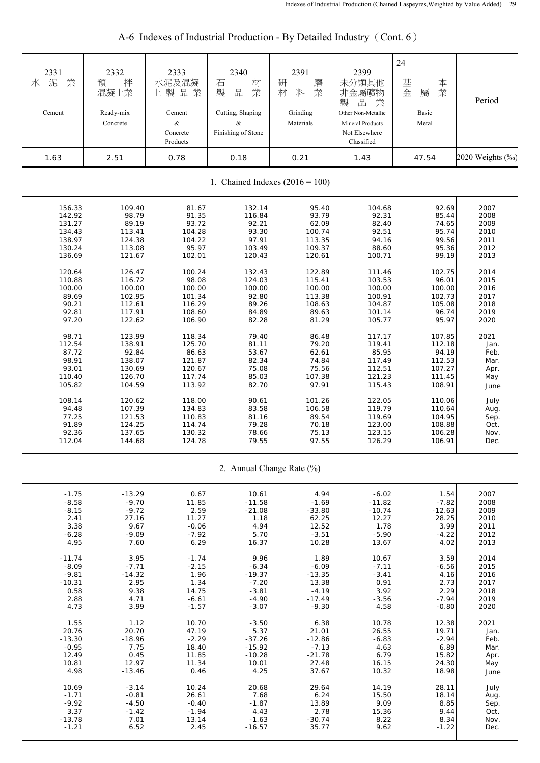| 2331<br>業<br>泥<br>水<br>Cement<br>1.63 | 2332<br>拌<br>預<br>混凝土業<br>Ready-mix<br>Concrete<br>2.51 | 2333<br>水泥及混凝<br>土製品業<br>Cement<br>$\&$<br>Concrete<br>Products<br>0.78 | 2340<br>材<br>石<br>業<br>品<br>製<br>Cutting, Shaping<br>&<br>Finishing of Stone<br>0.18 | 2391<br>研<br>磨業<br>料<br>材<br>Grinding<br>Materials<br>0.21 | 2399<br>未分類其他<br>非金屬礦物<br>品<br>製<br>業<br>Other Non-Metallic<br><b>Mineral Products</b><br>Not Elsewhere<br>Classified<br>1.43 | 24<br>基金<br>本業<br>屬<br>Basic<br>Metal<br>47.54 | Period<br>2020 Weights (‰) |  |  |
|---------------------------------------|---------------------------------------------------------|-------------------------------------------------------------------------|--------------------------------------------------------------------------------------|------------------------------------------------------------|-------------------------------------------------------------------------------------------------------------------------------|------------------------------------------------|----------------------------|--|--|
| 1. Chained Indexes $(2016 = 100)$     |                                                         |                                                                         |                                                                                      |                                                            |                                                                                                                               |                                                |                            |  |  |
| 156.33                                | 109.40                                                  | 81.67                                                                   | 132.14                                                                               | 95.40                                                      | 104.68                                                                                                                        | 92.69                                          | 2007                       |  |  |
| 142.92                                | 98.79                                                   | 91.35                                                                   | 116.84                                                                               | 93.79                                                      | 92.31                                                                                                                         | 85.44                                          | 2008                       |  |  |
| 131.27                                | 89.19                                                   | 93.72                                                                   | 92.21                                                                                | 62.09                                                      | 82.40                                                                                                                         | 74.65                                          | 2009                       |  |  |
| 134.43                                | 113.41                                                  | 104.28                                                                  | 93.30                                                                                | 100.74                                                     | 92.51                                                                                                                         | 95.74                                          | 2010                       |  |  |
| 138.97                                | 124.38                                                  | 104.22                                                                  | 97.91                                                                                | 113.35                                                     | 94.16                                                                                                                         | 99.56                                          | 2011                       |  |  |
| 130.24                                | 113.08                                                  | 95.97                                                                   | 103.49                                                                               | 109.37                                                     | 88.60                                                                                                                         | 95.36                                          | 2012                       |  |  |
| 136.69                                | 121.67                                                  | 102.01                                                                  | 120.43                                                                               | 120.61                                                     | 100.71                                                                                                                        | 99.19                                          | 2013                       |  |  |
| 120.64                                | 126.47                                                  | 100.24                                                                  | 132.43                                                                               | 122.89                                                     | 111.46                                                                                                                        | 102.75                                         | 2014                       |  |  |
| 110.88                                | 116.72                                                  | 98.08                                                                   | 124.03                                                                               | 115.41                                                     | 103.53                                                                                                                        | 96.01                                          | 2015                       |  |  |
| 100.00                                | 100.00                                                  | 100.00                                                                  | 100.00                                                                               | 100.00                                                     | 100.00                                                                                                                        | 100.00                                         | 2016                       |  |  |
| 89.69                                 | 102.95                                                  | 101.34                                                                  | 92.80                                                                                | 113.38                                                     | 100.91                                                                                                                        | 102.73                                         | 2017                       |  |  |
| 90.21                                 | 112.61                                                  | 116.29                                                                  | 89.26                                                                                | 108.63                                                     | 104.87                                                                                                                        | 105.08                                         | 2018                       |  |  |
| 92.81                                 | 117.91                                                  | 108.60                                                                  | 84.89                                                                                | 89.63                                                      | 101.14                                                                                                                        | 96.74                                          | 2019                       |  |  |
| 97.20                                 | 122.62                                                  | 106.90                                                                  | 82.28                                                                                | 81.29                                                      | 105.77                                                                                                                        | 95.97                                          | 2020                       |  |  |
| 98.71                                 | 123.99                                                  | 118.34                                                                  | 79.40                                                                                | 86.48                                                      | 117.17                                                                                                                        | 107.85                                         | 2021                       |  |  |
| 112.54                                | 138.91                                                  | 125.70                                                                  | 81.11                                                                                | 79.20                                                      | 119.41                                                                                                                        | 112.18                                         | Jan.                       |  |  |
| 87.72                                 | 92.84                                                   | 86.63                                                                   | 53.67                                                                                | 62.61                                                      | 85.95                                                                                                                         | 94.19                                          | Feb.                       |  |  |
| 98.91                                 | 138.07                                                  | 121.87                                                                  | 82.34                                                                                | 74.84                                                      | 117.49                                                                                                                        | 112.53                                         | Mar.                       |  |  |
| 93.01                                 | 130.69                                                  | 120.67                                                                  | 75.08                                                                                | 75.56                                                      | 112.51                                                                                                                        | 107.27                                         | Apr.                       |  |  |
| 110.40                                | 126.70                                                  | 117.74                                                                  | 85.03                                                                                | 107.38                                                     | 121.23                                                                                                                        | 111.45                                         | May                        |  |  |
| 105.82                                | 104.59                                                  | 113.92                                                                  | 82.70                                                                                | 97.91                                                      | 115.43                                                                                                                        | 108.91                                         | June                       |  |  |
| 108.14                                | 120.62                                                  | 118.00                                                                  | 90.61                                                                                | 101.26                                                     | 122.05                                                                                                                        | 110.06                                         | July                       |  |  |
| 94.48                                 | 107.39                                                  | 134.83                                                                  | 83.58                                                                                | 106.58                                                     | 119.79                                                                                                                        | 110.64                                         | Aug.                       |  |  |
| 77.25                                 | 121.53                                                  | 110.83                                                                  | 81.16                                                                                | 89.54                                                      | 119.69                                                                                                                        | 104.95                                         | Sep.                       |  |  |
| 91.89                                 | 124.25                                                  | 114.74                                                                  | 79.28                                                                                | 70.18                                                      | 123.00                                                                                                                        | 108.88                                         | Oct.                       |  |  |
| 92.36                                 | 137.65                                                  | 130.32                                                                  | 78.66                                                                                | 75.13                                                      | 123.15                                                                                                                        | 106.28                                         | Nov.                       |  |  |
| 112.04                                | 144.68                                                  | 124.78                                                                  | 79.55                                                                                | 97.55                                                      | 126.29                                                                                                                        | 106.91                                         | Dec.                       |  |  |
|                                       |                                                         |                                                                         |                                                                                      | 2. Annual Change Rate (%)                                  |                                                                                                                               |                                                |                            |  |  |
| $-1.75$                               | $-13.29$                                                | 0.67                                                                    | 10.61                                                                                | 4.94                                                       | $-6.02$                                                                                                                       | 1.54                                           | 2007                       |  |  |
| $-8.58$                               | $-9.70$                                                 | 11.85                                                                   | $-11.58$                                                                             | $-1.69$                                                    | $-11.82$                                                                                                                      | $-7.82$                                        | 2008                       |  |  |
| $-8.15$                               | $-9.72$                                                 | 2.59                                                                    | $-21.08$                                                                             | $-33.80$                                                   | $-10.74$                                                                                                                      | $-12.63$                                       | 2009                       |  |  |
| 2.41                                  | 27.16                                                   | 11.27                                                                   | 1.18                                                                                 | 62.25                                                      | 12.27                                                                                                                         | 28.25                                          | 2010                       |  |  |
| 3.38                                  | 9.67                                                    | $-0.06$                                                                 | 4.94                                                                                 | 12.52                                                      | 1.78                                                                                                                          | 3.99                                           | 2011                       |  |  |
| $-6.28$                               | $-9.09$                                                 | $-7.92$                                                                 | 5.70                                                                                 | $-3.51$                                                    | $-5.90$                                                                                                                       | $-4.22$                                        | 2012                       |  |  |
| 4.95                                  | 7.60                                                    | 6.29                                                                    | 16.37                                                                                | 10.28                                                      | 13.67                                                                                                                         | 4.02                                           | 2013                       |  |  |
| $-11.74$                              | 3.95                                                    | $-1.74$                                                                 | 9.96                                                                                 | 1.89                                                       | 10.67                                                                                                                         | 3.59                                           | 2014                       |  |  |
| $-8.09$                               | $-7.71$                                                 | $-2.15$                                                                 | $-6.34$                                                                              | $-6.09$                                                    | $-7.11$                                                                                                                       | $-6.56$                                        | 2015                       |  |  |
| $-9.81$                               | $-14.32$                                                | 1.96                                                                    | $-19.37$                                                                             | $-13.35$                                                   | $-3.41$                                                                                                                       | 4.16                                           | 2016                       |  |  |
| $-10.31$                              | 2.95                                                    | 1.34                                                                    | $-7.20$                                                                              | 13.38                                                      | 0.91                                                                                                                          | 2.73                                           | 2017                       |  |  |
| 0.58                                  | 9.38                                                    | 14.75                                                                   | $-3.81$                                                                              | $-4.19$                                                    | 3.92                                                                                                                          | 2.29                                           | 2018                       |  |  |
| 2.88                                  | 4.71                                                    | $-6.61$                                                                 | $-4.90$                                                                              | $-17.49$                                                   | $-3.56$                                                                                                                       | $-7.94$                                        | 2019                       |  |  |
| 4.73                                  | 3.99                                                    | $-1.57$                                                                 | $-3.07$                                                                              | $-9.30$                                                    | 4.58                                                                                                                          | $-0.80$                                        | 2020                       |  |  |
| 1.55                                  | 1.12                                                    | 10.70                                                                   | $-3.50$                                                                              | 6.38                                                       | 10.78                                                                                                                         | 12.38                                          | 2021                       |  |  |
| 20.76                                 | 20.70                                                   | 47.19                                                                   | 5.37                                                                                 | 21.01                                                      | 26.55                                                                                                                         | 19.71                                          | Jan.                       |  |  |
| $-13.30$                              | $-18.96$                                                | $-2.29$                                                                 | $-37.26$                                                                             | $-12.86$                                                   | $-6.83$                                                                                                                       | $-2.94$                                        | Feb.                       |  |  |
| $-0.95$                               | 7.75                                                    | 18.40                                                                   | $-15.92$                                                                             | $-7.13$                                                    | 4.63                                                                                                                          | 6.89                                           | Mar.                       |  |  |
| 12.49                                 | 0.45                                                    | 11.85                                                                   | $-10.28$                                                                             | $-21.78$                                                   | 6.79                                                                                                                          | 15.82                                          | Apr.                       |  |  |
| 10.81                                 | 12.97                                                   | 11.34                                                                   | 10.01                                                                                | 27.48                                                      | 16.15                                                                                                                         | 24.30                                          | May                        |  |  |
| 4.98                                  | $-13.46$                                                | 0.46                                                                    | 4.25                                                                                 | 37.67                                                      | 10.32                                                                                                                         | 18.98                                          | June                       |  |  |
| 10.69                                 | $-3.14$                                                 | 10.24                                                                   | 20.68                                                                                | 29.64                                                      | 14.19                                                                                                                         | 28.11                                          | July                       |  |  |
| $-1.71$                               | $-0.81$                                                 | 26.61                                                                   | 7.68                                                                                 | 6.24                                                       | 15.50                                                                                                                         | 18.14                                          | Aug.                       |  |  |
| $-9.92$                               | $-4.50$                                                 | $-0.40$                                                                 | $-1.87$                                                                              | 13.89                                                      | 9.09                                                                                                                          | 8.85                                           | Sep.                       |  |  |
| 3.37                                  | $-1.42$                                                 | $-1.94$                                                                 | 4.43                                                                                 | 2.78                                                       | 15.36                                                                                                                         | 9.44                                           | Oct.                       |  |  |
| $-13.78$                              | 7.01                                                    | 13.14                                                                   | $-1.63$                                                                              | $-30.74$                                                   | 8.22                                                                                                                          | 8.34                                           | Nov.                       |  |  |
| $-1.21$                               | 6.52                                                    | 2.45                                                                    | $-16.57$                                                                             | 35.77                                                      | 9.62                                                                                                                          | $-1.22$                                        | Dec.                       |  |  |

# A-6 Indexes of Industrial Production - By Detailed Industry (Cont. 6)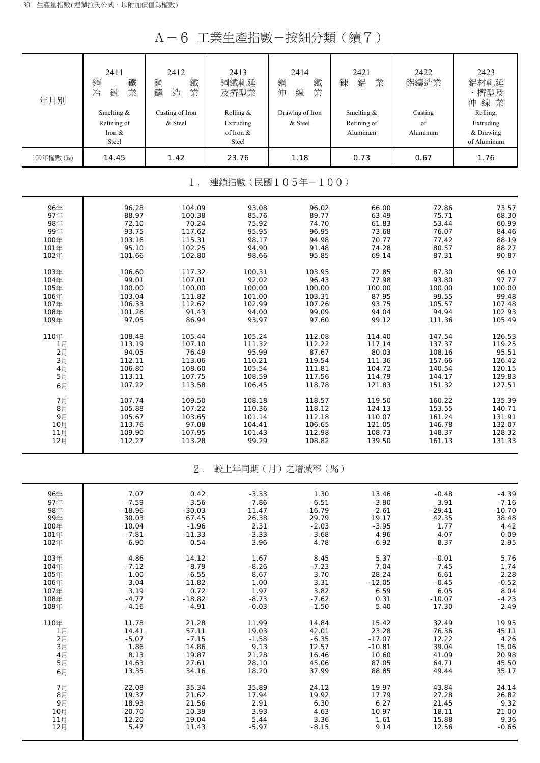A-6 工業生產指數-按細分類(續7)

| 年月別        | 2411<br>鋼<br>鐵<br>業<br>冶<br>鍊<br>Smelting &<br>Refining of<br>Iron &<br>Steel | 2412<br>鋼<br>鐵<br>業<br>鑄<br>造<br>Casting of Iron<br>& Steel | 2413<br>鋼鐵軋延<br>及擠型業<br>Rolling &<br>Extruding<br>of Iron &<br>Steel | 2414<br>鋼<br>鐵<br>業<br>伸<br>線<br>Drawing of Iron<br>& Steel | 2421<br>鋁<br>鍊<br>業<br>Smelting &<br>Refining of<br>Aluminum | 2422<br>鋁鑄造業<br>Casting<br>of<br>Aluminum | 2423<br>鋁材軋延<br>、擠型及<br>伸線業<br>Rolling,<br>Extruding<br>& Drawing<br>of Aluminum |
|------------|-------------------------------------------------------------------------------|-------------------------------------------------------------|----------------------------------------------------------------------|-------------------------------------------------------------|--------------------------------------------------------------|-------------------------------------------|----------------------------------------------------------------------------------|
| 109年權數 (‰) | 14.45                                                                         | 1.42                                                        | 23.76                                                                | 1.18                                                        | 0.73                                                         | 0.67                                      | 1.76                                                                             |
|            |                                                                               |                                                             |                                                                      |                                                             |                                                              |                                           |                                                                                  |
|            |                                                                               | $1$ .                                                       |                                                                      | 連鎖指數(民國105年=100)                                            |                                                              |                                           |                                                                                  |
| 96年        | 96.28                                                                         | 104.09                                                      | 93.08                                                                | 96.02                                                       | 66.00                                                        | 72.86                                     | 73.57                                                                            |
| 97年        | 88.97                                                                         | 100.38                                                      | 85.76                                                                | 89.77                                                       | 63.49                                                        | 75.71                                     | 68.30                                                                            |
| 98年        | 72.10                                                                         | 70.24                                                       | 75.92                                                                | 74.70                                                       | 61.83                                                        | 53.44                                     | 60.99                                                                            |
| 99年        | 93.75                                                                         | 117.62                                                      | 95.95                                                                | 96.95                                                       | 73.68                                                        | 76.07                                     | 84.46                                                                            |
| 100年       | 103.16                                                                        | 115.31                                                      | 98.17                                                                | 94.98                                                       | 70.77                                                        | 77.42                                     | 88.19                                                                            |
| 101年       | 95.10                                                                         | 102.25                                                      | 94.90                                                                | 91.48                                                       | 74.28                                                        | 80.57                                     | 88.27                                                                            |
| 102年       | 101.66                                                                        | 102.80                                                      | 98.66                                                                | 95.85                                                       | 69.14                                                        | 87.31                                     | 90.87                                                                            |
| 103年       | 106.60                                                                        | 117.32                                                      | 100.31                                                               | 103.95                                                      | 72.85                                                        | 87.30                                     | 96.10                                                                            |
| 104年       | 99.01                                                                         | 107.01                                                      | 92.02                                                                | 96.43                                                       | 77.98                                                        | 93.80                                     | 97.77                                                                            |
| 105年       | 100.00                                                                        | 100.00                                                      | 100.00                                                               | 100.00                                                      | 100.00                                                       | 100.00                                    | 100.00                                                                           |
| 106年       | 103.04                                                                        | 111.82                                                      | 101.00                                                               | 103.31                                                      | 87.95                                                        | 99.55                                     | 99.48                                                                            |
| 107年       | 106.33                                                                        | 112.62                                                      | 102.99                                                               | 107.26                                                      | 93.75                                                        | 105.57                                    | 107.48                                                                           |
| 108年       | 101.26                                                                        | 91.43                                                       | 94.00                                                                | 99.09                                                       | 94.04                                                        | 94.94                                     | 102.93                                                                           |
| 109年       | 97.05                                                                         | 86.94                                                       | 93.97                                                                | 97.60                                                       | 99.12                                                        | 111.36                                    | 105.49                                                                           |
| 110年       | 108.48                                                                        | 105.44                                                      | 105.24                                                               | 112.08                                                      | 114.40                                                       | 147.54                                    | 126.53                                                                           |
| 1月         | 113.19                                                                        | 107.10                                                      | 111.32                                                               | 112.22                                                      | 117.14                                                       | 137.37                                    | 119.25                                                                           |
| 2月         | 94.05                                                                         | 76.49                                                       | 95.99                                                                | 87.67                                                       | 80.03                                                        | 108.16                                    | 95.51                                                                            |
| 3H         | 112.11                                                                        | 113.06                                                      | 110.21                                                               | 119.54                                                      | 111.36                                                       | 157.66                                    | 126.42                                                                           |
| 4月         | 106.80                                                                        | 108.60                                                      | 105.54                                                               | 111.81                                                      | 104.72                                                       | 140.54                                    | 120.15                                                                           |
| 5月         | 113.11                                                                        | 107.75                                                      | 108.59                                                               | 117.56                                                      | 114.79                                                       | 144.17                                    | 129.83                                                                           |
| 6月         | 107.22                                                                        | 113.58                                                      | 106.45                                                               | 118.78                                                      | 121.83                                                       | 151.32                                    | 127.51                                                                           |
| 7月         | 107.74                                                                        | 109.50                                                      | 108.18                                                               | 118.57                                                      | 119.50                                                       | 160.22                                    | 135.39                                                                           |
| 8月         | 105.88                                                                        | 107.22                                                      | 110.36                                                               | 118.12                                                      | 124.13                                                       | 153.55                                    | 140.71                                                                           |
| 9月         | 105.67                                                                        | 103.65                                                      | 101.14                                                               | 112.18                                                      | 110.07                                                       | 161.24                                    | 131.91                                                                           |
| 10月        | 113.76                                                                        | 97.08                                                       | 104.41                                                               | 106.65                                                      | 121.05                                                       | 146.78                                    | 132.07                                                                           |
| 11月        | 109.90                                                                        | 107.95                                                      | 101.43                                                               | 112.98                                                      | 108.73                                                       | 148.37                                    | 128.32                                                                           |
| 12月        | 112.27                                                                        | 113.28                                                      | 99.29                                                                | 108.82                                                      | 139.50                                                       | 161.13                                    | 131.33                                                                           |
|            |                                                                               | $2$ .                                                       |                                                                      | 較上年同期(月)之增減率(%)                                             |                                                              |                                           |                                                                                  |
| 96年        | 7.07                                                                          | 0.42                                                        | $-3.33$                                                              | 1.30                                                        | 13.46                                                        | $-0.48$                                   | $-4.39$                                                                          |
| 97年        | $-7.59$                                                                       | $-3.56$                                                     | $-7.86$                                                              | $-6.51$                                                     | $-3.80$                                                      | 3.91                                      | $-7.16$                                                                          |
| 98年        | $-18.96$                                                                      | $-30.03$                                                    | $-11.47$                                                             | $-16.79$                                                    | $-2.61$                                                      | $-29.41$                                  | $-10.70$                                                                         |
| 99年        | 30.03                                                                         | 67.45                                                       | 26.38                                                                | 29.79                                                       | 19.17                                                        | 42.35                                     | 38.48                                                                            |
| 100年       | 10.04                                                                         | $-1.96$                                                     | 2.31                                                                 | $-2.03$                                                     | $-3.95$                                                      | 1.77                                      | 4.42                                                                             |
| 101年       | $-7.81$                                                                       | $-11.33$                                                    | $-3.33$                                                              | $-3.68$                                                     | 4.96                                                         | 4.07                                      | 0.09                                                                             |
| 102年       | 6.90                                                                          | 0.54                                                        | 3.96                                                                 | 4.78                                                        | $-6.92$                                                      | 8.37                                      | 2.95                                                                             |
| 103年       | 4.86                                                                          | 14.12                                                       | 1.67                                                                 | 8.45                                                        | 5.37                                                         | $-0.01$                                   | 5.76                                                                             |
| 104年       | $-7.12$                                                                       | $-8.79$                                                     | $-8.26$                                                              | $-7.23$                                                     | 7.04                                                         | 7.45                                      | 1.74                                                                             |
| 105年       | 1.00                                                                          | $-6.55$                                                     | 8.67                                                                 | 3.70                                                        | 28.24                                                        | 6.61                                      | 2.28                                                                             |
| 106年       | 3.04                                                                          | 11.82                                                       | 1.00                                                                 | 3.31                                                        | $-12.05$                                                     | $-0.45$                                   | $-0.52$                                                                          |
| 107年       | 3.19                                                                          | 0.72                                                        | 1.97                                                                 | 3.82                                                        | 6.59                                                         | 6.05                                      | 8.04                                                                             |
| 108年       | $-4.77$                                                                       | $-18.82$                                                    | $-8.73$                                                              | $-7.62$                                                     | 0.31                                                         | $-10.07$                                  | $-4.23$                                                                          |
| 109年       | $-4.16$                                                                       | $-4.91$                                                     | $-0.03$                                                              | $-1.50$                                                     | 5.40                                                         | 17.30                                     | 2.49                                                                             |
| 110年       | 11.78                                                                         | 21.28                                                       | 11.99                                                                | 14.84                                                       | 15.42                                                        | 32.49                                     | 19.95                                                                            |
| 1月         | 14.41                                                                         | 57.11                                                       | 19.03                                                                | 42.01                                                       | 23.28                                                        | 76.36                                     | 45.11                                                                            |
| 2月         | $-5.07$                                                                       | $-7.15$                                                     | $-1.58$                                                              | $-6.35$                                                     | $-17.07$                                                     | 12.22                                     | 4.26                                                                             |
| 3月         | 1.86                                                                          | 14.86                                                       | 9.13                                                                 | 12.57                                                       | $-10.81$                                                     | 39.04                                     | 15.06                                                                            |
| 4月         | 8.13                                                                          | 19.87                                                       | 21.28                                                                | 16.46                                                       | 10.60                                                        | 41.09                                     | 20.98                                                                            |
| 5月         | 14.63                                                                         | 27.61                                                       | 28.10                                                                | 45.06                                                       | 87.05                                                        | 64.71                                     | 45.50                                                                            |
| 6月         | 13.35                                                                         | 34.16                                                       | 18.20                                                                | 37.99                                                       | 88.85                                                        | 49.44                                     | 35.17                                                                            |
| 7月         | 22.08                                                                         | 35.34                                                       | 35.89                                                                | 24.12                                                       | 19.97                                                        | 43.84                                     | 24.14                                                                            |
| 8月         | 19.37                                                                         | 21.62                                                       | 17.94                                                                | 19.92                                                       | 17.79                                                        | 27.28                                     | 26.82                                                                            |
| 9月         | 18.93                                                                         | 21.56                                                       | 2.91                                                                 | 6.30                                                        | 6.27                                                         | 21.45                                     | 9.32                                                                             |
| 10月        | 20.70                                                                         | 10.39                                                       | 3.93                                                                 | 4.63                                                        | 10.97                                                        | 18.11                                     | 21.00                                                                            |
| 11月        | 12.20                                                                         | 19.04                                                       | 5.44                                                                 | 3.36                                                        | 1.61                                                         | 15.88                                     | 9.36                                                                             |
| 12月        | 5.47                                                                          | 11.43                                                       | $-5.97$                                                              | $-8.15$                                                     | 9.14                                                         | 12.56                                     | $-0.66$                                                                          |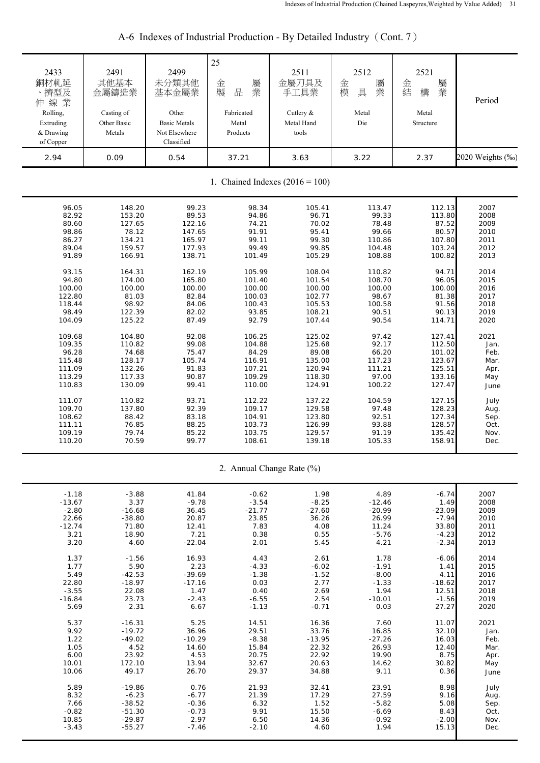| 2433<br>銅材軋延<br>、擠型及<br>伸線業<br>Rolling,<br>Extruding<br>& Drawing<br>of Copper | 2491<br>其他基本<br>金屬鑄造業<br>Casting of<br>Other Basic<br>Metals | 2499<br>未分類其他<br>基本金屬業<br>Other<br><b>Basic Metals</b><br>Not Elsewhere<br>Classified | 25<br>屬<br>金<br>製<br>品<br>業<br>Fabricated<br>Metal<br>Products | 2511<br>金屬刀具及<br>手工具業<br>Cutlery &<br>Metal Hand<br>tools | 2512<br>金<br>屬<br>業<br>模<br>具<br>Metal<br>Die | 2521<br>金<br>屬業<br>結<br>構<br>Metal<br>Structure | Period           |  |
|--------------------------------------------------------------------------------|--------------------------------------------------------------|---------------------------------------------------------------------------------------|----------------------------------------------------------------|-----------------------------------------------------------|-----------------------------------------------|-------------------------------------------------|------------------|--|
| 2.94                                                                           | 0.09                                                         | 0.54                                                                                  | 37.21                                                          | 3.63                                                      | 3.22                                          | 2.37                                            | 2020 Weights (‰) |  |
| 1. Chained Indexes $(2016 = 100)$                                              |                                                              |                                                                                       |                                                                |                                                           |                                               |                                                 |                  |  |
| 96.05                                                                          | 148.20                                                       | 99.23                                                                                 | 98.34                                                          | 105.41                                                    | 113.47                                        | 112.13                                          | 2007             |  |
| 82.92                                                                          | 153.20                                                       | 89.53                                                                                 | 94.86                                                          | 96.71                                                     | 99.33                                         | 113.80                                          | 2008             |  |
| 80.60                                                                          | 127.65                                                       | 122.16                                                                                | 74.21                                                          | 70.02                                                     | 78.48                                         | 87.52                                           | 2009             |  |
| 98.86                                                                          | 78.12                                                        | 147.65                                                                                | 91.91                                                          | 95.41                                                     | 99.66                                         | 80.57                                           | 2010             |  |
| 86.27                                                                          | 134.21                                                       | 165.97                                                                                | 99.11                                                          | 99.30                                                     | 110.86                                        | 107.80                                          | 2011             |  |
| 89.04                                                                          | 159.57                                                       | 177.93                                                                                | 99.49                                                          | 99.85                                                     | 104.48                                        | 103.24                                          | 2012             |  |
| 91.89                                                                          | 166.91                                                       | 138.71                                                                                | 101.49                                                         | 105.29                                                    | 108.88                                        | 100.82                                          | 2013             |  |
| 93.15                                                                          | 164.31                                                       | 162.19                                                                                | 105.99                                                         | 108.04                                                    | 110.82                                        | 94.71                                           | 2014             |  |
| 94.80                                                                          | 174.00                                                       | 165.80                                                                                | 101.40                                                         | 101.54                                                    | 108.70                                        | 96.05                                           | 2015             |  |
| 100.00                                                                         | 100.00                                                       | 100.00                                                                                | 100.00                                                         | 100.00                                                    | 100.00                                        | 100.00                                          | 2016             |  |
| 122.80                                                                         | 81.03                                                        | 82.84                                                                                 | 100.03                                                         | 102.77                                                    | 98.67                                         | 81.38                                           | 2017             |  |
| 118.44                                                                         | 98.92                                                        | 84.06                                                                                 | 100.43                                                         | 105.53                                                    | 100.58                                        | 91.56                                           | 2018             |  |
| 98.49                                                                          | 122.39                                                       | 82.02                                                                                 | 93.85                                                          | 108.21                                                    | 90.51                                         | 90.13                                           | 2019             |  |
| 104.09                                                                         | 125.22                                                       | 87.49                                                                                 | 92.79                                                          | 107.44                                                    | 90.54                                         | 114.71                                          | 2020             |  |
| 109.68                                                                         | 104.80                                                       | 92.08                                                                                 | 106.25                                                         | 125.02                                                    | 97.42                                         | 127.41                                          | 2021             |  |
| 109.35                                                                         | 110.82                                                       | 99.08                                                                                 | 104.88                                                         | 125.68                                                    | 92.17                                         | 112.50                                          | Jan.             |  |
| 96.28                                                                          | 74.68                                                        | 75.47                                                                                 | 84.29                                                          | 89.08                                                     | 66.20                                         | 101.02                                          | Feb.             |  |
| 115.48                                                                         | 128.17                                                       | 105.74                                                                                | 116.91                                                         | 135.00                                                    | 117.23                                        | 123.67                                          | Mar.             |  |
| 111.09                                                                         | 132.26                                                       | 91.83                                                                                 | 107.21                                                         | 120.94                                                    | 111.21                                        | 125.51                                          | Apr.             |  |
| 113.29                                                                         | 117.33                                                       | 90.87                                                                                 | 109.29                                                         | 118.30                                                    | 97.00                                         | 133.16                                          | May              |  |
| 110.83                                                                         | 130.09                                                       | 99.41                                                                                 | 110.00                                                         | 124.91                                                    | 100.22                                        | 127.47                                          | June             |  |
| 111.07                                                                         | 110.82                                                       | 93.71                                                                                 | 112.22                                                         | 137.22                                                    | 104.59                                        | 127.15                                          | July             |  |
| 109.70                                                                         | 137.80                                                       | 92.39                                                                                 | 109.17                                                         | 129.58                                                    | 97.48                                         | 128.23                                          | Aug.             |  |
| 108.62                                                                         | 88.42                                                        | 83.18                                                                                 | 104.91                                                         | 123.80                                                    | 92.51                                         | 127.34                                          | Sep.             |  |
| 111.11                                                                         | 76.85                                                        | 88.25                                                                                 | 103.73                                                         | 126.99                                                    | 93.88                                         | 128.57                                          | Oct.             |  |
| 109.19                                                                         | 79.74                                                        | 85.22                                                                                 | 103.75                                                         | 129.57                                                    | 91.19                                         | 135.42                                          | Nov.             |  |
| 110.20                                                                         | 70.59                                                        | 99.77                                                                                 | 108.61                                                         | 139.18                                                    | 105.33                                        | 158.91                                          | Dec.             |  |
|                                                                                |                                                              |                                                                                       |                                                                | 2. Annual Change Rate (%)                                 |                                               |                                                 |                  |  |
| $-1.18$                                                                        | $-3.88$                                                      | 41.84                                                                                 | $-0.62$                                                        | 1.98                                                      | 4.89                                          | $-6.74$                                         | 2007             |  |
| $-13.67$                                                                       | 3.37                                                         | $-9.78$                                                                               | $-3.54$                                                        | $-8.25$                                                   | $-12.46$                                      | 1.49                                            | 2008             |  |
| $-2.80$                                                                        | $-16.68$                                                     | 36.45                                                                                 | $-21.77$                                                       | $-27.60$                                                  | $-20.99$                                      | $-23.09$                                        | 2009             |  |
| 22.66                                                                          | $-38.80$                                                     | 20.87                                                                                 | 23.85                                                          | 36.26                                                     | 26.99                                         | $-7.94$                                         | 2010             |  |
| $-12.74$                                                                       | 71.80                                                        | 12.41                                                                                 | 7.83                                                           | 4.08                                                      | 11.24                                         | 33.80                                           | 2011             |  |
| 3.21                                                                           | 18.90                                                        | 7.21                                                                                  | 0.38                                                           | 0.55                                                      | $-5.76$                                       | $-4.23$                                         | 2012             |  |
| 3.20                                                                           | 4.60                                                         | $-22.04$                                                                              | 2.01                                                           | 5.45                                                      | 4.21                                          | $-2.34$                                         | 2013             |  |
| 1.37                                                                           | $-1.56$                                                      | 16.93                                                                                 | 4.43                                                           | 2.61                                                      | 1.78                                          | $-6.06$                                         | 2014             |  |
| 1.77                                                                           | 5.90                                                         | 2.23                                                                                  | $-4.33$                                                        | $-6.02$                                                   | $-1.91$                                       | 1.41                                            | 2015             |  |
| 5.49                                                                           | $-42.53$                                                     | $-39.69$                                                                              | $-1.38$                                                        | $-1.52$                                                   | $-8.00$                                       | 4.11                                            | 2016             |  |
| 22.80                                                                          | $-18.97$                                                     | $-17.16$                                                                              | 0.03                                                           | 2.77                                                      | $-1.33$                                       | $-18.62$                                        | 2017             |  |
| $-3.55$                                                                        | 22.08                                                        | 1.47                                                                                  | 0.40                                                           | 2.69                                                      | 1.94                                          | 12.51                                           | 2018             |  |
| $-16.84$                                                                       | 23.73                                                        | $-2.43$                                                                               | $-6.55$                                                        | 2.54                                                      | $-10.01$                                      | $-1.56$                                         | 2019             |  |
| 5.69                                                                           | 2.31                                                         | 6.67                                                                                  | $-1.13$                                                        | $-0.71$                                                   | 0.03                                          | 27.27                                           | 2020             |  |
| 5.37                                                                           | $-16.31$                                                     | 5.25                                                                                  | 14.51                                                          | 16.36                                                     | 7.60                                          | 11.07                                           | 2021             |  |
| 9.92                                                                           | $-19.72$                                                     | 36.96                                                                                 | 29.51                                                          | 33.76                                                     | 16.85                                         | 32.10                                           | Jan.             |  |
| 1.22                                                                           | $-49.02$                                                     | $-10.29$                                                                              | $-8.38$                                                        | $-13.95$                                                  | $-27.26$                                      | 16.03                                           | Feb.             |  |
| 1.05                                                                           | 4.52                                                         | 14.60                                                                                 | 15.84                                                          | 22.32                                                     | 26.93                                         | 12.40                                           | Mar.             |  |
| 6.00                                                                           | 23.92                                                        | 4.53                                                                                  | 20.75                                                          | 22.92                                                     | 19.90                                         | 8.75                                            | Apr.             |  |
| 10.01                                                                          | 172.10                                                       | 13.94                                                                                 | 32.67                                                          | 20.63                                                     | 14.62                                         | 30.82                                           | May              |  |
| 10.06                                                                          | 49.17                                                        | 26.70                                                                                 | 29.37                                                          | 34.88                                                     | 9.11                                          | 0.36                                            | June             |  |
| 5.89                                                                           | $-19.86$                                                     | 0.76                                                                                  | 21.93                                                          | 32.41                                                     | 23.91                                         | 8.98                                            | July             |  |
| 8.32                                                                           | $-6.23$                                                      | $-6.77$                                                                               | 21.39                                                          | 17.29                                                     | 27.59                                         | 9.16                                            | Aug.             |  |
| 7.66                                                                           | $-38.52$                                                     | $-0.36$                                                                               | 6.32                                                           | 1.52                                                      | $-5.82$                                       | 5.08                                            | Sep.             |  |
| $-0.82$                                                                        | $-51.30$                                                     | $-0.73$                                                                               | 9.91                                                           | 15.50                                                     | $-6.69$                                       | 8.43                                            | Oct.             |  |
| 10.85                                                                          | $-29.87$                                                     | 2.97                                                                                  | 6.50                                                           | 14.36                                                     | $-0.92$                                       | $-2.00$                                         | Nov.             |  |
| $-3.43$                                                                        | $-55.27$                                                     | $-7.46$                                                                               | $-2.10$                                                        | 4.60                                                      | 1.94                                          | 15.13                                           | Dec.             |  |

# A-6 Indexes of Industrial Production - By Detailed Industry (Cont. 7)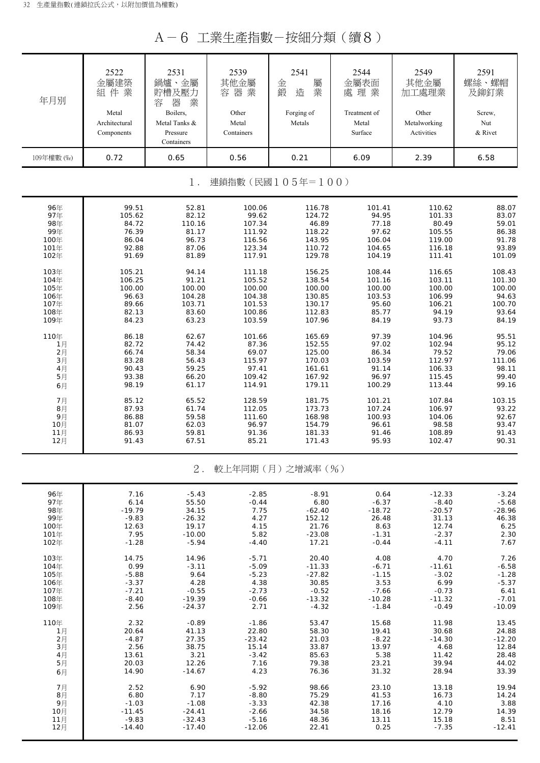A-6 工業生產指數-按細分類(續8)

| 年月別        | 2522<br>金屬建築<br>組件業<br>Metal<br>Architectural<br>Components | 2531<br>鍋爐、金屬<br>貯槽及壓力<br>器<br>業<br>容<br>Boilers,<br>Metal Tanks &<br>Pressure<br>Containers | 2539<br>其他金屬<br>容器業<br>Other<br>Metal<br>Containers | 2541<br>屬<br>金<br>造<br>業<br>鍛<br>Forging of<br>Metals | 2544<br>金屬表面<br>處理業<br>Treatment of<br>Metal<br>Surface | 2549<br>其他金屬<br>加工處理業<br>Other<br>Metalworking<br>Activities | 2591<br>螺絲、螺帽<br>及鉚釘業<br>Screw,<br>Nut<br>& Rivet |
|------------|-------------------------------------------------------------|----------------------------------------------------------------------------------------------|-----------------------------------------------------|-------------------------------------------------------|---------------------------------------------------------|--------------------------------------------------------------|---------------------------------------------------|
| 109年權數 (%) | 0.72                                                        | 0.65                                                                                         | 0.56                                                | 0.21                                                  | 6.09                                                    | 2.39                                                         | 6.58                                              |
|            |                                                             | $1$ .                                                                                        |                                                     | 連鎖指數(民國105年=100)                                      |                                                         |                                                              |                                                   |
| 96年        | 99.51                                                       | 52.81                                                                                        | 100.06                                              | 116.78                                                | 101.41                                                  | 110.62                                                       | 88.07                                             |
| 97年        | 105.62                                                      | 82.12                                                                                        | 99.62                                               | 124.72                                                | 94.95                                                   | 101.33                                                       | 83.07                                             |
| 98年        | 84.72                                                       | 110.16                                                                                       | 107.34                                              | 46.89                                                 | 77.18                                                   | 80.49                                                        | 59.01                                             |
| 99年        | 76.39                                                       | 81.17                                                                                        | 111.92                                              | 118.22                                                | 97.62                                                   | 105.55                                                       | 86.38                                             |
| 100年       | 86.04                                                       | 96.73                                                                                        | 116.56                                              | 143.95                                                | 106.04                                                  | 119.00                                                       | 91.78                                             |
| 101年       | 92.88                                                       | 87.06                                                                                        | 123.34                                              | 110.72                                                | 104.65                                                  | 116.18                                                       | 93.89                                             |
| 102年       | 91.69                                                       | 81.89                                                                                        | 117.91                                              | 129.78                                                | 104.19                                                  | 111.41                                                       | 101.09                                            |
| 103年       | 105.21                                                      | 94.14                                                                                        | 111.18                                              | 156.25                                                | 108.44                                                  | 116.65                                                       | 108.43                                            |
| 104年       | 106.25                                                      | 91.21                                                                                        | 105.52                                              | 138.54                                                | 101.16                                                  | 103.11                                                       | 101.30                                            |
| 105年       | 100.00                                                      | 100.00                                                                                       | 100.00                                              | 100.00                                                | 100.00                                                  | 100.00                                                       | 100.00                                            |
| 106年       | 96.63                                                       | 104.28                                                                                       | 104.38                                              | 130.85                                                | 103.53                                                  | 106.99                                                       | 94.63                                             |
| 107年       | 89.66                                                       | 103.71                                                                                       | 101.53                                              | 130.17                                                | 95.60                                                   | 106.21                                                       | 100.70                                            |
| 108年       | 82.13                                                       | 83.60                                                                                        | 100.86                                              | 112.83                                                | 85.77                                                   | 94.19                                                        | 93.64                                             |
| 109年       | 84.23                                                       | 63.23                                                                                        | 103.59                                              | 107.96                                                | 84.19                                                   | 93.73                                                        | 84.19                                             |
| 110年       | 86.18                                                       | 62.67                                                                                        | 101.66                                              | 165.69                                                | 97.39                                                   | 104.96                                                       | 95.51                                             |
| 1月         | 82.72                                                       | 74.42                                                                                        | 87.36                                               | 152.55                                                | 97.02                                                   | 102.94                                                       | 95.12                                             |
| 2月         | 66.74                                                       | 58.34                                                                                        | 69.07                                               | 125.00                                                | 86.34                                                   | 79.52                                                        | 79.06                                             |
| 3月         | 83.28                                                       | 56.43                                                                                        | 115.97                                              | 170.03                                                | 103.59                                                  | 112.97                                                       | 111.06                                            |
| 4月         | 90.43                                                       | 59.25                                                                                        | 97.41                                               | 161.61                                                | 91.14                                                   | 106.33                                                       | 98.11                                             |
| 5月         | 93.38                                                       | 66.20                                                                                        | 109.42                                              | 167.92                                                | 96.97                                                   | 115.45                                                       | 99.40                                             |
| 6月         | 98.19                                                       | 61.17                                                                                        | 114.91                                              | 179.11                                                | 100.29                                                  | 113.44                                                       | 99.16                                             |
| 7月         | 85.12                                                       | 65.52                                                                                        | 128.59                                              | 181.75                                                | 101.21                                                  | 107.84                                                       | 103.15                                            |
| 8月         | 87.93                                                       | 61.74                                                                                        | 112.05                                              | 173.73                                                | 107.24                                                  | 106.97                                                       | 93.22                                             |
| 9月         | 86.88                                                       | 59.58                                                                                        | 111.60                                              | 168.98                                                | 100.93                                                  | 104.06                                                       | 92.67                                             |
| 10月        | 81.07                                                       | 62.03                                                                                        | 96.97                                               | 154.79                                                | 96.61                                                   | 98.58                                                        | 93.47                                             |
| 11月        | 86.93                                                       | 59.81                                                                                        | 91.36                                               | 181.33                                                | 91.46                                                   | 108.89                                                       | 91.43                                             |
| 12月        | 91.43                                                       | 67.51                                                                                        | 85.21                                               | 171.43                                                | 95.93                                                   | 102.47                                                       | 90.31                                             |
|            |                                                             | $2$ .                                                                                        |                                                     | 較上年同期(月)之增減率(%)                                       |                                                         |                                                              |                                                   |
| 96年        | 7.16                                                        | $-5.43$                                                                                      | $-2.85$                                             | $-8.91$                                               | 0.64                                                    | $-12.33$                                                     | $-3.24$                                           |
| 97年        | 6.14                                                        | 55.50                                                                                        | $-0.44$                                             | 6.80                                                  | $-6.37$                                                 | $-8.40$                                                      | $-5.68$                                           |
| 98年        | $-19.79$                                                    | 34.15                                                                                        | 7.75                                                | $-62.40$                                              | $-18.72$                                                | $-20.57$                                                     | $-28.96$                                          |
| 99年        | $-9.83$                                                     | $-26.32$                                                                                     | 4.27                                                | 152.12                                                | 26.48                                                   | 31.13                                                        | 46.38                                             |
| 100年       | 12.63                                                       | 19.17                                                                                        | 4.15                                                | 21.76                                                 | 8.63                                                    | 12.74                                                        | 6.25                                              |
| 101年       | 7.95                                                        | $-10.00$                                                                                     | 5.82                                                | $-23.08$                                              | $-1.31$                                                 | $-2.37$                                                      | 2.30                                              |
| 102年       | $-1.28$                                                     | $-5.94$                                                                                      | $-4.40$                                             | 17.21                                                 | $-0.44$                                                 | $-4.11$                                                      | 7.67                                              |
| 103年       | 14.75                                                       | 14.96                                                                                        | $-5.71$                                             | 20.40                                                 | 4.08                                                    | 4.70                                                         | 7.26                                              |
| 104年       | 0.99                                                        | $-3.11$                                                                                      | $-5.09$                                             | $-11.33$                                              | $-6.71$                                                 | $-11.61$                                                     | $-6.58$                                           |
| 105年       | $-5.88$                                                     | 9.64                                                                                         | $-5.23$                                             | $-27.82$                                              | $-1.15$                                                 | $-3.02$                                                      | $-1.28$                                           |
| 106年       | $-3.37$                                                     | 4.28                                                                                         | 4.38                                                | 30.85                                                 | 3.53                                                    | 6.99                                                         | $-5.37$                                           |
| 107年       | $-7.21$                                                     | $-0.55$                                                                                      | $-2.73$                                             | $-0.52$                                               | $-7.66$                                                 | $-0.73$                                                      | 6.41                                              |
| 108年       | $-8.40$                                                     | $-19.39$                                                                                     | $-0.66$                                             | $-13.32$                                              | $-10.28$                                                | $-11.32$                                                     | $-7.01$                                           |
| 109年       | 2.56                                                        | $-24.37$                                                                                     | 2.71                                                | $-4.32$                                               | $-1.84$                                                 | $-0.49$                                                      | $-10.09$                                          |
| 110年       | 2.32                                                        | $-0.89$                                                                                      | $-1.86$                                             | 53.47                                                 | 15.68                                                   | 11.98                                                        | 13.45                                             |
| 1月         | 20.64                                                       | 41.13                                                                                        | 22.80                                               | 58.30                                                 | 19.41                                                   | 30.68                                                        | 24.88                                             |
| 2月         | $-4.87$                                                     | 27.35                                                                                        | $-23.42$                                            | 21.03                                                 | $-8.22$                                                 | $-14.30$                                                     | $-12.20$                                          |
| 3月         | 2.56                                                        | 38.75                                                                                        | 15.14                                               | 33.87                                                 | 13.97                                                   | 4.68                                                         | 12.84                                             |
| 4月         | 13.61                                                       | 3.21                                                                                         | $-3.42$                                             | 85.63                                                 | 5.38                                                    | 11.42                                                        | 28.48                                             |
| 5月         | 20.03                                                       | 12.26                                                                                        | 7.16                                                | 79.38                                                 | 23.21                                                   | 39.94                                                        | 44.02                                             |
| 6月         | 14.90                                                       | $-14.67$                                                                                     | 4.23                                                | 76.36                                                 | 31.32                                                   | 28.94                                                        | 33.39                                             |
| 7月         | 2.52                                                        | 6.90                                                                                         | $-5.92$                                             | 98.66                                                 | 23.10                                                   | 13.18                                                        | 19.94                                             |
| 8月         | 6.80                                                        | 7.17                                                                                         | $-8.80$                                             | 75.29                                                 | 41.53                                                   | 16.73                                                        | 14.24                                             |
| 9月         | $-1.03$                                                     | $-1.08$                                                                                      | $-3.33$                                             | 42.38                                                 | 17.16                                                   | 4.10                                                         | 3.88                                              |
| 10月        | $-11.45$                                                    | $-24.41$                                                                                     | $-2.66$                                             | 34.58                                                 | 18.16                                                   | 12.79                                                        | 14.39                                             |
| 11月        | $-9.83$                                                     | $-32.43$                                                                                     | $-5.16$                                             | 48.36                                                 | 13.11                                                   | 15.18                                                        | 8.51                                              |
| 12月        | $-14.40$                                                    | $-17.40$                                                                                     | $-12.06$                                            | 22.41                                                 | 0.25                                                    | $-7.35$                                                      | $-12.41$                                          |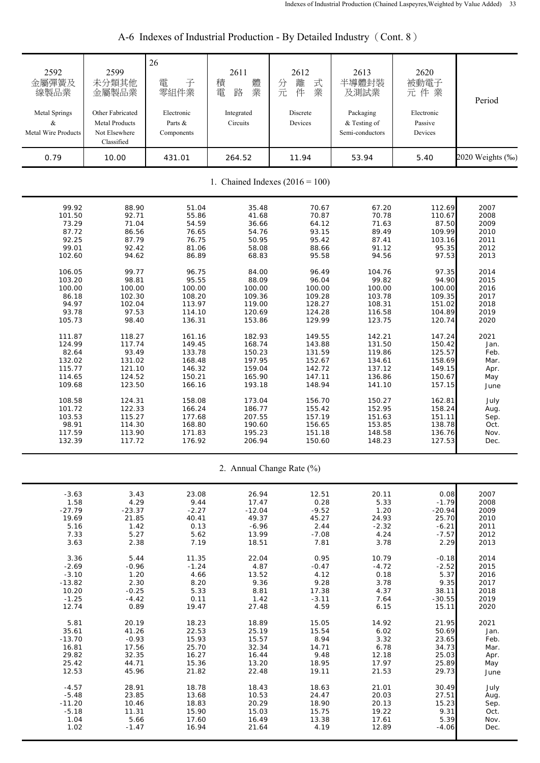| 2592<br>金屬彈簧及<br>線製品業<br>Metal Springs<br>$\&$<br>Metal Wire Products | 2599<br>未分類其他<br>金屬製品業<br>Other Fabricated<br><b>Metal Products</b><br>Not Elsewhere<br>Classified | 26<br>子<br>電<br>零組件業<br>Electronic<br>Parts &<br>Components | 2611<br>體<br>積<br>業<br>電<br>路<br>Integrated<br>Circuits | 2612<br>式<br>離<br>分元<br>件<br>業<br>Discrete<br>Devices | 2613<br>半導體封裝<br>及測試業<br>Packaging<br>& Testing of<br>Semi-conductors | 2620<br>被動電子<br>元件業<br>Electronic<br>Passive<br>Devices | Period           |
|-----------------------------------------------------------------------|----------------------------------------------------------------------------------------------------|-------------------------------------------------------------|---------------------------------------------------------|-------------------------------------------------------|-----------------------------------------------------------------------|---------------------------------------------------------|------------------|
| 0.79                                                                  | 10.00                                                                                              | 431.01                                                      | 264.52                                                  | 11.94                                                 | 53.94                                                                 | 5.40                                                    | 2020 Weights (‰) |
|                                                                       |                                                                                                    |                                                             |                                                         | 1. Chained Indexes $(2016 = 100)$                     |                                                                       |                                                         |                  |
| 99.92                                                                 | 88.90                                                                                              | 51.04                                                       | 35.48                                                   | 70.67                                                 | 67.20                                                                 | 112.69                                                  | 2007             |
| 101.50                                                                | 92.71                                                                                              | 55.86                                                       | 41.68                                                   | 70.87                                                 | 70.78                                                                 | 110.67                                                  | 2008             |
| 73.29                                                                 | 71.04                                                                                              | 54.59                                                       | 36.66                                                   | 64.12                                                 | 71.63                                                                 | 87.50                                                   | 2009             |
| 87.72                                                                 | 86.56                                                                                              | 76.65                                                       | 54.76                                                   | 93.15                                                 | 89.49                                                                 | 109.99                                                  | 2010             |
| 92.25                                                                 | 87.79                                                                                              | 76.75                                                       | 50.95                                                   | 95.42                                                 | 87.41                                                                 | 103.16                                                  | 2011             |
| 99.01                                                                 | 92.42                                                                                              | 81.06                                                       | 58.08                                                   | 88.66                                                 | 91.12                                                                 | 95.35                                                   | 2012             |
| 102.60                                                                | 94.62                                                                                              | 86.89                                                       | 68.83                                                   | 95.58                                                 | 94.56                                                                 | 97.53                                                   | 2013             |
| 106.05                                                                | 99.77                                                                                              | 96.75                                                       | 84.00                                                   | 96.49                                                 | 104.76                                                                | 97.35                                                   | 2014             |
| 103.20                                                                | 98.81                                                                                              | 95.55                                                       | 88.09                                                   | 96.04                                                 | 99.82                                                                 | 94.90                                                   | 2015             |
| 100.00                                                                | 100.00                                                                                             | 100.00                                                      | 100.00                                                  | 100.00                                                | 100.00                                                                | 100.00                                                  | 2016             |
| 86.18                                                                 | 102.30                                                                                             | 108.20                                                      | 109.36                                                  | 109.28                                                | 103.78                                                                | 109.35                                                  | 2017             |
| 94.97                                                                 | 102.04                                                                                             | 113.97                                                      | 119.00                                                  | 128.27                                                | 108.31                                                                | 151.02                                                  | 2018             |
| 93.78                                                                 | 97.53                                                                                              | 114.10                                                      | 120.69                                                  | 124.28                                                | 116.58                                                                | 104.89                                                  | 2019             |
| 105.73                                                                | 98.40                                                                                              | 136.31                                                      | 153.86                                                  | 129.99                                                | 123.75                                                                | 120.74                                                  | 2020             |
| 111.87                                                                | 118.27                                                                                             | 161.16                                                      | 182.93                                                  | 149.55                                                | 142.21                                                                | 147.24                                                  | 2021             |
| 124.99                                                                | 117.74                                                                                             | 149.45                                                      | 168.74                                                  | 143.88                                                | 131.50                                                                | 150.42                                                  | Jan.             |
| 82.64                                                                 | 93.49                                                                                              | 133.78                                                      | 150.23                                                  | 131.59                                                | 119.86                                                                | 125.57                                                  | Feb.             |
| 132.02                                                                | 131.02                                                                                             | 168.48                                                      | 197.95                                                  | 152.67                                                | 134.61                                                                | 158.69                                                  | Mar.             |
| 115.77                                                                | 121.10                                                                                             | 146.32                                                      | 159.04                                                  | 142.72                                                | 137.12                                                                | 149.15                                                  | Apr.             |
| 114.65                                                                | 124.52                                                                                             | 150.21                                                      | 165.90                                                  | 147.11                                                | 136.86                                                                | 150.67                                                  | May              |
| 109.68                                                                | 123.50                                                                                             | 166.16                                                      | 193.18                                                  | 148.94                                                | 141.10                                                                | 157.15                                                  | June             |
| 108.58                                                                | 124.31                                                                                             | 158.08                                                      | 173.04                                                  | 156.70                                                | 150.27                                                                | 162.81                                                  | July             |
| 101.72                                                                | 122.33                                                                                             | 166.24                                                      | 186.77                                                  | 155.42                                                | 152.95                                                                | 158.24                                                  | Aug.             |
| 103.53                                                                | 115.27                                                                                             | 177.68                                                      | 207.55                                                  | 157.19                                                | 151.63                                                                | 151.11                                                  | Sep.             |
| 98.91                                                                 | 114.30                                                                                             | 168.80                                                      | 190.60                                                  | 156.65                                                | 153.85                                                                | 138.78                                                  | Oct.             |
| 117.59                                                                | 113.90                                                                                             | 171.83                                                      | 195.23                                                  | 151.18                                                | 148.58                                                                | 136.76                                                  | Nov.             |
| 132.39                                                                | 117.72                                                                                             | 176.92                                                      | 206.94                                                  | 150.60                                                | 148.23                                                                | 127.53                                                  | Dec.             |
|                                                                       |                                                                                                    |                                                             |                                                         | 2. Annual Change Rate (%)                             |                                                                       |                                                         |                  |
| $-3.63$                                                               | 3.43                                                                                               | 23.08                                                       | 26.94                                                   | 12.51                                                 | 20.11                                                                 | 0.08                                                    | 2007             |
| 1.58                                                                  | 4.29                                                                                               | 9.44                                                        | 17.47                                                   | 0.28                                                  | 5.33                                                                  | $-1.79$                                                 | 2008             |
| $-27.79$                                                              | $-23.37$                                                                                           | $-2.27$                                                     | $-12.04$                                                | $-9.52$                                               | 1.20                                                                  | $-20.94$                                                | 2009             |
| 19.69                                                                 | 21.85                                                                                              | 40.41                                                       | 49.37                                                   | 45.27                                                 | 24.93                                                                 | 25.70                                                   | 2010             |
| 5.16                                                                  | 1.42                                                                                               | 0.13                                                        | $-6.96$                                                 | 2.44                                                  | $-2.32$                                                               | $-6.21$                                                 | 2011             |
| 7.33                                                                  | 5.27                                                                                               | 5.62                                                        | 13.99                                                   | $-7.08$                                               | 4.24                                                                  | $-7.57$                                                 | 2012             |
| 3.63                                                                  | 2.38                                                                                               | 7.19                                                        | 18.51                                                   | 7.81                                                  | 3.78                                                                  | 2.29                                                    | 2013             |
| 3.36                                                                  | 5.44                                                                                               | 11.35                                                       | 22.04                                                   | 0.95                                                  | 10.79                                                                 | $-0.18$                                                 | 2014             |
| $-2.69$                                                               | $-0.96$                                                                                            | $-1.24$                                                     | 4.87                                                    | $-0.47$                                               | $-4.72$                                                               | $-2.52$                                                 | 2015             |
| $-3.10$                                                               | 1.20                                                                                               | 4.66                                                        | 13.52                                                   | 4.12                                                  | 0.18                                                                  | 5.37                                                    | 2016             |
| $-13.82$                                                              | 2.30                                                                                               | 8.20                                                        | 9.36                                                    | 9.28                                                  | 3.78                                                                  | 9.35                                                    | 2017             |
| 10.20                                                                 | $-0.25$                                                                                            | 5.33                                                        | 8.81                                                    | 17.38                                                 | 4.37                                                                  | 38.11                                                   | 2018             |
| $-1.25$                                                               | $-4.42$                                                                                            | 0.11                                                        | 1.42                                                    | $-3.11$                                               | 7.64                                                                  | $-30.55$                                                | 2019             |
| 12.74                                                                 | 0.89                                                                                               | 19.47                                                       | 27.48                                                   | 4.59                                                  | 6.15                                                                  | 15.11                                                   | 2020             |
| 5.81                                                                  | 20.19                                                                                              | 18.23                                                       | 18.89                                                   | 15.05                                                 | 14.92                                                                 | 21.95                                                   | 2021             |
| 35.61                                                                 | 41.26                                                                                              | 22.53                                                       | 25.19                                                   | 15.54                                                 | 6.02                                                                  | 50.69                                                   | Jan.             |
| $-13.70$                                                              | $-0.93$                                                                                            | 15.93                                                       | 15.57                                                   | 8.94                                                  | 3.32                                                                  | 23.65                                                   | Feb.             |
| 16.81                                                                 | 17.56                                                                                              | 25.70                                                       | 32.34                                                   | 14.71                                                 | 6.78                                                                  | 34.73                                                   | Mar.             |
| 29.82                                                                 | 32.35                                                                                              | 16.27                                                       | 16.44                                                   | 9.48                                                  | 12.18                                                                 | 25.03                                                   | Apr.             |
| 25.42                                                                 | 44.71                                                                                              | 15.36                                                       | 13.20                                                   | 18.95                                                 | 17.97                                                                 | 25.89                                                   | May              |
| 12.53                                                                 | 45.96                                                                                              | 21.82                                                       | 22.48                                                   | 19.11                                                 | 21.53                                                                 | 29.73                                                   | June             |
| $-4.57$                                                               | 28.91                                                                                              | 18.78                                                       | 18.43                                                   | 18.63                                                 | 21.01                                                                 | 30.49                                                   | July             |
| $-5.48$                                                               | 23.85                                                                                              | 13.68                                                       | 10.53                                                   | 24.47                                                 | 20.03                                                                 | 27.51                                                   | Aug.             |
| $-11.20$                                                              | 10.46                                                                                              | 18.83                                                       | 20.29                                                   | 18.90                                                 | 20.13                                                                 | 15.23                                                   | Sep.             |
| $-5.18$                                                               | 11.31                                                                                              | 15.90                                                       | 15.03                                                   | 15.75                                                 | 19.22                                                                 | 9.31                                                    | Oct.             |
| 1.04                                                                  | 5.66                                                                                               | 17.60                                                       | 16.49                                                   | 13.38                                                 | 17.61                                                                 | 5.39                                                    | Nov.             |
| 1.02                                                                  | $-1.47$                                                                                            | 16.94                                                       | 21.64                                                   | 4.19                                                  | 12.89                                                                 | $-4.06$                                                 | Dec.             |

| A-6 Indexes of Industrial Production - By Detailed Industry (Cont. 8) |  |
|-----------------------------------------------------------------------|--|
|                                                                       |  |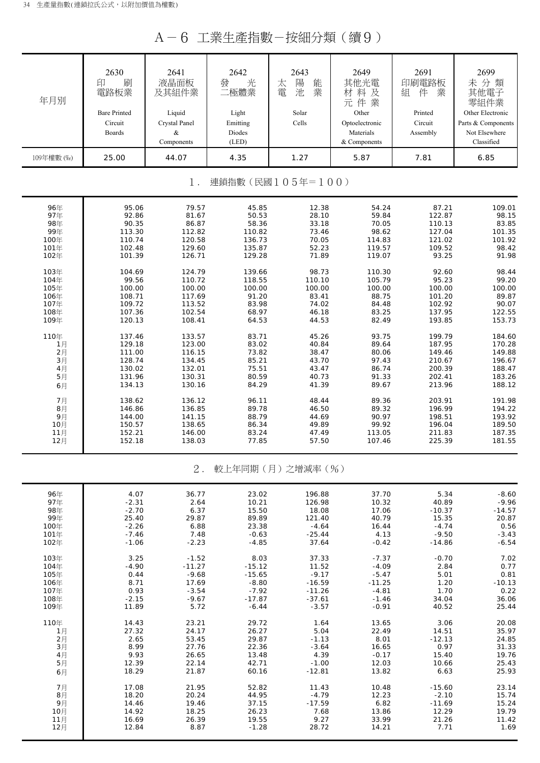A-6 工業生產指數-按細分類(續9)

| 年月別<br>109年權數 (%) | 2630<br>刷<br>印<br>電路板業<br><b>Bare Printed</b><br>Circuit<br><b>Boards</b><br>25.00 | 2641<br>液晶面板<br>及其組件業<br>Liquid<br>Crystal Panel<br>&<br>Components<br>44.07 | 2642<br>發<br>光<br>二極體業<br>Light<br>Emitting<br>Diodes<br>(LED)<br>4.35 | 2643<br>陽<br>太<br>能<br>業<br>電<br>池<br>Solar<br>Cells<br>1.27 | 2649<br>其他光電<br>材料及<br>元件業<br>Other<br>Optoelectronic<br>Materials<br>& Components<br>5.87 | 2691<br>印刷電路板<br>件<br>業<br>組<br>Printed<br>Circuit<br>Assembly<br>7.81 | 2699<br>未分類<br>其他電子<br>零組件業<br>Other Electronic<br>Parts & Components<br>Not Elsewhere<br>Classified<br>6.85 |
|-------------------|------------------------------------------------------------------------------------|------------------------------------------------------------------------------|------------------------------------------------------------------------|--------------------------------------------------------------|--------------------------------------------------------------------------------------------|------------------------------------------------------------------------|--------------------------------------------------------------------------------------------------------------|
|                   |                                                                                    | $1$ .                                                                        |                                                                        | 連鎖指數(民國105年=100)                                             |                                                                                            |                                                                        |                                                                                                              |
| 96年               | 95.06                                                                              | 79.57                                                                        | 45.85                                                                  | 12.38                                                        | 54.24                                                                                      | 87.21                                                                  | 109.01                                                                                                       |
| 97年               | 92.86                                                                              | 81.67                                                                        | 50.53                                                                  | 28.10                                                        | 59.84                                                                                      | 122.87                                                                 | 98.15                                                                                                        |
| 98年               | 90.35                                                                              | 86.87                                                                        | 58.36                                                                  | 33.18                                                        | 70.05                                                                                      | 110.13                                                                 | 83.85                                                                                                        |
| 99年               | 113.30                                                                             | 112.82                                                                       | 110.82                                                                 | 73.46                                                        | 98.62                                                                                      | 127.04                                                                 | 101.35                                                                                                       |
| 100年              | 110.74                                                                             | 120.58                                                                       | 136.73                                                                 | 70.05                                                        | 114.83                                                                                     | 121.02                                                                 | 101.92                                                                                                       |
| 101年              | 102.48                                                                             | 129.60                                                                       | 135.87                                                                 | 52.23                                                        | 119.57                                                                                     | 109.52                                                                 | 98.42                                                                                                        |
| 102年              | 101.39                                                                             | 126.71                                                                       | 129.28                                                                 | 71.89                                                        | 119.07                                                                                     | 93.25                                                                  | 91.98                                                                                                        |
| 103年              | 104.69                                                                             | 124.79                                                                       | 139.66                                                                 | 98.73                                                        | 110.30                                                                                     | 92.60                                                                  | 98.44                                                                                                        |
| 104年              | 99.56                                                                              | 110.72                                                                       | 118.55                                                                 | 110.10                                                       | 105.79                                                                                     | 95.23                                                                  | 99.20                                                                                                        |
| 105年              | 100.00                                                                             | 100.00                                                                       | 100.00                                                                 | 100.00                                                       | 100.00                                                                                     | 100.00                                                                 | 100.00                                                                                                       |
| 106年              | 108.71                                                                             | 117.69                                                                       | 91.20                                                                  | 83.41                                                        | 88.75                                                                                      | 101.20                                                                 | 89.87                                                                                                        |
| 107年              | 109.72                                                                             | 113.52                                                                       | 83.98                                                                  | 74.02                                                        | 84.48                                                                                      | 102.92                                                                 | 90.07                                                                                                        |
| 108年              | 107.36                                                                             | 102.54                                                                       | 68.97                                                                  | 46.18                                                        | 83.25                                                                                      | 137.95                                                                 | 122.55                                                                                                       |
| 109年              | 120.13                                                                             | 108.41                                                                       | 64.53                                                                  | 44.53                                                        | 82.49                                                                                      | 193.85                                                                 | 153.73                                                                                                       |
| 110年              | 137.46                                                                             | 133.57                                                                       | 83.71                                                                  | 45.26                                                        | 93.75                                                                                      | 199.79                                                                 | 184.60                                                                                                       |
| 1月                | 129.18                                                                             | 123.00                                                                       | 83.02                                                                  | 40.84                                                        | 89.64                                                                                      | 187.95                                                                 | 170.28                                                                                                       |
| 2月                | 111.00                                                                             | 116.15                                                                       | 73.82                                                                  | 38.47                                                        | 80.06                                                                                      | 149.46                                                                 | 149.88                                                                                                       |
| 3月                | 128.74                                                                             | 134.45                                                                       | 85.21                                                                  | 43.70                                                        | 97.43                                                                                      | 210.67                                                                 | 196.67                                                                                                       |
| 4月                | 130.02                                                                             | 132.01                                                                       | 75.51                                                                  | 43.47                                                        | 86.74                                                                                      | 200.39                                                                 | 188.47                                                                                                       |
| 5月                | 131.96                                                                             | 130.31                                                                       | 80.59                                                                  | 40.73                                                        | 91.33                                                                                      | 202.41                                                                 | 183.26                                                                                                       |
| 6月                | 134.13                                                                             | 130.16                                                                       | 84.29                                                                  | 41.39                                                        | 89.67                                                                                      | 213.96                                                                 | 188.12                                                                                                       |
| 7月                | 138.62                                                                             | 136.12                                                                       | 96.11                                                                  | 48.44                                                        | 89.36                                                                                      | 203.91                                                                 | 191.98                                                                                                       |
| 8月                | 146.86                                                                             | 136.85                                                                       | 89.78                                                                  | 46.50                                                        | 89.32                                                                                      | 196.99                                                                 | 194.22                                                                                                       |
| 9月                | 144.00                                                                             | 141.15                                                                       | 88.79                                                                  | 44.69                                                        | 90.97                                                                                      | 198.51                                                                 | 193.92                                                                                                       |
| 10月               | 150.57                                                                             | 138.65                                                                       | 86.34                                                                  | 49.89                                                        | 99.92                                                                                      | 196.04                                                                 | 189.50                                                                                                       |
| 11月               | 152.21                                                                             | 146.00                                                                       | 83.24                                                                  | 47.49                                                        | 113.05                                                                                     | 211.83                                                                 | 187.35                                                                                                       |
| 12月               | 152.18                                                                             | 138.03                                                                       | 77.85                                                                  | 57.50                                                        | 107.46                                                                                     | 225.39                                                                 | 181.55                                                                                                       |
|                   |                                                                                    | $2$ .                                                                        |                                                                        | 較上年同期(月)之增減率(%)                                              |                                                                                            |                                                                        |                                                                                                              |
| 96年               | 4.07                                                                               | 36.77                                                                        | 23.02                                                                  | 196.88                                                       | 37.70                                                                                      | 5.34                                                                   | $-8.60$                                                                                                      |
| 97年               | $-2.31$                                                                            | 2.64                                                                         | 10.21                                                                  | 126.98                                                       | 10.32                                                                                      | 40.89                                                                  | $-9.96$                                                                                                      |
| 98年               | $-2.70$                                                                            | 6.37                                                                         | 15.50                                                                  | 18.08                                                        | 17.06                                                                                      | $-10.37$                                                               | $-14.57$                                                                                                     |
| 99年               | 25.40                                                                              | 29.87                                                                        | 89.89                                                                  | 121.40                                                       | 40.79                                                                                      | 15.35                                                                  | 20.87                                                                                                        |
| 100年              | $-2.26$                                                                            | 6.88                                                                         | 23.38                                                                  | $-4.64$                                                      | 16.44                                                                                      | $-4.74$                                                                | 0.56                                                                                                         |
| 101年              | $-7.46$                                                                            | 7.48                                                                         | $-0.63$                                                                | $-25.44$                                                     | 4.13                                                                                       | $-9.50$                                                                | $-3.43$                                                                                                      |
| 102年              | $-1.06$                                                                            | $-2.23$                                                                      | $-4.85$                                                                | 37.64                                                        | $-0.42$                                                                                    | $-14.86$                                                               | $-6.54$                                                                                                      |
| 103年              | 3.25                                                                               | $-1.52$                                                                      | 8.03                                                                   | 37.33                                                        | $-7.37$                                                                                    | $-0.70$                                                                | 7.02                                                                                                         |
| 104年              | $-4.90$                                                                            | $-11.27$                                                                     | $-15.12$                                                               | 11.52                                                        | $-4.09$                                                                                    | 2.84                                                                   | 0.77                                                                                                         |
| 105年              | 0.44                                                                               | $-9.68$                                                                      | $-15.65$                                                               | $-9.17$                                                      | $-5.47$                                                                                    | 5.01                                                                   | 0.81                                                                                                         |
| 106年              | 8.71                                                                               | 17.69                                                                        | $-8.80$                                                                | $-16.59$                                                     | $-11.25$                                                                                   | 1.20                                                                   | $-10.13$                                                                                                     |
| 107年              | 0.93                                                                               | $-3.54$                                                                      | $-7.92$                                                                | $-11.26$                                                     | $-4.81$                                                                                    | 1.70                                                                   | 0.22                                                                                                         |
| 108年              | $-2.15$                                                                            | $-9.67$                                                                      | $-17.87$                                                               | $-37.61$                                                     | $-1.46$                                                                                    | 34.04                                                                  | 36.06                                                                                                        |
| 109年              | 11.89                                                                              | 5.72                                                                         | $-6.44$                                                                | $-3.57$                                                      | $-0.91$                                                                                    | 40.52                                                                  | 25.44                                                                                                        |
| 110年              | 14.43                                                                              | 23.21                                                                        | 29.72                                                                  | 1.64                                                         | 13.65                                                                                      | 3.06                                                                   | 20.08                                                                                                        |
| 1月                | 27.32                                                                              | 24.17                                                                        | 26.27                                                                  | 5.04                                                         | 22.49                                                                                      | 14.51                                                                  | 35.97                                                                                                        |
| 2月                | 2.65                                                                               | 53.45                                                                        | 29.87                                                                  | $-1.13$                                                      | 8.01                                                                                       | $-12.13$                                                               | 24.85                                                                                                        |
| 3月                | 8.99                                                                               | 27.76                                                                        | 22.36                                                                  | $-3.64$                                                      | 16.65                                                                                      | 0.97                                                                   | 31.33                                                                                                        |
| 4月                | 9.93                                                                               | 26.65                                                                        | 13.48                                                                  | 4.39                                                         | $-0.17$                                                                                    | 15.40                                                                  | 19.76                                                                                                        |
| 5月                | 12.39                                                                              | 22.14                                                                        | 42.71                                                                  | $-1.00$                                                      | 12.03                                                                                      | 10.66                                                                  | 25.43                                                                                                        |
| 6月                | 18.29                                                                              | 21.87                                                                        | 60.16                                                                  | $-12.81$                                                     | 13.82                                                                                      | 6.63                                                                   | 25.93                                                                                                        |
| 7月                | 17.08                                                                              | 21.95                                                                        | 52.82                                                                  | 11.43                                                        | 10.48                                                                                      | $-15.60$                                                               | 23.14                                                                                                        |
| 8月                | 18.20                                                                              | 20.24                                                                        | 44.95                                                                  | $-4.79$                                                      | 12.23                                                                                      | $-2.10$                                                                | 15.74                                                                                                        |
| 9月                | 14.46                                                                              | 19.46                                                                        | 37.15                                                                  | $-17.59$                                                     | 6.82                                                                                       | $-11.69$                                                               | 15.24                                                                                                        |
| 10月               | 14.92                                                                              | 18.25                                                                        | 26.23                                                                  | 7.68                                                         | 13.86                                                                                      | 12.29                                                                  | 19.79                                                                                                        |
| 11月               | 16.69                                                                              | 26.39                                                                        | 19.55                                                                  | 9.27                                                         | 33.99                                                                                      | 21.26                                                                  | 11.42                                                                                                        |
| 12月               | 12.84                                                                              | 8.87                                                                         | $-1.28$                                                                | 28.72                                                        | 14.21                                                                                      | 7.71                                                                   | 1.69                                                                                                         |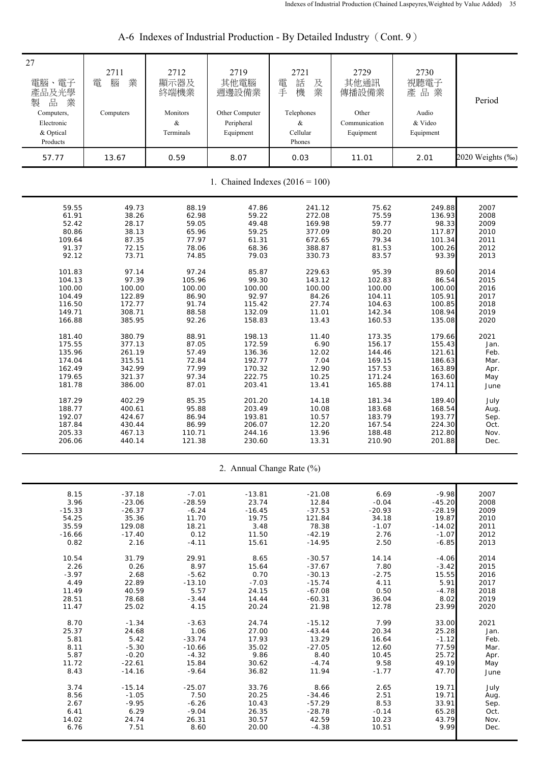| 27<br>電腦、電子<br>產品及光學<br>$\frac{\Box}{\Box \Box}$<br>製<br>業<br>Computers,<br>Electronic<br>& Optical<br>Products | 2711<br>業<br>腦<br>電<br>Computers | 2712<br>顯示器及<br>終端機業<br>Monitors<br>&<br>Terminals | 2719<br>其他電腦<br>週邊設備業<br>Other Computer<br>Peripheral<br>Equipment | 2721<br>話<br>電<br>及<br>機<br>業<br>手<br>Telephones<br>&<br>Cellular<br>Phones | 2729<br>其他通訊<br>傳播設備業<br>Other<br>Communication<br>Equipment | 2730<br>視聽電子<br>產品業<br>Audio<br>& Video<br>Equipment | Period           |  |
|-----------------------------------------------------------------------------------------------------------------|----------------------------------|----------------------------------------------------|--------------------------------------------------------------------|-----------------------------------------------------------------------------|--------------------------------------------------------------|------------------------------------------------------|------------------|--|
| 57.77                                                                                                           | 13.67                            | 0.59                                               | 8.07                                                               | 0.03                                                                        | 11.01                                                        | 2.01                                                 | 2020 Weights (%) |  |
| 1. Chained Indexes $(2016 = 100)$                                                                               |                                  |                                                    |                                                                    |                                                                             |                                                              |                                                      |                  |  |
| 59.55                                                                                                           | 49.73                            | 88.19                                              | 47.86                                                              | 241.12                                                                      | 75.62                                                        | 249.88                                               | 2007             |  |
| 61.91                                                                                                           | 38.26                            | 62.98                                              | 59.22                                                              | 272.08                                                                      | 75.59                                                        | 136.93                                               | 2008             |  |
| 52.42                                                                                                           | 28.17                            | 59.05                                              | 49.48                                                              | 169.98                                                                      | 59.77                                                        | 98.33                                                | 2009             |  |
| 80.86                                                                                                           | 38.13                            | 65.96                                              | 59.25                                                              | 377.09                                                                      | 80.20                                                        | 117.87                                               | 2010             |  |
| 109.64                                                                                                          | 87.35                            | 77.97                                              | 61.31                                                              | 672.65                                                                      | 79.34                                                        | 101.34                                               | 2011             |  |
| 91.37                                                                                                           | 72.15                            | 78.06                                              | 68.36                                                              | 388.87                                                                      | 81.53                                                        | 100.26                                               | 2012             |  |
| 92.12                                                                                                           | 73.71                            | 74.85                                              | 79.03                                                              | 330.73                                                                      | 83.57                                                        | 93.39                                                | 2013             |  |
| 101.83                                                                                                          | 97.14                            | 97.24                                              | 85.87                                                              | 229.63                                                                      | 95.39                                                        | 89.60                                                | 2014             |  |
| 104.13                                                                                                          | 97.39                            | 105.96                                             | 99.30                                                              | 143.12                                                                      | 102.83                                                       | 86.54                                                | 2015             |  |
| 100.00                                                                                                          | 100.00                           | 100.00                                             | 100.00                                                             | 100.00                                                                      | 100.00                                                       | 100.00                                               | 2016             |  |
| 104.49                                                                                                          | 122.89                           | 86.90                                              | 92.97                                                              | 84.26                                                                       | 104.11                                                       | 105.91                                               | 2017             |  |
| 116.50                                                                                                          | 172.77                           | 91.74                                              | 115.42                                                             | 27.74                                                                       | 104.63                                                       | 100.85                                               | 2018             |  |
| 149.71                                                                                                          | 308.71                           | 88.58                                              | 132.09                                                             | 11.01                                                                       | 142.34                                                       | 108.94                                               | 2019             |  |
| 166.88                                                                                                          | 385.95                           | 92.26                                              | 158.83                                                             | 13.43                                                                       | 160.53                                                       | 135.08                                               | 2020             |  |
| 181.40                                                                                                          | 380.79                           | 88.91                                              | 198.13                                                             | 11.40                                                                       | 173.35                                                       | 179.66                                               | 2021             |  |
| 175.55                                                                                                          | 377.13                           | 87.05                                              | 172.59                                                             | 6.90                                                                        | 156.17                                                       | 155.43                                               | Jan.             |  |
| 135.96                                                                                                          | 261.19                           | 57.49                                              | 136.36                                                             | 12.02                                                                       | 144.46                                                       | 121.61                                               | Feb.             |  |
| 174.04                                                                                                          | 315.51                           | 72.84                                              | 192.77                                                             | 7.04                                                                        | 169.15                                                       | 186.63                                               | Mar.             |  |
| 162.49                                                                                                          | 342.99                           | 77.99                                              | 170.32                                                             | 12.90                                                                       | 157.53                                                       | 163.89                                               | Apr.             |  |
| 179.65                                                                                                          | 321.37                           | 97.34                                              | 222.75                                                             | 10.25                                                                       | 171.24                                                       | 163.60                                               | May              |  |
| 181.78                                                                                                          | 386.00                           | 87.01                                              | 203.41                                                             | 13.41                                                                       | 165.88                                                       | 174.11                                               | June             |  |
| 187.29                                                                                                          | 402.29                           | 85.35                                              | 201.20                                                             | 14.18                                                                       | 181.34                                                       | 189.40                                               | July             |  |
| 188.77                                                                                                          | 400.61                           | 95.88                                              | 203.49                                                             | 10.08                                                                       | 183.68                                                       | 168.54                                               | Aug.             |  |
| 192.07                                                                                                          | 424.67                           | 86.94                                              | 193.81                                                             | 10.57                                                                       | 183.79                                                       | 193.77                                               | Sep.             |  |
| 187.84                                                                                                          | 430.44                           | 86.99                                              | 206.07                                                             | 12.20                                                                       | 167.54                                                       | 224.30                                               | Oct.             |  |
| 205.33                                                                                                          | 467.13                           | 110.71                                             | 244.16                                                             | 13.96                                                                       | 188.48                                                       | 212.80                                               | Nov.             |  |
| 206.06                                                                                                          | 440.14                           | 121.38                                             | 230.60                                                             | 13.31                                                                       | 210.90                                                       | 201.88                                               | Dec.             |  |
|                                                                                                                 |                                  |                                                    |                                                                    | 2. Annual Change Rate (%)                                                   |                                                              |                                                      |                  |  |
| 8.15                                                                                                            | $-37.18$                         | $-7.01$                                            | $-13.81$                                                           | $-21.08$                                                                    | 6.69                                                         | $-9.98$                                              | 2007             |  |
| 3.96                                                                                                            | $-23.06$                         | $-28.59$                                           | 23.74                                                              | 12.84                                                                       | $-0.04$                                                      | $-45.20$                                             | 2008             |  |
| $-15.33$                                                                                                        | $-26.37$                         | $-6.24$                                            | $-16.45$                                                           | $-37.53$                                                                    | $-20.93$                                                     | $-28.19$                                             | 2009             |  |
| 54.25                                                                                                           | 35.36                            | 11.70                                              | 19.75                                                              | 121.84                                                                      | 34.18                                                        | 19.87                                                | 2010             |  |
| 35.59                                                                                                           | 129.08                           | 18.21                                              | 3.48                                                               | 78.38                                                                       | $-1.07$                                                      | $-14.02$                                             | 2011             |  |
| $-16.66$                                                                                                        | $-17.40$                         | 0.12                                               | 11.50                                                              | $-42.19$                                                                    | 2.76                                                         | $-1.07$                                              | 2012             |  |
| 0.82                                                                                                            | 2.16                             | $-4.11$                                            | 15.61                                                              | $-14.95$                                                                    | 2.50                                                         | $-6.85$                                              | 2013             |  |
| 10.54                                                                                                           | 31.79                            | 29.91                                              | 8.65                                                               | $-30.57$                                                                    | 14.14                                                        | $-4.06$                                              | 2014             |  |
| 2.26                                                                                                            | 0.26                             | 8.97                                               | 15.64                                                              | $-37.67$                                                                    | 7.80                                                         | $-3.42$                                              | 2015             |  |
| $-3.97$                                                                                                         | 2.68                             | $-5.62$                                            | 0.70                                                               | $-30.13$                                                                    | $-2.75$                                                      | 15.55                                                | 2016             |  |
| 4.49                                                                                                            | 22.89                            | $-13.10$                                           | $-7.03$                                                            | $-15.74$                                                                    | 4.11                                                         | 5.91                                                 | 2017             |  |
| 11.49                                                                                                           | 40.59                            | 5.57                                               | 24.15                                                              | $-67.08$                                                                    | 0.50                                                         | $-4.78$                                              | 2018             |  |
| 28.51                                                                                                           | 78.68                            | $-3.44$                                            | 14.44                                                              | $-60.31$                                                                    | 36.04                                                        | 8.02                                                 | 2019             |  |
| 11.47                                                                                                           | 25.02                            | 4.15                                               | 20.24                                                              | 21.98                                                                       | 12.78                                                        | 23.99                                                | 2020             |  |
| 8.70                                                                                                            | $-1.34$                          | $-3.63$                                            | 24.74                                                              | $-15.12$                                                                    | 7.99                                                         | 33.00                                                | 2021             |  |
| 25.37                                                                                                           | 24.68                            | 1.06                                               | 27.00                                                              | $-43.44$                                                                    | 20.34                                                        | 25.28                                                | Jan.             |  |
| 5.81                                                                                                            | 5.42                             | $-33.74$                                           | 17.93                                                              | 13.29                                                                       | 16.64                                                        | $-1.12$                                              | Feb.             |  |
| 8.11                                                                                                            | $-5.30$                          | $-10.66$                                           | 35.02                                                              | $-27.05$                                                                    | 12.60                                                        | 77.59                                                | Mar.             |  |
| 5.87                                                                                                            | $-0.20$                          | $-4.32$                                            | 9.86                                                               | 8.40                                                                        | 10.45                                                        | 25.72                                                | Apr.             |  |
| 11.72                                                                                                           | $-22.61$                         | 15.84                                              | 30.62                                                              | $-4.74$                                                                     | 9.58                                                         | 49.19                                                | May              |  |
| 8.43                                                                                                            | $-14.16$                         | $-9.64$                                            | 36.82                                                              | 11.94                                                                       | $-1.77$                                                      | 47.70                                                | June             |  |
| 3.74                                                                                                            | $-15.14$                         | $-25.07$                                           | 33.76                                                              | 8.66                                                                        | 2.65                                                         | 19.71                                                | July             |  |
| 8.56                                                                                                            | $-1.05$                          | 7.50                                               | 20.25                                                              | $-34.46$                                                                    | 2.51                                                         | 19.71                                                | Aug.             |  |
| 2.67                                                                                                            | $-9.95$                          | $-6.26$                                            | 10.43                                                              | $-57.29$                                                                    | 8.53                                                         | 33.91                                                | Sep.             |  |
| 6.41                                                                                                            | 6.29                             | $-9.04$                                            | 26.35                                                              | $-28.78$                                                                    | $-0.14$                                                      | 65.28                                                | Oct.             |  |
| 14.02                                                                                                           | 24.74                            | 26.31                                              | 30.57                                                              | 42.59                                                                       | 10.23                                                        | 43.79                                                | Nov.             |  |
| 6.76                                                                                                            | 7.51                             | 8.60                                               | 20.00                                                              | $-4.38$                                                                     | 10.51                                                        | 9.99                                                 | Dec.             |  |

# A-6 Indexes of Industrial Production - By Detailed Industry (Cont. 9)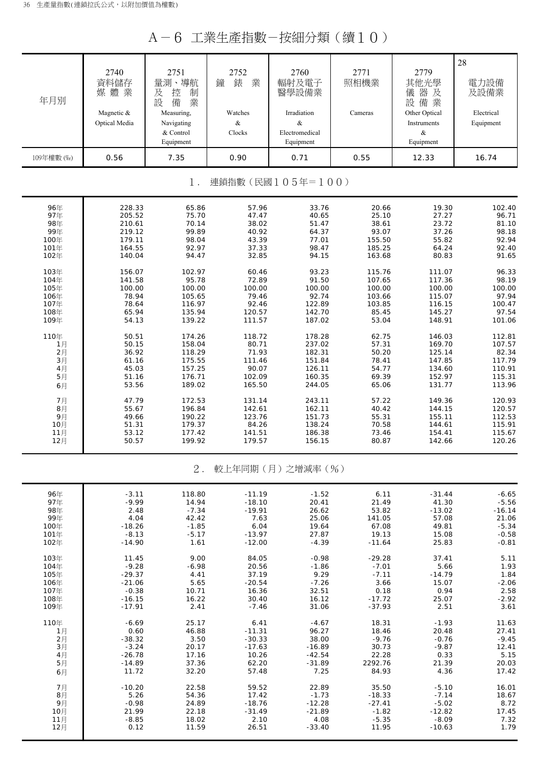A-6 工業生產指數-按細分類(續10)

| 年月別        | 2740<br>資料儲存<br>媒體業<br>Magnetic &<br>Optical Media | 2751<br>量測、導航<br>及<br>控<br>制<br>設<br>備<br>業<br>Measuring,<br>Navigating<br>& Control<br>Equipment | 2752<br>錶<br>業<br>鐘<br>Watches<br>$\&$<br>Clocks | 2760<br>輻射及電子<br>醫學設備業<br>Irradiation<br>$\&$<br>Electromedical<br>Equipment | 2771<br>照相機業<br>Cameras | 2779<br>其他光學<br>器及<br>儀<br>設備業<br>Other Optical<br>Instruments<br>$\&$<br>Equipment | 28<br>電力設備<br>及設備業<br>Electrical<br>Equipment |
|------------|----------------------------------------------------|---------------------------------------------------------------------------------------------------|--------------------------------------------------|------------------------------------------------------------------------------|-------------------------|-------------------------------------------------------------------------------------|-----------------------------------------------|
| 109年權數 (‰) | 0.56                                               | 7.35                                                                                              | 0.90                                             | 0.71                                                                         | 0.55                    | 12.33                                                                               | 16.74                                         |
|            |                                                    | $1$ .                                                                                             |                                                  | 連鎖指數(民國105年=100)                                                             |                         |                                                                                     |                                               |
| 96年        | 228.33                                             | 65.86                                                                                             | 57.96                                            | 33.76                                                                        | 20.66                   | 19.30                                                                               | 102.40                                        |
| 97年        | 205.52                                             | 75.70                                                                                             | 47.47                                            | 40.65                                                                        | 25.10                   | 27.27                                                                               | 96.71                                         |
| 98年        | 210.61                                             | 70.14                                                                                             | 38.02                                            | 51.47                                                                        | 38.61                   | 23.72                                                                               | 81.10                                         |
| 99年        | 219.12                                             | 99.89                                                                                             | 40.92                                            | 64.37                                                                        | 93.07                   | 37.26                                                                               | 98.18                                         |
| 100年       | 179.11                                             | 98.04                                                                                             | 43.39                                            | 77.01                                                                        | 155.50                  | 55.82                                                                               | 92.94                                         |
| 101年       | 164.55                                             | 92.97                                                                                             | 37.33                                            | 98.47                                                                        | 185.25                  | 64.24                                                                               | 92.40                                         |
| 102年       | 140.04                                             | 94.47                                                                                             | 32.85                                            | 94.15                                                                        | 163.68                  | 80.83                                                                               | 91.65                                         |
| 103年       | 156.07                                             | 102.97                                                                                            | 60.46                                            | 93.23                                                                        | 115.76                  | 111.07                                                                              | 96.33                                         |
| 104年       | 141.58                                             | 95.78                                                                                             | 72.89                                            | 91.50                                                                        | 107.65                  | 117.36                                                                              | 98.19                                         |
| 105年       | 100.00                                             | 100.00                                                                                            | 100.00                                           | 100.00                                                                       | 100.00                  | 100.00                                                                              | 100.00                                        |
| 106年       | 78.94                                              | 105.65                                                                                            | 79.46                                            | 92.74                                                                        | 103.66                  | 115.07                                                                              | 97.94                                         |
| 107年       | 78.64                                              | 116.97                                                                                            | 92.46                                            | 122.89                                                                       | 103.85                  | 116.15                                                                              | 100.47                                        |
| 108年       | 65.94                                              | 135.94                                                                                            | 120.57                                           | 142.70                                                                       | 85.45                   | 145.27                                                                              | 97.54                                         |
| 109年       | 54.13                                              | 139.22                                                                                            | 111.57                                           | 187.02                                                                       | 53.04                   | 148.91                                                                              | 101.06                                        |
| 110年       | 50.51                                              | 174.26                                                                                            | 118.72                                           | 178.28                                                                       | 62.75                   | 146.03                                                                              | 112.81                                        |
| 1月         | 50.15                                              | 158.04                                                                                            | 80.71                                            | 237.02                                                                       | 57.31                   | 169.70                                                                              | 107.57                                        |
| 2月         | 36.92                                              | 118.29                                                                                            | 71.93                                            | 182.31                                                                       | 50.20                   | 125.14                                                                              | 82.34                                         |
| 3月         | 61.16                                              | 175.55                                                                                            | 111.46                                           | 151.84                                                                       | 78.41                   | 147.85                                                                              | 117.79                                        |
| 4月         | 45.03                                              | 157.25                                                                                            | 90.07                                            | 126.11                                                                       | 54.77                   | 134.60                                                                              | 110.91                                        |
| 5月         | 51.16                                              | 176.71                                                                                            | 102.09                                           | 160.35                                                                       | 69.39                   | 152.97                                                                              | 115.31                                        |
| 6月         | 53.56                                              | 189.02                                                                                            | 165.50                                           | 244.05                                                                       | 65.06                   | 131.77                                                                              | 113.96                                        |
| 7月         | 47.79                                              | 172.53                                                                                            | 131.14                                           | 243.11                                                                       | 57.22                   | 149.36                                                                              | 120.93                                        |
| 8月         | 55.67                                              | 196.84                                                                                            | 142.61                                           | 162.11                                                                       | 40.42                   | 144.15                                                                              | 120.57                                        |
| 9月         | 49.66                                              | 190.22                                                                                            | 123.76                                           | 151.73                                                                       | 55.31                   | 155.11                                                                              | 112.53                                        |
| 10月        | 51.31                                              | 179.37                                                                                            | 84.26                                            | 138.24                                                                       | 70.58                   | 144.61                                                                              | 115.91                                        |
| 11月        | 53.12                                              | 177.42                                                                                            | 141.51                                           | 186.38                                                                       | 73.46                   | 154.41                                                                              | 115.67                                        |
| 12月        | 50.57                                              | 199.92                                                                                            | 179.57                                           | 156.15                                                                       | 80.87                   | 142.66                                                                              | 120.26                                        |
|            |                                                    | $2$ .                                                                                             |                                                  | 較上年同期(月)之增減率(%)                                                              |                         |                                                                                     |                                               |
| 96年        | $-3.11$                                            | 118.80                                                                                            | $-11.19$                                         | $-1.52$                                                                      | 6.11                    | $-31.44$                                                                            | $-6.65$                                       |
| 97年        | $-9.99$                                            | 14.94                                                                                             | $-18.10$                                         | 20.41                                                                        | 21.49                   | 41.30                                                                               | $-5.56$                                       |
| 98年        | 2.48                                               | $-7.34$                                                                                           | $-19.91$                                         | 26.62                                                                        | 53.82                   | $-13.02$                                                                            | $-16.14$                                      |
| 99年        | 4.04                                               | 42.42                                                                                             | 7.63                                             | 25.06                                                                        | 141.05                  | 57.08                                                                               | 21.06                                         |
| 100年       | $-18.26$                                           | $-1.85$                                                                                           | 6.04                                             | 19.64                                                                        | 67.08                   | 49.81                                                                               | $-5.34$                                       |
| 101年       | $-8.13$                                            | $-5.17$                                                                                           | $-13.97$                                         | 27.87                                                                        | 19.13                   | 15.08                                                                               | $-0.58$                                       |
| 102年       | $-14.90$                                           | 1.61                                                                                              | $-12.00$                                         | $-4.39$                                                                      | $-11.64$                | 25.83                                                                               | $-0.81$                                       |
| 103年       | 11.45                                              | 9.00                                                                                              | 84.05                                            | $-0.98$                                                                      | $-29.28$                | 37.41                                                                               | 5.11                                          |
| 104年       | $-9.28$                                            | $-6.98$                                                                                           | 20.56                                            | $-1.86$                                                                      | $-7.01$                 | 5.66                                                                                | 1.93                                          |
| 105年       | $-29.37$                                           | 4.41                                                                                              | 37.19                                            | 9.29                                                                         | $-7.11$                 | $-14.79$                                                                            | 1.84                                          |
| 106年       | $-21.06$                                           | 5.65                                                                                              | $-20.54$                                         | $-7.26$                                                                      | 3.66                    | 15.07                                                                               | $-2.06$                                       |
| 107年       | $-0.38$                                            | 10.71                                                                                             | 16.36                                            | 32.51                                                                        | 0.18                    | 0.94                                                                                | 2.58                                          |
| 108年       | $-16.15$                                           | 16.22                                                                                             | 30.40                                            | 16.12                                                                        | $-17.72$                | 25.07                                                                               | $-2.92$                                       |
| 109年       | $-17.91$                                           | 2.41                                                                                              | $-7.46$                                          | 31.06                                                                        | $-37.93$                | 2.51                                                                                | 3.61                                          |
| 110年       | $-6.69$                                            | 25.17                                                                                             | 6.41                                             | $-4.67$                                                                      | 18.31                   | $-1.93$                                                                             | 11.63                                         |
| 1月         | 0.60                                               | 46.88                                                                                             | $-11.31$                                         | 96.27                                                                        | 18.46                   | 20.48                                                                               | 27.41                                         |
| 2月         | $-38.32$                                           | 3.50                                                                                              | $-30.33$                                         | 38.00                                                                        | $-9.76$                 | $-0.76$                                                                             | $-9.45$                                       |
| 3月         | $-3.24$                                            | 20.17                                                                                             | $-17.63$                                         | $-16.89$                                                                     | 30.73                   | $-9.87$                                                                             | 12.41                                         |
| 4月         | $-26.78$                                           | 17.16                                                                                             | 10.26                                            | $-42.54$                                                                     | 22.28                   | 0.33                                                                                | 5.15                                          |
| 5月         | $-14.89$                                           | 37.36                                                                                             | 62.20                                            | $-31.89$                                                                     | 2292.76                 | 21.39                                                                               | 20.03                                         |
| 6月         | 11.72                                              | 32.20                                                                                             | 57.48                                            | 7.25                                                                         | 84.93                   | 4.36                                                                                | 17.42                                         |
| 7月         | $-10.20$                                           | 22.58                                                                                             | 59.52                                            | 22.89                                                                        | 35.50                   | $-5.10$                                                                             | 16.01                                         |
| 8月         | 5.26                                               | 54.36                                                                                             | 17.42                                            | $-1.73$                                                                      | $-18.33$                | $-7.14$                                                                             | 18.67                                         |
| 9月         | $-0.98$                                            | 24.89                                                                                             | $-18.76$                                         | $-12.28$                                                                     | $-27.41$                | $-5.02$                                                                             | 8.72                                          |
| 10月        | 21.99                                              | 22.18                                                                                             | $-31.49$                                         | $-21.89$                                                                     | $-1.82$                 | $-12.82$                                                                            | 17.45                                         |
| 11月        | $-8.85$                                            | 18.02                                                                                             | 2.10                                             | 4.08                                                                         | $-5.35$                 | $-8.09$                                                                             | 7.32                                          |
| 12月        | 0.12                                               | 11.59                                                                                             | 26.51                                            | $-33.40$                                                                     | 11.95                   | $-10.63$                                                                            | 1.79                                          |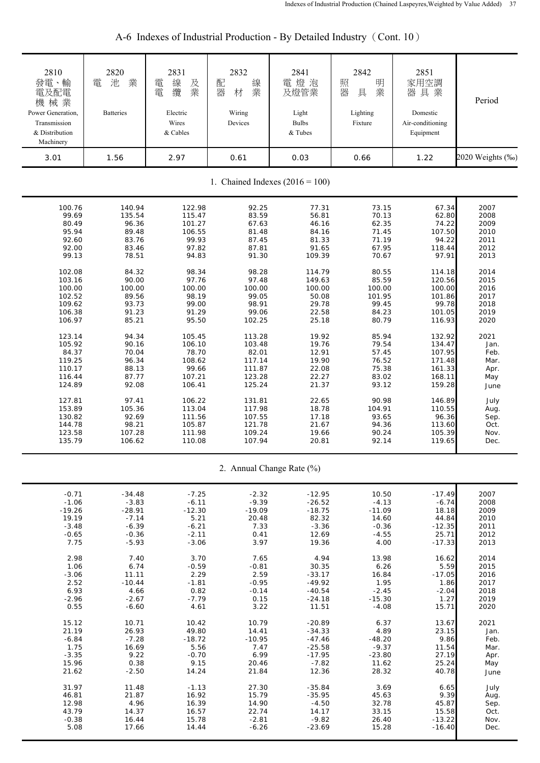| 2810<br>發電、輸<br>電及配電<br>機械業<br>Power Generation,<br>Transmission<br>& Distribution<br>Machinery | 2820<br>業<br>池<br>電<br><b>Batteries</b> | 2831<br>線<br>電<br>及<br>業<br>纜<br>電<br>Electric<br>Wires<br>& Cables | 2832<br>配<br>線<br>器<br>業<br>材<br>Wiring<br>Devices | 2841<br>電燈泡<br>及燈管業<br>Light<br><b>Bulbs</b><br>& Tubes | 2842<br>照<br>明<br>器<br>業<br>具<br>Lighting<br>Fixture | 2851<br>家用空調<br>器具業<br>Domestic<br>Air-conditioning<br>Equipment | Period           |
|-------------------------------------------------------------------------------------------------|-----------------------------------------|---------------------------------------------------------------------|----------------------------------------------------|---------------------------------------------------------|------------------------------------------------------|------------------------------------------------------------------|------------------|
| 3.01                                                                                            | 1.56                                    | 2.97                                                                | 0.61                                               | 0.03                                                    | 0.66                                                 | 1.22                                                             | 2020 Weights (‰) |
|                                                                                                 |                                         |                                                                     |                                                    | 1. Chained Indexes $(2016 = 100)$                       |                                                      |                                                                  |                  |
| 100.76                                                                                          | 140.94                                  | 122.98                                                              | 92.25                                              | 77.31                                                   | 73.15                                                | 67.34                                                            | 2007             |
| 99.69                                                                                           | 135.54                                  | 115.47                                                              | 83.59                                              | 56.81                                                   | 70.13                                                | 62.80                                                            | 2008             |
| 80.49                                                                                           | 96.36                                   | 101.27                                                              | 67.63                                              | 46.16                                                   | 62.35                                                | 74.22                                                            | 2009             |
| 95.94                                                                                           | 89.48                                   | 106.55                                                              | 81.48                                              | 84.16                                                   | 71.45                                                | 107.50                                                           | 2010             |
| 92.60                                                                                           | 83.76                                   | 99.93                                                               | 87.45                                              | 81.33                                                   | 71.19                                                | 94.22                                                            | 2011             |
| 92.00                                                                                           | 83.46                                   | 97.82                                                               | 87.81                                              | 91.65                                                   | 67.95                                                | 118.44                                                           | 2012             |
| 99.13                                                                                           | 78.51                                   | 94.83                                                               | 91.30                                              | 109.39                                                  | 70.67                                                | 97.91                                                            | 2013             |
| 102.08                                                                                          | 84.32                                   | 98.34                                                               | 98.28                                              | 114.79                                                  | 80.55                                                | 114.18                                                           | 2014             |
| 103.16                                                                                          | 90.00                                   | 97.76                                                               | 97.48                                              | 149.63                                                  | 85.59                                                | 120.56                                                           | 2015             |
| 100.00                                                                                          | 100.00                                  | 100.00                                                              | 100.00                                             | 100.00                                                  | 100.00                                               | 100.00                                                           | 2016             |
| 102.52                                                                                          | 89.56                                   | 98.19                                                               | 99.05                                              | 50.08                                                   | 101.95                                               | 101.86                                                           | 2017             |
| 109.62                                                                                          | 93.73                                   | 99.00                                                               | 98.91                                              | 29.78                                                   | 99.45                                                | 99.78                                                            | 2018             |
| 106.38                                                                                          | 91.23                                   | 91.29                                                               | 99.06                                              | 22.58                                                   | 84.23                                                | 101.05                                                           | 2019             |
| 106.97                                                                                          | 85.21                                   | 95.50                                                               | 102.25                                             | 25.18                                                   | 80.79                                                | 116.93                                                           | 2020             |
| 123.14                                                                                          | 94.34                                   | 105.45                                                              | 113.28                                             | 19.92                                                   | 85.94                                                | 132.92                                                           | 2021             |
| 105.92                                                                                          | 90.16                                   | 106.10                                                              | 103.48                                             | 19.76                                                   | 79.54                                                | 134.47                                                           | Jan.             |
| 84.37                                                                                           | 70.04                                   | 78.70                                                               | 82.01                                              | 12.91                                                   | 57.45                                                | 107.95                                                           | Feb.             |
| 119.25                                                                                          | 96.34                                   | 108.62                                                              | 117.14                                             | 19.90                                                   | 76.52                                                | 171.48                                                           | Mar.             |
| 110.17                                                                                          | 88.13                                   | 99.66                                                               | 111.87                                             | 22.08                                                   | 75.38                                                | 161.33                                                           | Apr.             |
| 116.44                                                                                          | 87.77                                   | 107.21                                                              | 123.28                                             | 22.27                                                   | 83.02                                                | 168.11                                                           | May              |
| 124.89                                                                                          | 92.08                                   | 106.41                                                              | 125.24                                             | 21.37                                                   | 93.12                                                | 159.28                                                           | June             |
| 127.81                                                                                          | 97.41                                   | 106.22                                                              | 131.81                                             | 22.65                                                   | 90.98                                                | 146.89                                                           | July             |
| 153.89                                                                                          | 105.36                                  | 113.04                                                              | 117.98                                             | 18.78                                                   | 104.91                                               | 110.55                                                           | Aug.             |
| 130.82                                                                                          | 92.69                                   | 111.56                                                              | 107.55                                             | 17.18                                                   | 93.65                                                | 96.36                                                            | Sep.             |
| 144.78                                                                                          | 98.21                                   | 105.87                                                              | 121.78                                             | 21.67                                                   | 94.36                                                | 113.60                                                           | Oct.             |
| 123.58                                                                                          | 107.28                                  | 111.98                                                              | 109.24                                             | 19.66                                                   | 90.24                                                | 105.39                                                           | Nov.             |
| 135.79                                                                                          | 106.62                                  | 110.08                                                              | 107.94                                             | 20.81                                                   | 92.14                                                | 119.65                                                           | Dec.             |
|                                                                                                 |                                         |                                                                     |                                                    | 2. Annual Change Rate (%)                               |                                                      |                                                                  |                  |
| $-0.71$                                                                                         | $-34.48$                                | $-7.25$                                                             | $-2.32$                                            | $-12.95$                                                | 10.50                                                | $-17.49$                                                         | 2007             |
| $-1.06$                                                                                         | $-3.83$                                 | $-6.11$                                                             | $-9.39$                                            | $-26.52$                                                | $-4.13$                                              | $-6.74$                                                          | 2008             |
| $-19.26$                                                                                        | $-28.91$                                | $-12.30$                                                            | $-19.09$                                           | $-18.75$                                                | $-11.09$                                             | 18.18                                                            | 2009             |
| 19.19                                                                                           | $-7.14$                                 | 5.21                                                                | 20.48                                              | 82.32                                                   | 14.60                                                | 44.84                                                            | 2010             |
| $-3.48$                                                                                         | $-6.39$                                 | $-6.21$                                                             | 7.33                                               | $-3.36$                                                 | $-0.36$                                              | $-12.35$                                                         | 2011             |
| $-0.65$                                                                                         | $-0.36$                                 | $-2.11$                                                             | 0.41                                               | 12.69                                                   | $-4.55$                                              | 25.71                                                            | 2012             |
| 7.75                                                                                            | $-5.93$                                 | $-3.06$                                                             | 3.97                                               | 19.36                                                   | 4.00                                                 | $-17.33$                                                         | 2013             |
| 2.98                                                                                            | 7.40                                    | 3.70                                                                | 7.65                                               | 4.94                                                    | 13.98                                                | 16.62                                                            | 2014             |
| 1.06                                                                                            | 6.74                                    | $-0.59$                                                             | $-0.81$                                            | 30.35                                                   | 6.26                                                 | 5.59                                                             | 2015             |
| $-3.06$                                                                                         | 11.11                                   | 2.29                                                                | 2.59                                               | $-33.17$                                                | 16.84                                                | $-17.05$                                                         | 2016             |
| 2.52                                                                                            | $-10.44$                                | $-1.81$                                                             | $-0.95$                                            | $-49.92$                                                | 1.95                                                 | 1.86                                                             | 2017             |
| 6.93                                                                                            | 4.66                                    | 0.82                                                                | $-0.14$                                            | $-40.54$                                                | $-2.45$                                              | $-2.04$                                                          | 2018             |
| $-2.96$                                                                                         | $-2.67$                                 | $-7.79$                                                             | 0.15                                               | $-24.18$                                                | $-15.30$                                             | 1.27                                                             | 2019             |
| 0.55                                                                                            | $-6.60$                                 | 4.61                                                                | 3.22                                               | 11.51                                                   | $-4.08$                                              | 15.71                                                            | 2020             |
| 15.12                                                                                           | 10.71                                   | 10.42                                                               | 10.79                                              | $-20.89$                                                | 6.37                                                 | 13.67                                                            | 2021             |
| 21.19                                                                                           | 26.93                                   | 49.80                                                               | 14.41                                              | $-34.33$                                                | 4.89                                                 | 23.15                                                            | Jan.             |
| $-6.84$                                                                                         | $-7.28$                                 | $-18.72$                                                            | $-10.95$                                           | $-47.46$                                                | $-48.20$                                             | 9.86                                                             | Feb.             |
| 1.75                                                                                            | 16.69                                   | 5.56                                                                | 7.47                                               | $-25.58$                                                | $-9.37$                                              | 11.54                                                            | Mar.             |
| $-3.35$                                                                                         | 9.22                                    | $-0.70$                                                             | 6.99                                               | $-17.95$                                                | $-23.80$                                             | 27.19                                                            | Apr.             |
| 15.96                                                                                           | 0.38                                    | 9.15                                                                | 20.46                                              | $-7.82$                                                 | 11.62                                                | 25.24                                                            | May              |
| 21.62                                                                                           | $-2.50$                                 | 14.24                                                               | 21.84                                              | 12.36                                                   | 28.32                                                | 40.78                                                            | June             |
| 31.97                                                                                           | 11.48                                   | $-1.13$                                                             | 27.30                                              | $-35.84$                                                | 3.69                                                 | 6.65                                                             | July             |
| 46.81                                                                                           | 21.87                                   | 16.92                                                               | 15.79                                              | $-35.95$                                                | 45.63                                                | 9.39                                                             | Aug.             |
| 12.98                                                                                           | 4.96                                    | 16.39                                                               | 14.90                                              | $-4.50$                                                 | 32.78                                                | 45.87                                                            | Sep.             |
| 43.79                                                                                           | 14.37                                   | 16.57                                                               | 22.74                                              | 14.17                                                   | 33.15                                                | 15.58                                                            | Oct.             |
| $-0.38$                                                                                         | 16.44                                   | 15.78                                                               | $-2.81$                                            | $-9.82$                                                 | 26.40                                                | $-13.22$                                                         | Nov.             |
| 5.08                                                                                            | 17.66                                   | 14.44                                                               | $-6.26$                                            | $-23.69$                                                | 15.28                                                | $-16.40$                                                         | Dec.             |

A-6 Indexes of Industrial Production - By Detailed Industry (Cont. 10)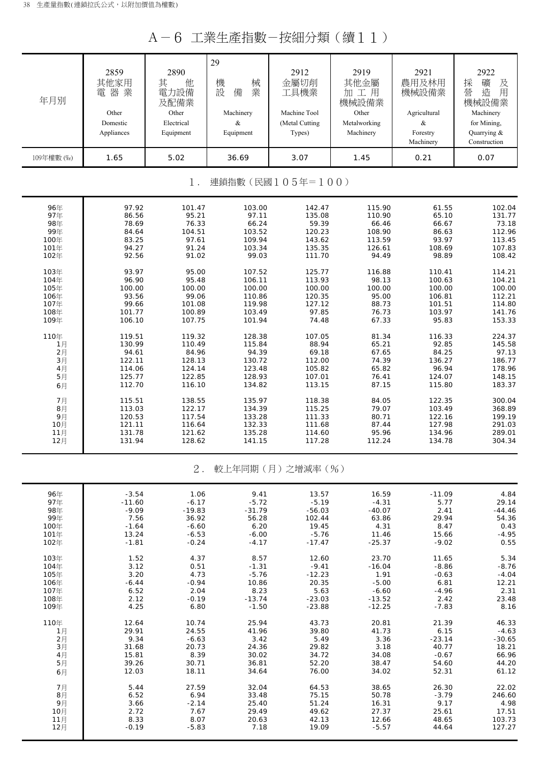A-6 工業生產指數-按細分類(續11)

| 年月別        | 2859<br>其他家用<br>電器業<br>Other<br>Domestic<br>Appliances | 2890<br>他<br>其<br>電力設備<br>及配備業<br>Other<br>Electrical<br>Equipment | 29<br>機<br>械<br>設<br>業<br>備<br>Machinery<br>$\&$<br>Equipment | 2912<br>金屬切削<br>工具機業<br>Machine Tool<br>(Metal Cutting<br>Types) | 2919<br>其他金屬<br>加工用<br>機械設備業<br>Other<br>Metalworking<br>Machinery | 2921<br>農用及林用<br>機械設備業<br>Agricultural<br>$\&$<br>Forestry<br>Machinery | 2922<br>採<br>礦<br>及<br>營<br>造<br>用<br>機械設備業<br>Machinery<br>for Mining,<br>Quarrying &<br>Construction |
|------------|--------------------------------------------------------|--------------------------------------------------------------------|---------------------------------------------------------------|------------------------------------------------------------------|--------------------------------------------------------------------|-------------------------------------------------------------------------|--------------------------------------------------------------------------------------------------------|
| 109年權數 (%) | 1.65                                                   | 5.02                                                               | 36.69                                                         | 3.07                                                             | 1.45                                                               | 0.21                                                                    | 0.07                                                                                                   |
|            |                                                        | 1.                                                                 |                                                               | 連鎖指數(民國105年=100)                                                 |                                                                    |                                                                         |                                                                                                        |
| 96年        | 97.92                                                  | 101.47                                                             | 103.00                                                        | 142.47                                                           | 115.90                                                             | 61.55                                                                   | 102.04                                                                                                 |
| 97年        | 86.56                                                  | 95.21                                                              | 97.11                                                         | 135.08                                                           | 110.90                                                             | 65.10                                                                   | 131.77                                                                                                 |
| 98年        | 78.69                                                  | 76.33                                                              | 66.24                                                         | 59.39                                                            | 66.46                                                              | 66.67                                                                   | 73.18                                                                                                  |
| 99年        | 84.64                                                  | 104.51                                                             | 103.52                                                        | 120.23                                                           | 108.90                                                             | 86.63                                                                   | 112.96                                                                                                 |
| 100年       | 83.25                                                  | 97.61                                                              | 109.94                                                        | 143.62                                                           | 113.59                                                             | 93.97                                                                   | 113.45                                                                                                 |
| 101年       | 94.27                                                  | 91.24                                                              | 103.34                                                        | 135.35                                                           | 126.61                                                             | 108.69                                                                  | 107.83                                                                                                 |
| 102年       | 92.56                                                  | 91.02                                                              | 99.03                                                         | 111.70                                                           | 94.49                                                              | 98.89                                                                   | 108.42                                                                                                 |
| 103年       | 93.97                                                  | 95.00                                                              | 107.52                                                        | 125.77                                                           | 116.88                                                             | 110.41                                                                  | 114.21                                                                                                 |
| 104年       | 96.90                                                  | 95.48                                                              | 106.11                                                        | 113.93                                                           | 98.13                                                              | 100.63                                                                  | 104.21                                                                                                 |
| 105年       | 100.00                                                 | 100.00                                                             | 100.00                                                        | 100.00                                                           | 100.00                                                             | 100.00                                                                  | 100.00                                                                                                 |
| 106年       | 93.56                                                  | 99.06                                                              | 110.86                                                        | 120.35                                                           | 95.00                                                              | 106.81                                                                  | 112.21                                                                                                 |
| 107年       | 99.66                                                  | 101.08                                                             | 119.98                                                        | 127.12                                                           | 88.73                                                              | 101.51                                                                  | 114.80                                                                                                 |
| 108年       | 101.77                                                 | 100.89                                                             | 103.49                                                        | 97.85                                                            | 76.73                                                              | 103.97                                                                  | 141.76                                                                                                 |
| 109年       | 106.10                                                 | 107.75                                                             | 101.94                                                        | 74.48                                                            | 67.33                                                              | 95.83                                                                   | 153.33                                                                                                 |
| 110年       | 119.51                                                 | 119.32                                                             | 128.38                                                        | 107.05                                                           | 81.34                                                              | 116.33                                                                  | 224.37                                                                                                 |
| 1月         | 130.99                                                 | 110.49                                                             | 115.84                                                        | 88.94                                                            | 65.21                                                              | 92.85                                                                   | 145.58                                                                                                 |
| 2月         | 94.61                                                  | 84.96                                                              | 94.39                                                         | 69.18                                                            | 67.65                                                              | 84.25                                                                   | 97.13                                                                                                  |
| 3月         | 122.11                                                 | 128.13                                                             | 130.72                                                        | 112.00                                                           | 74.39                                                              | 136.27                                                                  | 186.77                                                                                                 |
| 4月         | 114.06                                                 | 124.14                                                             | 123.48                                                        | 105.82                                                           | 65.82                                                              | 96.94                                                                   | 178.96                                                                                                 |
| 5月         | 125.77                                                 | 122.85                                                             | 128.93                                                        | 107.01                                                           | 76.41                                                              | 124.07                                                                  | 148.15                                                                                                 |
| 6月         | 112.70                                                 | 116.10                                                             | 134.82                                                        | 113.15                                                           | 87.15                                                              | 115.80                                                                  | 183.37                                                                                                 |
| 7月         | 115.51                                                 | 138.55                                                             | 135.97                                                        | 118.38                                                           | 84.05                                                              | 122.35                                                                  | 300.04                                                                                                 |
| 8月         | 113.03                                                 | 122.17                                                             | 134.39                                                        | 115.25                                                           | 79.07                                                              | 103.49                                                                  | 368.89                                                                                                 |
| 9月         | 120.53                                                 | 117.54                                                             | 133.28                                                        | 111.33                                                           | 80.71                                                              | 122.16                                                                  | 199.19                                                                                                 |
| 10月        | 121.11                                                 | 116.64                                                             | 132.33                                                        | 111.68                                                           | 87.44                                                              | 127.98                                                                  | 291.03                                                                                                 |
| 11月        | 131.78                                                 | 121.62                                                             | 135.28                                                        | 114.60                                                           | 95.96                                                              | 134.96                                                                  | 289.01                                                                                                 |
| 12月        | 131.94                                                 | 128.62                                                             | 141.15                                                        | 117.28                                                           | 112.24                                                             | 134.78                                                                  | 304.34                                                                                                 |
|            |                                                        | $2$ .                                                              |                                                               | 較上年同期(月)之增減率(%)                                                  |                                                                    |                                                                         |                                                                                                        |
| 96年        | $-3.54$                                                | 1.06                                                               | 9.41                                                          | 13.57                                                            | 16.59                                                              | $-11.09$                                                                | 4.84                                                                                                   |
| 97年        | $-11.60$                                               | $-6.17$                                                            | $-5.72$                                                       | $-5.19$                                                          | $-4.31$                                                            | 5.77                                                                    | 29.14                                                                                                  |
| 98年        | $-9.09$                                                | $-19.83$                                                           | $-31.79$                                                      | $-56.03$                                                         | $-40.07$                                                           | 2.41                                                                    | $-44.46$                                                                                               |
| 99年        | 7.56                                                   | 36.92                                                              | 56.28                                                         | 102.44                                                           | 63.86                                                              | 29.94                                                                   | 54.36                                                                                                  |
| 100年       | $-1.64$                                                | $-6.60$                                                            | 6.20                                                          | 19.45                                                            | 4.31                                                               | 8.47                                                                    | 0.43                                                                                                   |
| 101年       | 13.24                                                  | $-6.53$                                                            | $-6.00$                                                       | $-5.76$                                                          | 11.46                                                              | 15.66                                                                   | $-4.95$                                                                                                |
| 102年       | $-1.81$                                                | $-0.24$                                                            | $-4.17$                                                       | $-17.47$                                                         | $-25.37$                                                           | $-9.02$                                                                 | 0.55                                                                                                   |
| 103年       | 1.52                                                   | 4.37                                                               | 8.57                                                          | 12.60                                                            | 23.70                                                              | 11.65                                                                   | 5.34                                                                                                   |
| 104年       | 3.12                                                   | 0.51                                                               | $-1.31$                                                       | $-9.41$                                                          | $-16.04$                                                           | $-8.86$                                                                 | $-8.76$                                                                                                |
| 105年       | 3.20                                                   | 4.73                                                               | $-5.76$                                                       | $-12.23$                                                         | 1.91                                                               | $-0.63$                                                                 | $-4.04$                                                                                                |
| 106年       | $-6.44$                                                | $-0.94$                                                            | 10.86                                                         | 20.35                                                            | $-5.00$                                                            | 6.81                                                                    | 12.21                                                                                                  |
| 107年       | 6.52                                                   | 2.04                                                               | 8.23                                                          | 5.63                                                             | $-6.60$                                                            | $-4.96$                                                                 | 2.31                                                                                                   |
| 108年       | 2.12                                                   | $-0.19$                                                            | $-13.74$                                                      | $-23.03$                                                         | $-13.52$                                                           | 2.42                                                                    | 23.48                                                                                                  |
| 109年       | 4.25                                                   | 6.80                                                               | $-1.50$                                                       | $-23.88$                                                         | $-12.25$                                                           | $-7.83$                                                                 | 8.16                                                                                                   |
| 110年       | 12.64                                                  | 10.74                                                              | 25.94                                                         | 43.73                                                            | 20.81                                                              | 21.39                                                                   | 46.33                                                                                                  |
| 1月         | 29.91                                                  | 24.55                                                              | 41.96                                                         | 39.80                                                            | 41.73                                                              | 6.15                                                                    | $-4.63$                                                                                                |
| 2月         | 9.34                                                   | $-6.63$                                                            | 3.42                                                          | 5.49                                                             | 3.36                                                               | $-23.14$                                                                | $-30.65$                                                                                               |
| 3月         | 31.68                                                  | 20.73                                                              | 24.36                                                         | 29.82                                                            | 3.18                                                               | 40.77                                                                   | 18.21                                                                                                  |
| 4月         | 15.81                                                  | 8.39                                                               | 30.02                                                         | 34.72                                                            | 34.08                                                              | $-0.67$                                                                 | 66.96                                                                                                  |
| 5月         | 39.26                                                  | 30.71                                                              | 36.81                                                         | 52.20                                                            | 38.47                                                              | 54.60                                                                   | 44.20                                                                                                  |
| 6月         | 12.03                                                  | 18.11                                                              | 34.64                                                         | 76.00                                                            | 34.02                                                              | 52.31                                                                   | 61.12                                                                                                  |
| 7月         | 5.44                                                   | 27.59                                                              | 32.04                                                         | 64.53                                                            | 38.65                                                              | 26.30                                                                   | 22.02                                                                                                  |
| 8月         | 6.52                                                   | 6.94                                                               | 33.48                                                         | 75.15                                                            | 50.78                                                              | $-3.79$                                                                 | 246.60                                                                                                 |
| 9月         | 3.66                                                   | $-2.14$                                                            | 25.40                                                         | 51.24                                                            | 16.31                                                              | 9.17                                                                    | 4.98                                                                                                   |
| 10月        | 2.72                                                   | 7.67                                                               | 29.49                                                         | 49.62                                                            | 27.37                                                              | 25.61                                                                   | 17.51                                                                                                  |
| 11月        | 8.33                                                   | 8.07                                                               | 20.63                                                         | 42.13                                                            | 12.66                                                              | 48.65                                                                   | 103.73                                                                                                 |
| 12月        | $-0.19$                                                | $-5.83$                                                            | 7.18                                                          | 19.09                                                            | $-5.57$                                                            | 44.64                                                                   | 127.27                                                                                                 |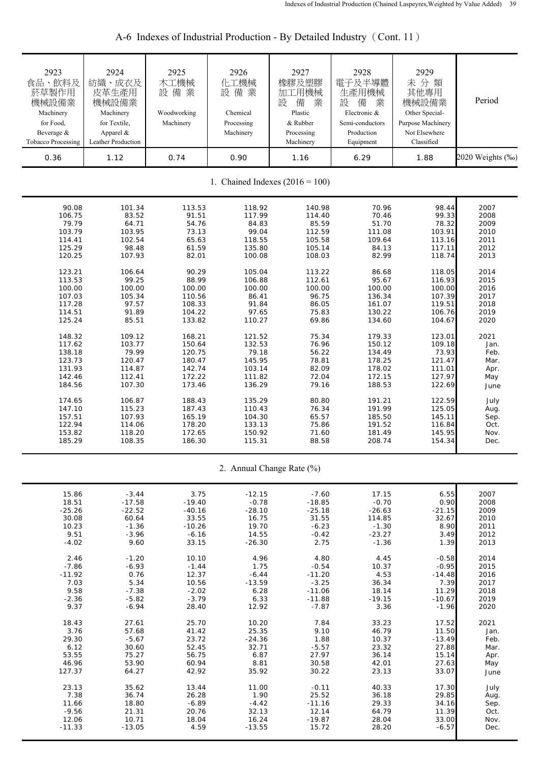| 2923<br>食品、飲料及<br>菸草製作用<br>機械設備業<br>Machinery<br>for Food,<br>Beverage &<br><b>Tobacco Processing</b> | 2924<br>紡織、成衣及<br>皮革生產用<br>機械設備業<br>Machinery<br>for Textile,<br>Apparel &<br>Leather Production | 2925<br>木工機械<br>設備業<br>Woodworking<br>Machinery | 2926<br>化工機械<br>設備業<br>Chemical<br>Processing<br>Machinery | 2927<br>橡膠及塑膠<br>加工用機械<br>設<br>備<br>業<br>Plastic<br>& Rubber<br>Processing<br>Machinery | 2928<br>電子及半導體<br>生產用機械<br>設<br>備<br>業<br>Electronic &<br>Semi-conductors<br>Production<br>Equipment | 2929<br>未分類<br>其他專用<br>機械設備業<br>Other Special-<br>Purpose Machinery<br>Not Elsewhere<br>Classified | Period           |  |
|-------------------------------------------------------------------------------------------------------|--------------------------------------------------------------------------------------------------|-------------------------------------------------|------------------------------------------------------------|-----------------------------------------------------------------------------------------|------------------------------------------------------------------------------------------------------|----------------------------------------------------------------------------------------------------|------------------|--|
| 0.36                                                                                                  | 1.12                                                                                             | 0.74                                            | 0.90                                                       | 1.16                                                                                    | 6.29                                                                                                 | 1.88                                                                                               | 2020 Weights (%) |  |
| 1. Chained Indexes $(2016 = 100)$                                                                     |                                                                                                  |                                                 |                                                            |                                                                                         |                                                                                                      |                                                                                                    |                  |  |
| 90.08                                                                                                 | 101.34                                                                                           | 113.53                                          | 118.92                                                     | 140.98                                                                                  | 70.96                                                                                                | 98.44                                                                                              | 2007             |  |
| 106.75                                                                                                | 83.52                                                                                            | 91.51                                           | 117.99                                                     | 114.40                                                                                  | 70.46                                                                                                | 99.33                                                                                              | 2008             |  |
| 79.79                                                                                                 | 64.71                                                                                            | 54.76                                           | 84.83                                                      | 85.59                                                                                   | 51.70                                                                                                | 78.32                                                                                              | 2009             |  |
| 103.79                                                                                                | 103.95                                                                                           | 73.13                                           | 99.04                                                      | 112.59                                                                                  | 111.08                                                                                               | 103.91                                                                                             | 2010             |  |
| 114.41                                                                                                | 102.54                                                                                           | 65.63                                           | 118.55                                                     | 105.58                                                                                  | 109.64                                                                                               | 113.16                                                                                             | 2011             |  |
| 125.29                                                                                                | 98.48                                                                                            | 61.59                                           | 135.80                                                     | 105.14                                                                                  | 84.13                                                                                                | 117.11                                                                                             | 2012             |  |
| 120.25                                                                                                | 107.93                                                                                           | 82.01                                           | 100.08                                                     | 108.03                                                                                  | 82.99                                                                                                | 118.74                                                                                             | 2013             |  |
| 123.21                                                                                                | 106.64                                                                                           | 90.29                                           | 105.04                                                     | 113.22                                                                                  | 86.68                                                                                                | 118.05                                                                                             | 2014             |  |
| 113.53                                                                                                | 99.25                                                                                            | 88.99                                           | 106.88                                                     | 112.61                                                                                  | 95.67                                                                                                | 116.93                                                                                             | 2015             |  |
| 100.00                                                                                                | 100.00                                                                                           | 100.00                                          | 100.00                                                     | 100.00                                                                                  | 100.00                                                                                               | 100.00                                                                                             | 2016             |  |
| 107.03                                                                                                | 105.34                                                                                           | 110.56                                          | 86.41                                                      | 96.75                                                                                   | 136.34                                                                                               | 107.39                                                                                             | 2017             |  |
| 117.28                                                                                                | 97.57                                                                                            | 108.33                                          | 91.84                                                      | 86.05                                                                                   | 161.07                                                                                               | 119.51                                                                                             | 2018             |  |
| 114.51                                                                                                | 91.89                                                                                            | 104.22                                          | 97.65                                                      | 75.83                                                                                   | 130.22                                                                                               | 106.76                                                                                             | 2019             |  |
| 125.24                                                                                                | 85.51                                                                                            | 133.82                                          | 110.27                                                     | 69.86                                                                                   | 134.60                                                                                               | 104.67                                                                                             | 2020             |  |
| 148.32                                                                                                | 109.12                                                                                           | 168.21                                          | 121.52                                                     | 75.34                                                                                   | 179.33                                                                                               | 123.01                                                                                             | 2021             |  |
| 117.62                                                                                                | 103.77                                                                                           | 150.64                                          | 132.53                                                     | 76.96                                                                                   | 150.12                                                                                               | 109.18                                                                                             | Jan.             |  |
| 138.18                                                                                                | 79.99                                                                                            | 120.75                                          | 79.18                                                      | 56.22                                                                                   | 134.49                                                                                               | 73.93                                                                                              | Feb.             |  |
| 123.73                                                                                                | 120.47                                                                                           | 180.47                                          | 145.95                                                     | 78.81                                                                                   | 178.25                                                                                               | 121.47                                                                                             | Mar.             |  |
| 131.93                                                                                                | 114.87                                                                                           | 142.74                                          | 103.14                                                     | 82.09                                                                                   | 178.02                                                                                               | 111.01                                                                                             | Apr.             |  |
| 142.46                                                                                                | 112.41                                                                                           | 172.22                                          | 111.82                                                     | 72.04                                                                                   | 172.15                                                                                               | 127.97                                                                                             | May              |  |
| 184.56                                                                                                | 107.30                                                                                           | 173.46                                          | 136.29                                                     | 79.16                                                                                   | 188.53                                                                                               | 122.69                                                                                             | June             |  |
| 174.65                                                                                                | 106.87                                                                                           | 188.43                                          | 135.29                                                     | 80.80                                                                                   | 191.21                                                                                               | 122.59                                                                                             | July             |  |
| 147.10                                                                                                | 115.23                                                                                           | 187.43                                          | 110.43                                                     | 76.34                                                                                   | 191.99                                                                                               | 125.05                                                                                             | Aug.             |  |
| 157.51                                                                                                | 107.93                                                                                           | 165.19                                          | 104.30                                                     | 65.57                                                                                   | 185.50                                                                                               | 145.11                                                                                             | Sep.             |  |
| 122.94                                                                                                | 114.06                                                                                           | 178.20                                          | 133.13                                                     | 75.86                                                                                   | 191.52                                                                                               | 116.84                                                                                             | Oct.             |  |
| 153.82                                                                                                | 118.20                                                                                           | 172.65                                          | 150.92                                                     | 71.60                                                                                   | 181.49                                                                                               | 145.95                                                                                             | Nov.             |  |
| 185.29                                                                                                | 108.35                                                                                           | 186.30                                          | 115.31                                                     | 88.58                                                                                   | 208.74                                                                                               | 154.34                                                                                             | Dec.             |  |
|                                                                                                       |                                                                                                  |                                                 |                                                            | 2. Annual Change Rate (%)                                                               |                                                                                                      |                                                                                                    |                  |  |
| 15.86                                                                                                 | $-3.44$                                                                                          | 3.75                                            | $-12.15$                                                   | $-7.60$                                                                                 | 17.15                                                                                                | 6.55                                                                                               | 2007             |  |
| 18.51                                                                                                 | $-17.58$                                                                                         | $-19.40$                                        | $-0.78$                                                    | $-18.85$                                                                                | $-0.70$                                                                                              | 0.90                                                                                               | 2008             |  |
| $-25.26$                                                                                              | $-22.52$                                                                                         | $-40.16$                                        | $-28.10$                                                   | $-25.18$                                                                                | $-26.63$                                                                                             | $-21.15$                                                                                           | 2009             |  |
| 30.08                                                                                                 | 60.64                                                                                            | 33.55                                           | 16.75                                                      | 31.55                                                                                   | 114.85                                                                                               | 32.67                                                                                              | 2010             |  |
| 10.23                                                                                                 | $-1.36$                                                                                          | $-10.26$                                        | 19.70                                                      | $-6.23$                                                                                 | $-1.30$                                                                                              | 8.90                                                                                               | 2011             |  |
| 9.51                                                                                                  | $-3.96$                                                                                          | $-6.16$                                         | 14.55                                                      | $-0.42$                                                                                 | $-23.27$                                                                                             | 3.49                                                                                               | 2012             |  |
| $-4.02$                                                                                               | 9.60                                                                                             | 33.15                                           | $-26.30$                                                   | 2.75                                                                                    | $-1.36$                                                                                              | 1.39                                                                                               | 2013             |  |
| 2.46                                                                                                  | $-1.20$                                                                                          | 10.10                                           | 4.96                                                       | 4.80                                                                                    | 4.45                                                                                                 | $-0.58$                                                                                            | 2014             |  |
| $-7.86$                                                                                               | $-6.93$                                                                                          | $-1.44$                                         | 1.75                                                       | $-0.54$                                                                                 | 10.37                                                                                                | $-0.95$                                                                                            | 2015             |  |
| $-11.92$                                                                                              | 0.76                                                                                             | 12.37                                           | $-6.44$                                                    | $-11.20$                                                                                | 4.53                                                                                                 | $-14.48$                                                                                           | 2016             |  |
| 7.03                                                                                                  | 5.34                                                                                             | 10.56                                           | $-13.59$                                                   | $-3.25$                                                                                 | 36.34                                                                                                | 7.39                                                                                               | 2017             |  |
| 9.58                                                                                                  | $-7.38$                                                                                          | $-2.02$                                         | 6.28                                                       | $-11.06$                                                                                | 18.14                                                                                                | 11.29                                                                                              | 2018             |  |
| $-2.36$                                                                                               | $-5.82$                                                                                          | $-3.79$                                         | 6.33                                                       | $-11.88$                                                                                | $-19.15$                                                                                             | $-10.67$                                                                                           | 2019             |  |
| 9.37                                                                                                  | $-6.94$                                                                                          | 28.40                                           | 12.92                                                      | $-7.87$                                                                                 | 3.36                                                                                                 | $-1.96$                                                                                            | 2020             |  |
| 18.43                                                                                                 | 27.61                                                                                            | 25.70                                           | 10.20                                                      | 7.84                                                                                    | 33.23                                                                                                | 17.52                                                                                              | 2021             |  |
| 3.76                                                                                                  | 57.68                                                                                            | 41.42                                           | 25.35                                                      | 9.10                                                                                    | 46.79                                                                                                | 11.50                                                                                              | Jan.             |  |
| 29.30                                                                                                 | $-5.67$                                                                                          | 23.72                                           | $-24.36$                                                   | 1.88                                                                                    | 10.37                                                                                                | $-13.49$                                                                                           | Feb.             |  |
| 6.12                                                                                                  | 30.60                                                                                            | 52.45                                           | 32.71                                                      | $-5.57$                                                                                 | 23.32                                                                                                | 27.88                                                                                              | Mar.             |  |
| 53.55                                                                                                 | 75.27                                                                                            | 56.75                                           | 6.87                                                       | 27.97                                                                                   | 36.14                                                                                                | 15.14                                                                                              | Apr.             |  |
| 46.96                                                                                                 | 53.90                                                                                            | 60.94                                           | 8.81                                                       | 30.58                                                                                   | 42.01                                                                                                | 27.63                                                                                              | May              |  |
| 127.37                                                                                                | 64.27                                                                                            | 42.92                                           | 35.92                                                      | 30.22                                                                                   | 23.13                                                                                                | 33.07                                                                                              | June             |  |
| 23.13                                                                                                 | 35.62                                                                                            | 13.44                                           | 11.00                                                      | $-0.11$                                                                                 | 40.33                                                                                                | 17.30                                                                                              | July             |  |
| 7.38                                                                                                  | 36.74                                                                                            | 26.28                                           | 1.90                                                       | 25.52                                                                                   | 36.18                                                                                                | 29.85                                                                                              | Aug.             |  |
| 11.66                                                                                                 | 18.80                                                                                            | $-6.89$                                         | $-4.42$                                                    | $-11.16$                                                                                | 29.33                                                                                                | 34.16                                                                                              | Sep.             |  |
| $-9.56$                                                                                               | 21.31                                                                                            | 20.76                                           | 32.13                                                      | 12.14                                                                                   | 64.79                                                                                                | 11.39                                                                                              | Oct.             |  |
| 12.06                                                                                                 | 10.71                                                                                            | 18.04                                           | 16.24                                                      | $-19.87$                                                                                | 28.04                                                                                                | 33.00                                                                                              | Nov.             |  |
| $-11.33$                                                                                              | $-13.05$                                                                                         | 4.59                                            | $-13.55$                                                   | 15.72                                                                                   | 28.20                                                                                                | $-6.57$                                                                                            | Dec.             |  |

A-6 Indexes of Industrial Production - By Detailed Industry (Cont. 11)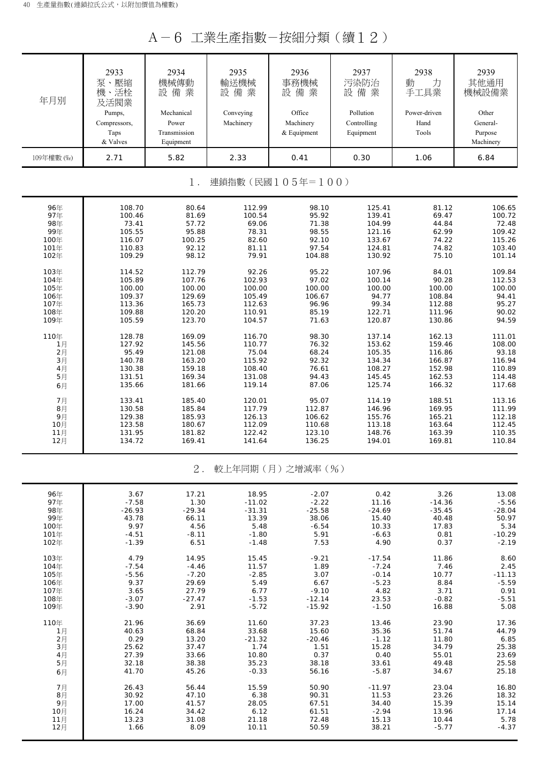A-6 工業生產指數-按細分類(續12)

| 年月別        | 2933<br>泵、壓縮<br>機、活栓<br>及活閥業<br>Pumps,<br>Compressors,<br>Taps<br>& Valves | 2934<br>機械傳動<br>設備業<br>Mechanical<br>Power<br>Transmission<br>Equipment | 2935<br>輸送機械<br>設備業<br>Conveying<br>Machinery | 2936<br>事務機械<br>設備業<br>Office<br>Machinery<br>& Equipment | 2937<br>污染防治<br>設備業<br>Pollution<br>Controlling<br>Equipment | 2938<br>力<br>動<br>手工具業<br>Power-driven<br>Hand<br>Tools | 2939<br>其他通用<br>機械設備業<br>Other<br>General-<br>Purpose<br>Machinery |
|------------|----------------------------------------------------------------------------|-------------------------------------------------------------------------|-----------------------------------------------|-----------------------------------------------------------|--------------------------------------------------------------|---------------------------------------------------------|--------------------------------------------------------------------|
| 109年權數 (%) | 2.71                                                                       | 5.82                                                                    | 2.33                                          | 0.41                                                      | 0.30                                                         | 1.06                                                    | 6.84                                                               |
|            |                                                                            | $1$ .                                                                   |                                               | 連鎖指數(民國105年=100)                                          |                                                              |                                                         |                                                                    |
|            |                                                                            |                                                                         |                                               |                                                           |                                                              |                                                         |                                                                    |
| 96年        | 108.70                                                                     | 80.64                                                                   | 112.99                                        | 98.10                                                     | 125.41                                                       | 81.12                                                   | 106.65                                                             |
| 97年        | 100.46                                                                     | 81.69                                                                   | 100.54                                        | 95.92                                                     | 139.41                                                       | 69.47                                                   | 100.72                                                             |
| 98年        | 73.41                                                                      | 57.72                                                                   | 69.06                                         | 71.38                                                     | 104.99                                                       | 44.84                                                   | 72.48                                                              |
| 99年        | 105.55                                                                     | 95.88                                                                   | 78.31                                         | 98.55                                                     | 121.16                                                       | 62.99                                                   | 109.42                                                             |
| 100年       | 116.07                                                                     | 100.25                                                                  | 82.60                                         | 92.10                                                     | 133.67                                                       | 74.22                                                   | 115.26                                                             |
| 101年       | 110.83                                                                     | 92.12                                                                   | 81.11                                         | 97.54                                                     | 124.81                                                       | 74.82                                                   | 103.40                                                             |
| 102年       | 109.29                                                                     | 98.12                                                                   | 79.91                                         | 104.88                                                    | 130.92                                                       | 75.10                                                   | 101.14                                                             |
| 103年       | 114.52                                                                     | 112.79                                                                  | 92.26                                         | 95.22                                                     | 107.96                                                       | 84.01                                                   | 109.84                                                             |
| 104年       | 105.89                                                                     | 107.76                                                                  | 102.93                                        | 97.02                                                     | 100.14                                                       | 90.28                                                   | 112.53                                                             |
| 105年       | 100.00                                                                     | 100.00                                                                  | 100.00                                        | 100.00                                                    | 100.00                                                       | 100.00                                                  | 100.00                                                             |
| 106年       | 109.37                                                                     | 129.69                                                                  | 105.49                                        | 106.67                                                    | 94.77                                                        | 108.84                                                  | 94.41                                                              |
| 107年       | 113.36                                                                     | 165.73                                                                  | 112.63                                        | 96.96                                                     | 99.34                                                        | 112.88                                                  | 95.27                                                              |
| 108年       | 109.88                                                                     | 120.20                                                                  | 110.91                                        | 85.19                                                     | 122.71                                                       | 111.96                                                  | 90.02                                                              |
| 109年       | 105.59                                                                     | 123.70                                                                  | 104.57                                        | 71.63                                                     | 120.87                                                       | 130.86                                                  | 94.59                                                              |
| 110年       | 128.78                                                                     | 169.09                                                                  | 116.70                                        | 98.30                                                     | 137.14                                                       | 162.13                                                  | 111.01                                                             |
| 1月         | 127.92                                                                     | 145.56                                                                  | 110.77                                        | 76.32                                                     | 153.62                                                       | 159.46                                                  | 108.00                                                             |
| 2月         | 95.49                                                                      | 121.08                                                                  | 75.04                                         | 68.24                                                     | 105.35                                                       | 116.86                                                  | 93.18                                                              |
| 3月         | 140.78                                                                     | 163.20                                                                  | 115.92                                        | 92.32                                                     | 134.34                                                       | 166.87                                                  | 116.94                                                             |
| 4月         | 130.38                                                                     | 159.18                                                                  | 108.40                                        | 76.61                                                     | 108.27                                                       | 152.98                                                  | 110.89                                                             |
| 5月         | 131.51                                                                     | 169.34                                                                  | 131.08                                        | 94.43                                                     | 145.45                                                       | 162.53                                                  | 114.48                                                             |
| 6月         | 135.66                                                                     | 181.66                                                                  | 119.14                                        | 87.06                                                     | 125.74                                                       | 166.32                                                  | 117.68                                                             |
| 7月         | 133.41                                                                     | 185.40                                                                  | 120.01                                        | 95.07                                                     | 114.19                                                       | 188.51                                                  | 113.16                                                             |
| 8月         | 130.58                                                                     | 185.84                                                                  | 117.79                                        | 112.87                                                    | 146.96                                                       | 169.95                                                  | 111.99                                                             |
| 9月         | 129.38                                                                     | 185.93                                                                  | 126.13                                        | 106.62                                                    | 155.76                                                       | 165.21                                                  | 112.18                                                             |
| 10月        | 123.58                                                                     | 180.67                                                                  | 112.09                                        | 110.68                                                    | 113.18                                                       | 163.64                                                  | 112.45                                                             |
| 11月        | 131.95                                                                     | 181.82                                                                  | 122.42                                        | 123.10                                                    | 148.76                                                       | 163.39                                                  | 110.35                                                             |
| 12月        | 134.72                                                                     | 169.41                                                                  | 141.64                                        | 136.25                                                    | 194.01                                                       | 169.81                                                  | 110.84                                                             |
|            |                                                                            | $2$ .                                                                   |                                               | 較上年同期(月)之增減率(%)                                           |                                                              |                                                         |                                                                    |
| 96年        | 3.67                                                                       | 17.21                                                                   | 18.95                                         | $-2.07$                                                   | 0.42                                                         | 3.26                                                    | 13.08                                                              |
| 97年        | $-7.58$                                                                    | 1.30                                                                    | $-11.02$                                      | $-2.22$                                                   | 11.16                                                        | $-14.36$                                                | $-5.56$                                                            |
| 98年        | $-26.93$                                                                   | $-29.34$                                                                | $-31.31$                                      | $-25.58$                                                  | $-24.69$                                                     | $-35.45$                                                | $-28.04$                                                           |
| 99年        | 43.78                                                                      | 66.11                                                                   | 13.39                                         | 38.06                                                     | 15.40                                                        | 40.48                                                   | 50.97                                                              |
| 100年       | 9.97                                                                       | 4.56                                                                    | 5.48                                          | $-6.54$                                                   | 10.33                                                        | 17.83                                                   | 5.34                                                               |
| 101年       | $-4.51$                                                                    | $-8.11$                                                                 | $-1.80$                                       | 5.91                                                      | $-6.63$                                                      | 0.81                                                    | $-10.29$                                                           |
| 102年       | $-1.39$                                                                    | 6.51                                                                    | $-1.48$                                       | 7.53                                                      | 4.90                                                         | 0.37                                                    | $-2.19$                                                            |
| 103年       | 4.79                                                                       | 14.95                                                                   | 15.45                                         | $-9.21$                                                   | $-17.54$                                                     | 11.86                                                   | 8.60                                                               |
| 104年       | $-7.54$                                                                    | $-4.46$                                                                 | 11.57                                         | 1.89                                                      | $-7.24$                                                      | 7.46                                                    | 2.45                                                               |
| 105年       | $-5.56$                                                                    | $-7.20$                                                                 | $-2.85$                                       | 3.07                                                      | $-0.14$                                                      | 10.77                                                   | $-11.13$                                                           |
| 106年       | 9.37                                                                       | 29.69                                                                   | 5.49                                          | 6.67                                                      | $-5.23$                                                      | 8.84                                                    | $-5.59$                                                            |
| 107年       | 3.65                                                                       | 27.79                                                                   | 6.77                                          | $-9.10$                                                   | 4.82                                                         | 3.71                                                    | 0.91                                                               |
| 108年       | $-3.07$                                                                    | $-27.47$                                                                | $-1.53$                                       | $-12.14$                                                  | 23.53                                                        | $-0.82$                                                 | $-5.51$                                                            |
| 109年       | $-3.90$                                                                    | 2.91                                                                    | $-5.72$                                       | $-15.92$                                                  | $-1.50$                                                      | 16.88                                                   | 5.08                                                               |
| 110年       | 21.96                                                                      | 36.69                                                                   | 11.60                                         | 37.23                                                     | 13.46                                                        | 23.90                                                   | 17.36                                                              |
| 1月         | 40.63                                                                      | 68.84                                                                   | 33.68                                         | 15.60                                                     | 35.36                                                        | 51.74                                                   | 44.79                                                              |
| 2月         | 0.29                                                                       | 13.20                                                                   | $-21.32$                                      | $-20.46$                                                  | $-1.12$                                                      | 11.80                                                   | 6.85                                                               |
| 3月         | 25.62                                                                      | 37.47                                                                   | 1.74                                          | 1.51                                                      | 15.28                                                        | 34.79                                                   | 25.38                                                              |
| 4月         | 27.39                                                                      | 33.66                                                                   | 10.80                                         | 0.37                                                      | 0.40                                                         | 55.01                                                   | 23.69                                                              |
| 5月         | 32.18                                                                      | 38.38                                                                   | 35.23                                         | 38.18                                                     | 33.61                                                        | 49.48                                                   | 25.58                                                              |
| 6月         | 41.70                                                                      | 45.26                                                                   | $-0.33$                                       | 56.16                                                     | $-5.87$                                                      | 34.67                                                   | 25.18                                                              |
| 7月         | 26.43                                                                      | 56.44                                                                   | 15.59                                         | 50.90                                                     | $-11.97$                                                     | 23.04                                                   | 16.80                                                              |
| 8月         | 30.92                                                                      | 47.10                                                                   | 6.38                                          | 90.31                                                     | 11.53                                                        | 23.26                                                   | 18.32                                                              |
| 9月         | 17.00                                                                      | 41.57                                                                   | 28.05                                         | 67.51                                                     | 34.40                                                        | 15.39                                                   | 15.14                                                              |
| 10月        | 16.24                                                                      | 34.42                                                                   | 6.12                                          | 61.51                                                     | $-2.94$                                                      | 13.96                                                   | 17.14                                                              |
| 11月        | 13.23                                                                      | 31.08                                                                   | 21.18                                         | 72.48                                                     | 15.13                                                        | 10.44                                                   | 5.78                                                               |
| 12月        | 1.66                                                                       | 8.09                                                                    | 10.11                                         | 50.59                                                     | 38.21                                                        | $-5.77$                                                 | $-4.37$                                                            |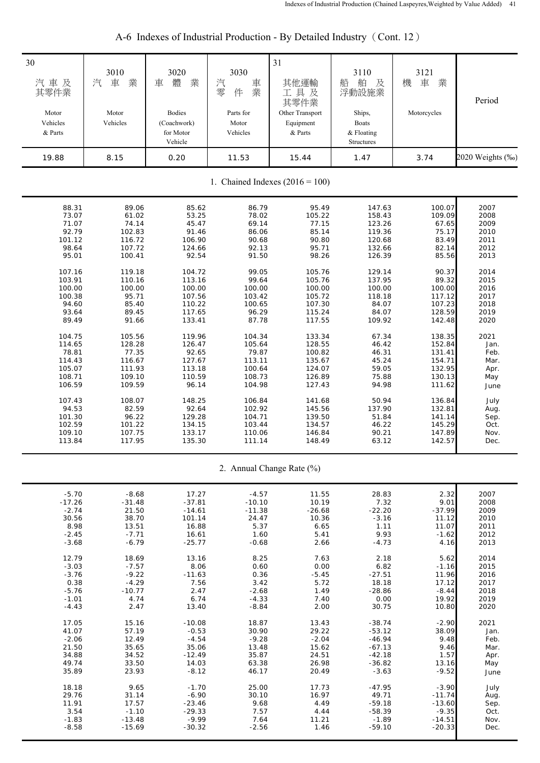| 30<br>汽車及<br>其零件業<br>Motor<br>Vehicles<br>& Parts | 3010<br>業<br>汽<br>車<br>Motor<br>Vehicles | 3020<br>體<br>業<br>車<br><b>Bodies</b><br>(Coachwork)<br>for Motor<br>Vehicle | 3030<br>汽<br>車業<br>零<br>件<br>Parts for<br>Motor<br>Vehicles | 31<br>其他運輸<br>工具及<br>其零件業<br>Other Transport<br>Equipment<br>& Parts | 3110<br>船<br>舶<br>及<br>浮動設施業<br>Ships,<br><b>Boats</b><br>& Floating<br>Structures | 3121<br>車<br>業<br>機<br>Motorcycles | Period           |
|---------------------------------------------------|------------------------------------------|-----------------------------------------------------------------------------|-------------------------------------------------------------|----------------------------------------------------------------------|------------------------------------------------------------------------------------|------------------------------------|------------------|
| 19.88                                             | 8.15                                     | 0.20                                                                        | 11.53                                                       | 15.44                                                                | 1.47                                                                               | 3.74                               | 2020 Weights (%) |
| 1. Chained Indexes $(2016 = 100)$                 |                                          |                                                                             |                                                             |                                                                      |                                                                                    |                                    |                  |
| 88.31                                             | 89.06                                    | 85.62                                                                       | 86.79                                                       | 95.49                                                                | 147.63                                                                             | 100.07                             | 2007             |
| 73.07                                             | 61.02                                    | 53.25                                                                       | 78.02                                                       | 105.22                                                               | 158.43                                                                             | 109.09                             | 2008             |
| 71.07                                             | 74.14                                    | 45.47                                                                       | 69.14                                                       | 77.15                                                                | 123.26                                                                             | 67.65                              | 2009             |
| 92.79                                             | 102.83                                   | 91.46                                                                       | 86.06                                                       | 85.14                                                                | 119.36                                                                             | 75.17                              | 2010             |
| 101.12                                            | 116.72                                   | 106.90                                                                      | 90.68                                                       | 90.80                                                                | 120.68                                                                             | 83.49                              | 2011             |
| 98.64                                             | 107.72                                   | 124.66                                                                      | 92.13                                                       | 95.71                                                                | 132.66                                                                             | 82.14                              | 2012             |
| 95.01                                             | 100.41                                   | 92.54                                                                       | 91.50                                                       | 98.26                                                                | 126.39                                                                             | 85.56                              | 2013             |
| 107.16                                            | 119.18                                   | 104.72                                                                      | 99.05                                                       | 105.76                                                               | 129.14                                                                             | 90.37                              | 2014             |
| 103.91                                            | 110.16                                   | 113.16                                                                      | 99.64                                                       | 105.76                                                               | 137.95                                                                             | 89.32                              | 2015             |
| 100.00                                            | 100.00                                   | 100.00                                                                      | 100.00                                                      | 100.00                                                               | 100.00                                                                             | 100.00                             | 2016             |
| 100.38                                            | 95.71                                    | 107.56                                                                      | 103.42                                                      | 105.72                                                               | 118.18                                                                             | 117.12                             | 2017             |
| 94.60                                             | 85.40                                    | 110.22                                                                      | 100.65                                                      | 107.30                                                               | 84.07                                                                              | 107.23                             | 2018             |
| 93.64                                             | 89.45                                    | 117.65                                                                      | 96.29                                                       | 115.24                                                               | 84.07                                                                              | 128.59                             | 2019             |
| 89.49                                             | 91.66                                    | 133.41                                                                      | 87.78                                                       | 117.55                                                               | 109.92                                                                             | 142.48                             | 2020             |
| 104.75                                            | 105.56                                   | 119.96                                                                      | 104.34                                                      | 133.34                                                               | 67.34                                                                              | 138.35                             | 2021             |
| 114.65                                            | 128.28                                   | 126.47                                                                      | 105.64                                                      | 128.55                                                               | 46.42                                                                              | 152.84                             | Jan.             |
| 78.81                                             | 77.35                                    | 92.65                                                                       | 79.87                                                       | 100.82                                                               | 46.31                                                                              | 131.41                             | Feb.             |
| 114.43                                            | 116.67                                   | 127.67                                                                      | 113.11                                                      | 135.67                                                               | 45.24                                                                              | 154.71                             | Mar.             |
| 105.07                                            | 111.93                                   | 113.18                                                                      | 100.64                                                      | 124.07                                                               | 59.05                                                                              | 132.95                             | Apr.             |
| 108.71                                            | 109.10                                   | 110.59                                                                      | 108.73                                                      | 126.89                                                               | 75.88                                                                              | 130.13                             | May              |
| 106.59                                            | 109.59                                   | 96.14                                                                       | 104.98                                                      | 127.43                                                               | 94.98                                                                              | 111.62                             | June             |
| 107.43                                            | 108.07                                   | 148.25                                                                      | 106.84                                                      | 141.68                                                               | 50.94                                                                              | 136.84                             | July             |
| 94.53                                             | 82.59                                    | 92.64                                                                       | 102.92                                                      | 145.56                                                               | 137.90                                                                             | 132.81                             | Aug.             |
| 101.30                                            | 96.22                                    | 129.28                                                                      | 104.71                                                      | 139.50                                                               | 51.84                                                                              | 141.14                             | Sep.             |
| 102.59                                            | 101.22                                   | 134.15                                                                      | 103.44                                                      | 134.57                                                               | 46.22                                                                              | 145.29                             | Oct.             |
| 109.10                                            | 107.75                                   | 133.17                                                                      | 110.06                                                      | 146.84                                                               | 90.21                                                                              | 147.89                             | Nov.             |
| 113.84                                            | 117.95                                   | 135.30                                                                      | 111.14                                                      | 148.49                                                               | 63.12                                                                              | 142.57                             | Dec.             |
|                                                   |                                          |                                                                             |                                                             | 2. Annual Change Rate (%)                                            |                                                                                    |                                    |                  |
| $-5.70$                                           | $-8.68$                                  | 17.27                                                                       | $-4.57$                                                     | 11.55                                                                | 28.83                                                                              | 2.32                               | 2007             |
| $-17.26$                                          | $-31.48$                                 | $-37.81$                                                                    | $-10.10$                                                    | 10.19                                                                | 7.32                                                                               | 9.01                               | 2008             |
| $-2.74$                                           | 21.50                                    | $-14.61$                                                                    | $-11.38$                                                    | $-26.68$                                                             | $-22.20$                                                                           | $-37.99$                           | 2009             |
| 30.56                                             | 38.70                                    | 101.14                                                                      | 24.47                                                       | 10.36                                                                | $-3.16$                                                                            | 11.12                              | 2010             |
| 8.98                                              | 13.51                                    | 16.88                                                                       | 5.37                                                        | 6.65                                                                 | 1.11                                                                               | 11.07                              | 2011             |
| $-2.45$                                           | $-7.71$                                  | 16.61                                                                       | 1.60                                                        | 5.41                                                                 | 9.93                                                                               | $-1.62$                            | 2012             |
| $-3.68$                                           | $-6.79$                                  | $-25.77$                                                                    | $-0.68$                                                     | 2.66                                                                 | $-4.73$                                                                            | 4.16                               | 2013             |
| 12.79                                             | 18.69                                    | 13.16                                                                       | 8.25                                                        | 7.63                                                                 | 2.18                                                                               | 5.62                               | 2014             |
| $-3.03$                                           | $-7.57$                                  | 8.06                                                                        | 0.60                                                        | 0.00                                                                 | 6.82                                                                               | $-1.16$                            | 2015             |
| $-3.76$                                           | $-9.22$                                  | $-11.63$                                                                    | 0.36                                                        | $-5.45$                                                              | $-27.51$                                                                           | 11.96                              | 2016             |
| 0.38                                              | $-4.29$                                  | 7.56                                                                        | 3.42                                                        | 5.72                                                                 | 18.18                                                                              | 17.12                              | 2017             |
| $-5.76$                                           | $-10.77$                                 | 2.47                                                                        | $-2.68$                                                     | 1.49                                                                 | $-28.86$                                                                           | $-8.44$                            | 2018             |
| $-1.01$                                           | 4.74                                     | 6.74                                                                        | $-4.33$                                                     | 7.40                                                                 | 0.00                                                                               | 19.92                              | 2019             |
| $-4.43$                                           | 2.47                                     | 13.40                                                                       | $-8.84$                                                     | 2.00                                                                 | 30.75                                                                              | 10.80                              | 2020             |
| 17.05                                             | 15.16                                    | $-10.08$                                                                    | 18.87                                                       | 13.43                                                                | $-38.74$                                                                           | $-2.90$                            | 2021             |
| 41.07                                             | 57.19                                    | $-0.53$                                                                     | 30.90                                                       | 29.22                                                                | $-53.12$                                                                           | 38.09                              | Jan.             |
| $-2.06$                                           | 12.49                                    | $-4.54$                                                                     | $-9.28$                                                     | $-2.04$                                                              | $-46.94$                                                                           | 9.48                               | Feb.             |
| 21.50                                             | 35.65                                    | 35.06                                                                       | 13.48                                                       | 15.62                                                                | $-67.13$                                                                           | 9.46                               | Mar.             |
| 34.88                                             | 34.52                                    | $-12.49$                                                                    | 35.87                                                       | 24.51                                                                | $-42.18$                                                                           | 1.57                               | Apr.             |
| 49.74                                             | 33.50                                    | 14.03                                                                       | 63.38                                                       | 26.98                                                                | $-36.82$                                                                           | 13.16                              | May              |
| 35.89                                             | 23.93                                    | $-8.12$                                                                     | 46.17                                                       | 20.49                                                                | $-3.63$                                                                            | $-9.52$                            | June             |
| 18.18                                             | 9.65                                     | $-1.70$                                                                     | 25.00                                                       | 17.73                                                                | $-47.95$                                                                           | $-3.90$                            | July             |
| 29.76                                             | 31.14                                    | $-6.90$                                                                     | 30.10                                                       | 16.97                                                                | 49.71                                                                              | $-11.74$                           | Aug.             |
| 11.91                                             | 17.57                                    | $-23.46$                                                                    | 9.68                                                        | 4.49                                                                 | $-59.18$                                                                           | $-13.60$                           | Sep.             |
| 3.54                                              | $-1.10$                                  | $-29.33$                                                                    | 7.57                                                        | 4.44                                                                 | $-58.39$                                                                           | $-9.35$                            | Oct.             |
| $-1.83$                                           | $-13.48$                                 | $-9.99$                                                                     | 7.64                                                        | 11.21                                                                | $-1.89$                                                                            | $-14.51$                           | Nov.             |
| $-8.58$                                           | $-15.69$                                 | $-30.32$                                                                    | $-2.56$                                                     | 1.46                                                                 | $-59.10$                                                                           | $-20.33$                           | Dec.             |

# A-6 Indexes of Industrial Production - By Detailed Industry (Cont. 12)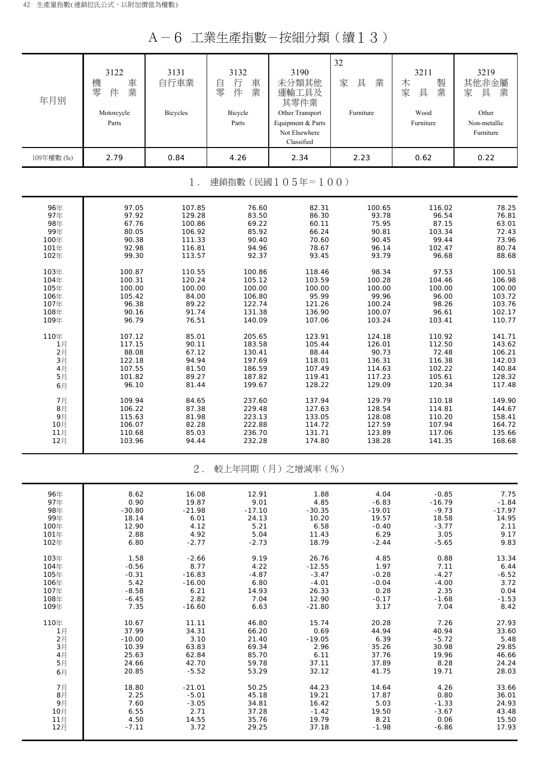A-6 工業生產指數-按細分類(續13)

| 年月別                       | 3122<br>機<br>車<br>零<br>業<br>件<br>Motorcycle<br>Parts | 3131<br>自行車業<br>Bicycles | 3132<br>行<br>車<br>自<br>業<br>零<br>件<br>Bicycle<br>Parts | 3190<br>未分類其他<br>運輸工具及<br>其零件業<br>Other Transport<br>Equipment & Parts<br>Not Elsewhere<br>Classified | 32<br>具<br>家<br>業<br>Furniture | 3211<br>製<br>木<br>業<br>家<br>具<br>Wood<br>Furniture | 3219<br>其他非金屬<br>家<br>具<br>業<br>Other<br>Non-metallic<br>Furniture |
|---------------------------|------------------------------------------------------|--------------------------|--------------------------------------------------------|-------------------------------------------------------------------------------------------------------|--------------------------------|----------------------------------------------------|--------------------------------------------------------------------|
| 109年權數 (‰)                | 2.79                                                 | 0.84                     | 4.26                                                   | 2.34                                                                                                  | 2.23                           | 0.62                                               | 0.22                                                               |
| 連鎖指數(民國105年=100)<br>$1$ . |                                                      |                          |                                                        |                                                                                                       |                                |                                                    |                                                                    |
| 96年                       | 97.05                                                | 107.85                   | 76.60                                                  | 82.31                                                                                                 | 100.65                         | 116.02                                             | 78.25                                                              |
| 97年                       | 97.92                                                | 129.28                   | 83.50                                                  | 86.30                                                                                                 | 93.78                          | 96.54                                              | 76.81                                                              |
| 98年                       | 67.76                                                | 100.86                   | 69.22                                                  | 60.11                                                                                                 | 75.95                          | 87.15                                              | 63.01                                                              |
| 99年                       | 80.05                                                | 106.92                   | 85.92                                                  | 66.24                                                                                                 | 90.81                          | 103.34                                             | 72.43                                                              |
| 100年                      | 90.38                                                | 111.33                   | 90.40                                                  | 70.60                                                                                                 | 90.45                          | 99.44                                              | 73.96                                                              |
| 101年                      | 92.98                                                | 116.81                   | 94.96                                                  | 78.67                                                                                                 | 96.14                          | 102.47                                             | 80.74                                                              |
| 102年                      | 99.30                                                | 113.57                   | 92.37                                                  | 93.45                                                                                                 | 93.79                          | 96.68                                              | 88.68                                                              |
| 103年                      | 100.87                                               | 110.55                   | 100.86                                                 | 118.46                                                                                                | 98.34                          | 97.53                                              | 100.51                                                             |
| 104年                      | 100.31                                               | 120.24                   | 105.12                                                 | 103.59                                                                                                | 100.28                         | 104.46                                             | 106.98                                                             |
| 105年                      | 100.00                                               | 100.00                   | 100.00                                                 | 100.00                                                                                                | 100.00                         | 100.00                                             | 100.00                                                             |
| 106年                      | 105.42                                               | 84.00                    | 106.80                                                 | 95.99                                                                                                 | 99.96                          | 96.00                                              | 103.72                                                             |
| 107年                      | 96.38                                                | 89.22                    | 122.74                                                 | 121.26                                                                                                | 100.24                         | 98.26                                              | 103.76                                                             |
| 108年                      | 90.16                                                | 91.74                    | 131.38                                                 | 136.90                                                                                                | 100.07                         | 96.61                                              | 102.17                                                             |
| 109年                      | 96.79                                                | 76.51                    | 140.09                                                 | 107.06                                                                                                | 103.24                         | 103.41                                             | 110.77                                                             |
| 110年                      | 107.12                                               | 85.01                    | 205.65                                                 | 123.91                                                                                                | 124.18                         | 110.92                                             | 141.71                                                             |
| 1月                        | 117.15                                               | 90.11                    | 183.58                                                 | 105.44                                                                                                | 126.01                         | 112.50                                             | 143.62                                                             |
| 2月                        | 88.08                                                | 67.12                    | 130.41                                                 | 88.44                                                                                                 | 90.73                          | 72.48                                              | 106.21                                                             |
| 3月                        | 122.18                                               | 94.94                    | 197.69                                                 | 118.01                                                                                                | 136.31                         | 116.38                                             | 142.03                                                             |
| 4月                        | 107.55                                               | 81.50                    | 186.59                                                 | 107.49                                                                                                | 114.63                         | 102.22                                             | 140.84                                                             |
| 5月                        | 101.82                                               | 89.27                    | 187.82                                                 | 119.41                                                                                                | 117.23                         | 105.61                                             | 128.32                                                             |
| 6月                        | 96.10                                                | 81.44                    | 199.67                                                 | 128.22                                                                                                | 129.09                         | 120.34                                             | 117.48                                                             |
| 7月                        | 109.94                                               | 84.65                    | 237.60                                                 | 137.94                                                                                                | 129.79                         | 110.18                                             | 149.90                                                             |
| 8月                        | 106.22                                               | 87.38                    | 229.48                                                 | 127.63                                                                                                | 128.54                         | 114.81                                             | 144.67                                                             |
| 9月                        | 115.63                                               | 81.98                    | 223.13                                                 | 133.05                                                                                                | 128.08                         | 110.20                                             | 158.41                                                             |
| 10月                       | 106.07                                               | 82.28                    | 222.88                                                 | 114.72                                                                                                | 127.59                         | 107.94                                             | 164.72                                                             |
| 11月                       | 110.68                                               | 85.03                    | 236.70                                                 | 131.71                                                                                                | 123.89                         | 117.06                                             | 135.66                                                             |
| 12月                       | 103.96                                               | 94.44                    | 232.28                                                 | 174.80                                                                                                | 138.28                         | 141.35                                             | 168.68                                                             |
|                           |                                                      | $2$ .                    |                                                        | 較上年同期(月)之增減率(%)                                                                                       |                                |                                                    |                                                                    |
| 96年                       | 8.62                                                 | 16.08                    | 12.91                                                  | 1.88                                                                                                  | 4.04                           | $-0.85$                                            | 7.75                                                               |
| 97年                       | 0.90                                                 | 19.87                    | 9.01                                                   | 4.85                                                                                                  | $-6.83$                        | $-16.79$                                           | $-1.84$                                                            |
| 98年                       | $-30.80$                                             | $-21.98$                 | $-17.10$                                               | $-30.35$                                                                                              | $-19.01$                       | $-9.73$                                            | $-17.97$                                                           |
| 99年                       | 18.14                                                | 6.01                     | 24.13                                                  | 10.20                                                                                                 | 19.57                          | 18.58                                              | 14.95                                                              |
| 100年                      | 12.90                                                | 4.12                     | 5.21                                                   | 6.58                                                                                                  | $-0.40$                        | $-3.77$                                            | 2.11                                                               |
| 101年                      | 2.88                                                 | 4.92                     | 5.04                                                   | 11.43                                                                                                 | 6.29                           | 3.05                                               | 9.17                                                               |
| 102年                      | 6.80                                                 | $-2.77$                  | $-2.73$                                                | 18.79                                                                                                 | $-2.44$                        | $-5.65$                                            | 9.83                                                               |
| 103年                      | 1.58                                                 | $-2.66$                  | 9.19                                                   | 26.76                                                                                                 | 4.85                           | 0.88                                               | 13.34                                                              |
| 104年                      | $-0.56$                                              | 8.77                     | 4.22                                                   | $-12.55$                                                                                              | 1.97                           | 7.11                                               | 6.44                                                               |
| 105年                      | $-0.31$                                              | $-16.83$                 | $-4.87$                                                | $-3.47$                                                                                               | $-0.28$                        | $-4.27$                                            | $-6.52$                                                            |
| 106年                      | 5.42                                                 | $-16.00$                 | 6.80                                                   | $-4.01$                                                                                               | $-0.04$                        | $-4.00$                                            | 3.72                                                               |
| 107年                      | $-8.58$                                              | 6.21                     | 14.93                                                  | 26.33                                                                                                 | 0.28                           | 2.35                                               | 0.04                                                               |
| 108年                      | $-6.45$                                              | 2.82                     | 7.04                                                   | 12.90                                                                                                 | $-0.17$                        | $-1.68$                                            | $-1.53$                                                            |
| 109年                      | 7.35                                                 | $-16.60$                 | 6.63                                                   | $-21.80$                                                                                              | 3.17                           | 7.04                                               | 8.42                                                               |
| 110年                      | 10.67                                                | 11.11                    | 46.80                                                  | 15.74                                                                                                 | 20.28                          | 7.26                                               | 27.93                                                              |
| 1月                        | 37.99                                                | 34.31                    | 66.20                                                  | 0.69                                                                                                  | 44.94                          | 40.94                                              | 33.60                                                              |
| 2月                        | $-10.00$                                             | 3.10                     | 21.40                                                  | $-19.05$                                                                                              | 6.39                           | $-5.72$                                            | 5.48                                                               |
| 3月                        | 10.39                                                | 63.83                    | 69.34                                                  | 2.96                                                                                                  | 35.26                          | 30.98                                              | 29.85                                                              |
| 4月                        | 25.63                                                | 62.84                    | 85.70                                                  | 6.11                                                                                                  | 37.76                          | 19.96                                              | 46.66                                                              |
| 5月                        | 24.66                                                | 42.70                    | 59.78                                                  | 37.11                                                                                                 | 37.89                          | 8.28                                               | 24.24                                                              |
| 6月                        | 20.85                                                | $-5.52$                  | 53.29                                                  | 32.12                                                                                                 | 41.75                          | 19.71                                              | 28.03                                                              |
| 7月                        | 18.80                                                | $-21.01$                 | 50.25                                                  | 44.23                                                                                                 | 14.64                          | 4.26                                               | 33.66                                                              |
| 8月                        | 2.25                                                 | $-5.01$                  | 45.18                                                  | 19.21                                                                                                 | 17.87                          | 0.80                                               | 36.01                                                              |
| 9月                        | 7.60                                                 | $-3.05$                  | 34.81                                                  | 16.42                                                                                                 | 5.03                           | $-1.33$                                            | 24.93                                                              |
| 10月                       | 6.55                                                 | 2.71                     | 37.28                                                  | $-1.42$                                                                                               | 19.50                          | $-3.67$                                            | 43.48                                                              |
| 11月                       | 4.50                                                 | 14.55                    | 35.76                                                  | 19.79                                                                                                 | 8.21                           | 0.06                                               | 15.50                                                              |
| 12月                       | $-7.11$                                              | 3.72                     | 29.25                                                  | 37.18                                                                                                 | $-1.98$                        | $-6.86$                                            | 17.93                                                              |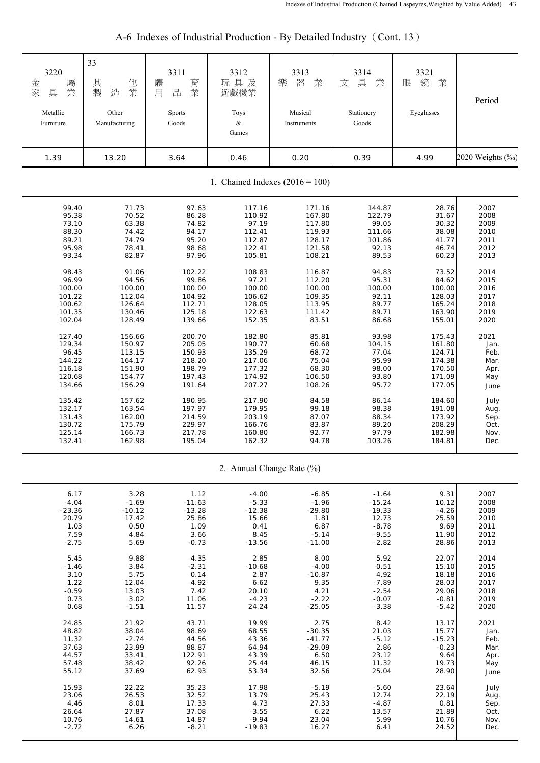| 3220<br>屬<br>金家<br>業<br>具<br>Metallic<br>Furniture | 33<br>其製<br>他<br>業<br>造<br>Other<br>Manufacturing | 3311<br>體<br>育<br>業<br>品<br>用<br>Sports<br>Goods | 3312<br>玩具及<br>遊戲機業<br>Toys<br>$\&$<br>Games | 3313<br>器<br>業<br>樂<br>Musical<br>Instruments | 3314<br>具<br>文<br>業<br>Stationery<br>Goods | 3321<br>鏡<br>業<br>眼<br>Eyeglasses | Period           |  |
|----------------------------------------------------|---------------------------------------------------|--------------------------------------------------|----------------------------------------------|-----------------------------------------------|--------------------------------------------|-----------------------------------|------------------|--|
| 1.39                                               | 13.20                                             | 3.64                                             | 0.46                                         | 0.20                                          | 0.39                                       | 4.99                              | 2020 Weights (%) |  |
| 1. Chained Indexes $(2016 = 100)$                  |                                                   |                                                  |                                              |                                               |                                            |                                   |                  |  |
| 99.40                                              | 71.73                                             | 97.63                                            | 117.16                                       | 171.16                                        | 144.87                                     | 28.76                             | 2007             |  |
| 95.38                                              | 70.52                                             | 86.28                                            | 110.92                                       | 167.80                                        | 122.79                                     | 31.67                             | 2008             |  |
| 73.10                                              | 63.38                                             | 74.82                                            | 97.19                                        | 117.80                                        | 99.05                                      | 30.32                             | 2009             |  |
| 88.30                                              | 74.42                                             | 94.17                                            | 112.41                                       | 119.93                                        | 111.66                                     | 38.08                             | 2010             |  |
| 89.21                                              | 74.79                                             | 95.20                                            | 112.87                                       | 128.17                                        | 101.86                                     | 41.77                             | 2011             |  |
| 95.98                                              | 78.41                                             | 98.68                                            | 122.41                                       | 121.58                                        | 92.13                                      | 46.74                             | 2012             |  |
| 93.34                                              | 82.87                                             | 97.96                                            | 105.81                                       | 108.21                                        | 89.53                                      | 60.23                             | 2013             |  |
| 98.43                                              | 91.06                                             | 102.22                                           | 108.83                                       | 116.87                                        | 94.83                                      | 73.52                             | 2014             |  |
| 96.99                                              | 94.56                                             | 99.86                                            | 97.21                                        | 112.20                                        | 95.31                                      | 84.62                             | 2015             |  |
| 100.00                                             | 100.00                                            | 100.00                                           | 100.00                                       | 100.00                                        | 100.00                                     | 100.00                            | 2016             |  |
| 101.22                                             | 112.04                                            | 104.92                                           | 106.62                                       | 109.35                                        | 92.11                                      | 128.03                            | 2017             |  |
| 100.62                                             | 126.64                                            | 112.71                                           | 128.05                                       | 113.95                                        | 89.77                                      | 165.24                            | 2018             |  |
| 101.35                                             | 130.46                                            | 125.18                                           | 122.63                                       | 111.42                                        | 89.71                                      | 163.90                            | 2019             |  |
| 102.04                                             | 128.49                                            | 139.66                                           | 152.35                                       | 83.51                                         | 86.68                                      | 155.01                            | 2020             |  |
| 127.40                                             | 156.66                                            | 200.70                                           | 182.80                                       | 85.81                                         | 93.98                                      | 175.43                            | 2021             |  |
| 129.34                                             | 150.97                                            | 205.05                                           | 190.77                                       | 60.68                                         | 104.15                                     | 161.80                            | Jan.             |  |
| 96.45                                              | 113.15                                            | 150.93                                           | 135.29                                       | 68.72                                         | 77.04                                      | 124.71                            | Feb.             |  |
| 144.22                                             | 164.17                                            | 218.20                                           | 217.06                                       | 75.04                                         | 95.99                                      | 174.38                            | Mar.             |  |
| 116.18                                             | 151.90                                            | 198.79                                           | 177.32                                       | 68.30                                         | 98.00                                      | 170.50                            | Apr.             |  |
| 120.68                                             | 154.77                                            | 197.43                                           | 174.92                                       | 106.50                                        | 93.80                                      | 171.09                            | May              |  |
| 134.66                                             | 156.29                                            | 191.64                                           | 207.27                                       | 108.26                                        | 95.72                                      | 177.05                            | June             |  |
| 135.42                                             | 157.62                                            | 190.95                                           | 217.90                                       | 84.58                                         | 86.14                                      | 184.60                            | July             |  |
| 132.17                                             | 163.54                                            | 197.97                                           | 179.95                                       | 99.18                                         | 98.38                                      | 191.08                            | Aug.             |  |
| 131.43                                             | 162.00                                            | 214.59                                           | 203.19                                       | 87.07                                         | 88.34                                      | 173.92                            | Sep.             |  |
| 130.72                                             | 175.79                                            | 229.97                                           | 166.76                                       | 83.87                                         | 89.20                                      | 208.29                            | Oct.             |  |
| 125.14                                             | 166.73                                            | 217.78                                           | 160.80                                       | 92.77                                         | 97.79                                      | 182.98                            | Nov.             |  |
| 132.41                                             | 162.98                                            | 195.04                                           | 162.32                                       | 94.78                                         | 103.26                                     | 184.81                            | Dec.             |  |
|                                                    |                                                   |                                                  |                                              | 2. Annual Change Rate (%)                     |                                            |                                   |                  |  |
| 6.17                                               | 3.28                                              | 1.12                                             | $-4.00$                                      | $-6.85$                                       | $-1.64$                                    | 9.31                              | 2007             |  |
| $-4.04$                                            | $-1.69$                                           | $-11.63$                                         | $-5.33$                                      | $-1.96$                                       | $-15.24$                                   | 10.12                             | 2008             |  |
| $-23.36$                                           | $-10.12$                                          | $-13.28$                                         | $-12.38$                                     | $-29.80$                                      | $-19.33$                                   | $-4.26$                           | 2009             |  |
| 20.79                                              | 17.42                                             | 25.86                                            | 15.66                                        | 1.81                                          | 12.73                                      | 25.59                             | 2010             |  |
| 1.03                                               | 0.50                                              | 1.09                                             | 0.41                                         | 6.87                                          | $-8.78$                                    | 9.69                              | 2011             |  |
| 7.59                                               | 4.84                                              | 3.66                                             | 8.45                                         | $-5.14$                                       | $-9.55$                                    | 11.90                             | 2012             |  |
| $-2.75$                                            | 5.69                                              | $-0.73$                                          | $-13.56$                                     | $-11.00$                                      | $-2.82$                                    | 28.86                             | 2013             |  |
| 5.45                                               | 9.88                                              | 4.35                                             | 2.85                                         | 8.00                                          | 5.92                                       | 22.07                             | 2014             |  |
| $-1.46$                                            | 3.84                                              | $-2.31$                                          | $-10.68$                                     | $-4.00$                                       | 0.51                                       | 15.10                             | 2015             |  |
| 3.10                                               | 5.75                                              | 0.14                                             | 2.87                                         | $-10.87$                                      | 4.92                                       | 18.18                             | 2016             |  |
| 1.22                                               | 12.04                                             | 4.92                                             | 6.62                                         | 9.35                                          | $-7.89$                                    | 28.03                             | 2017             |  |
| $-0.59$                                            | 13.03                                             | 7.42                                             | 20.10                                        | 4.21                                          | $-2.54$                                    | 29.06                             | 2018             |  |
| 0.73                                               | 3.02                                              | 11.06                                            | $-4.23$                                      | $-2.22$                                       | $-0.07$                                    | $-0.81$                           | 2019             |  |
| 0.68                                               | $-1.51$                                           | 11.57                                            | 24.24                                        | $-25.05$                                      | $-3.38$                                    | $-5.42$                           | 2020             |  |
| 24.85                                              | 21.92                                             | 43.71                                            | 19.99                                        | 2.75                                          | 8.42                                       | 13.17                             | 2021             |  |
| 48.82                                              | 38.04                                             | 98.69                                            | 68.55                                        | $-30.35$                                      | 21.03                                      | 15.77                             | Jan.             |  |
| 11.32                                              | $-2.74$                                           | 44.56                                            | 43.36                                        | $-41.77$                                      | $-5.12$                                    | $-15.23$                          | Feb.             |  |
| 37.63                                              | 23.99                                             | 88.87                                            | 64.94                                        | $-29.09$                                      | 2.86                                       | $-0.23$                           | Mar.             |  |
| 44.57                                              | 33.41                                             | 122.91                                           | 43.39                                        | 6.50                                          | 23.12                                      | 9.64                              | Apr.             |  |
| 57.48                                              | 38.42                                             | 92.26                                            | 25.44                                        | 46.15                                         | 11.32                                      | 19.73                             | May              |  |
| 55.12                                              | 37.69                                             | 62.93                                            | 53.34                                        | 32.56                                         | 25.04                                      | 28.90                             | June             |  |
| 15.93                                              | 22.22                                             | 35.23                                            | 17.98                                        | $-5.19$                                       | $-5.60$                                    | 23.64                             | July             |  |
| 23.06                                              | 26.53                                             | 32.52                                            | 13.79                                        | 25.43                                         | 12.74                                      | 22.19                             | Aug.             |  |
| 4.46                                               | 8.01                                              | 17.33                                            | 4.73                                         | 27.33                                         | $-4.87$                                    | 0.81                              | Sep.             |  |
| 26.64                                              | 27.87                                             | 37.08                                            | $-3.55$                                      | 6.22                                          | 13.57                                      | 21.89                             | Oct.             |  |
| 10.76                                              | 14.61                                             | 14.87                                            | $-9.94$                                      | 23.04                                         | 5.99                                       | 10.76                             | Nov.             |  |
| $-2.72$                                            | 6.26                                              | $-8.21$                                          | $-19.83$                                     | 16.27                                         | 6.41                                       | 24.52                             | Dec.             |  |

# A-6 Indexes of Industrial Production - By Detailed Industry (Cont. 13)